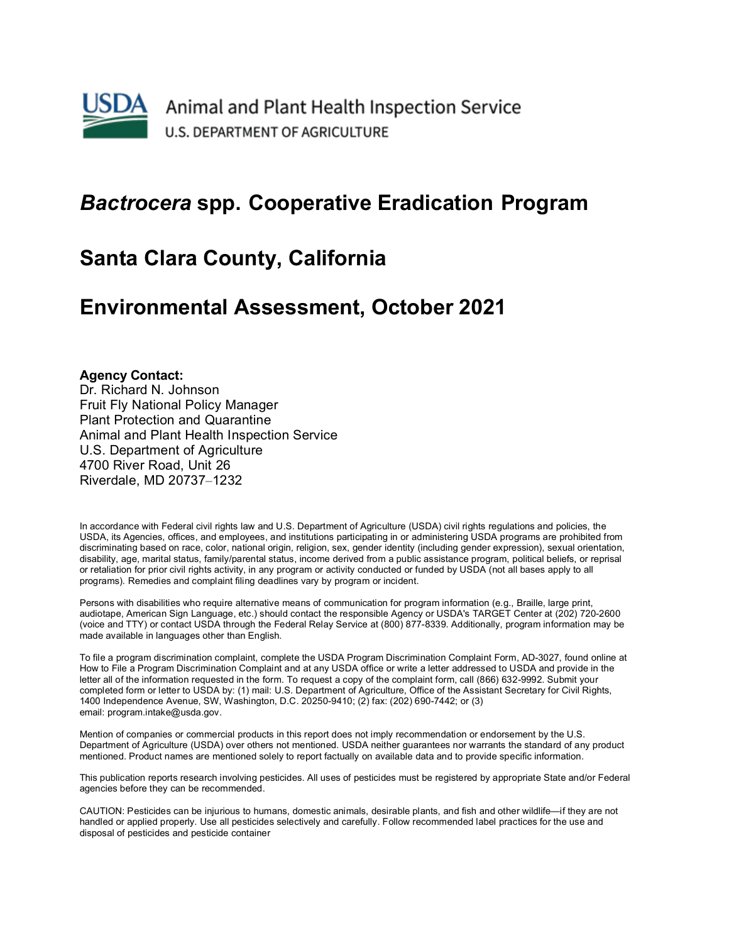

## *Bactrocera* **spp. Cooperative Eradication Program**

## **Santa Clara County, California**

## **Environmental Assessment, October 2021**

#### **Agency Contact:**

Dr. Richard N. Johnson Fruit Fly National Policy Manager Plant Protection and Quarantine Animal and Plant Health Inspection Service U.S. Department of Agriculture 4700 River Road, Unit 26 Riverdale, MD 20737–1232

In accordance with Federal civil rights law and U.S. Department of Agriculture (USDA) civil rights regulations and policies, the USDA, its Agencies, offices, and employees, and institutions participating in or administering USDA programs are prohibited from discriminating based on race, color, national origin, religion, sex, gender identity (including gender expression), sexual orientation, disability, age, marital status, family/parental status, income derived from a public assistance program, political beliefs, or reprisal or retaliation for prior civil rights activity, in any program or activity conducted or funded by USDA (not all bases apply to all programs). Remedies and complaint filing deadlines vary by program or incident.

Persons with disabilities who require alternative means of communication for program information (e.g., Braille, large print, audiotape, American Sign Language, etc.) should contact the responsible Agency or USDA's TARGET Center at (202) 720-2600 (voice and TTY) or contact USDA through the Federal Relay Service at (800) 877-8339. Additionally, program information may be made available in languages other than English.

To file a program discrimination complaint, complete the USDA Program Discrimination Complaint Form, AD-3027, found online at How to File a Program Discrimination Complaint and at any USDA office or write a letter addressed to USDA and provide in the letter all of the information requested in the form. To request a copy of the complaint form, call (866) 632-9992. Submit your completed form or letter to USDA by: (1) mail: U.S. Department of Agriculture, Office of the Assistant Secretary for Civil Rights, 1400 Independence Avenue, SW, Washington, D.C. 20250-9410; (2) fax: (202) 690-7442; or (3) email: program.intake@usda.gov.

Mention of companies or commercial products in this report does not imply recommendation or endorsement by the U.S. Department of Agriculture (USDA) over others not mentioned. USDA neither guarantees nor warrants the standard of any product mentioned. Product names are mentioned solely to report factually on available data and to provide specific information.

This publication reports research involving pesticides. All uses of pesticides must be registered by appropriate State and/or Federal agencies before they can be recommended.

CAUTION: Pesticides can be injurious to humans, domestic animals, desirable plants, and fish and other wildlife—if they are not handled or applied properly. Use all pesticides selectively and carefully. Follow recommended label practices for the use and disposal of pesticides and pesticide container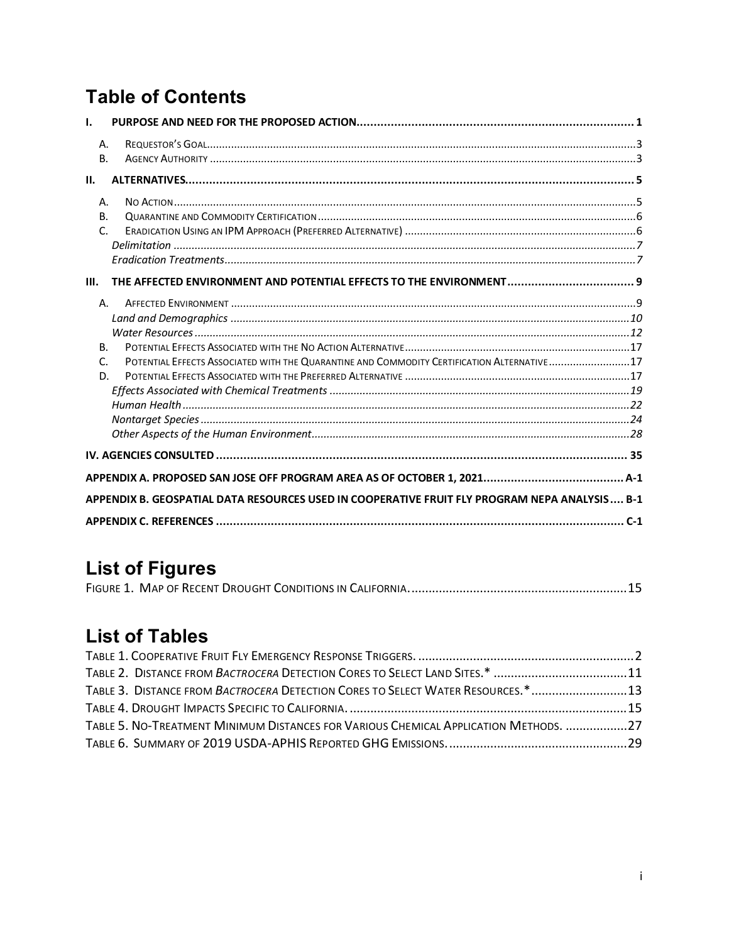# **Table of Contents**

| Α.<br><b>B.</b>                                                                               |                                                                                             |  |  |
|-----------------------------------------------------------------------------------------------|---------------------------------------------------------------------------------------------|--|--|
| II.                                                                                           |                                                                                             |  |  |
| Α.<br><b>B.</b><br>$\mathsf{C}$                                                               |                                                                                             |  |  |
| Ш.                                                                                            |                                                                                             |  |  |
| Α.<br><b>B.</b><br>C.<br>D.                                                                   | POTENTIAL EFFECTS ASSOCIATED WITH THE QUARANTINE AND COMMODITY CERTIFICATION ALTERNATIVE 17 |  |  |
|                                                                                               |                                                                                             |  |  |
|                                                                                               |                                                                                             |  |  |
| APPENDIX B. GEOSPATIAL DATA RESOURCES USED IN COOPERATIVE FRUIT FLY PROGRAM NEPA ANALYSIS B-1 |                                                                                             |  |  |
|                                                                                               | $C-1$                                                                                       |  |  |

# **List of Figures**

## **List of Tables**

| TABLE 3. DISTANCE FROM BACTROCERA DETECTION CORES TO SELECT WATER RESOURCES. *13     |  |
|--------------------------------------------------------------------------------------|--|
|                                                                                      |  |
| TABLE 5. NO-TREATMENT MINIMUM DISTANCES FOR VARIOUS CHEMICAL APPLICATION METHODS. 27 |  |
|                                                                                      |  |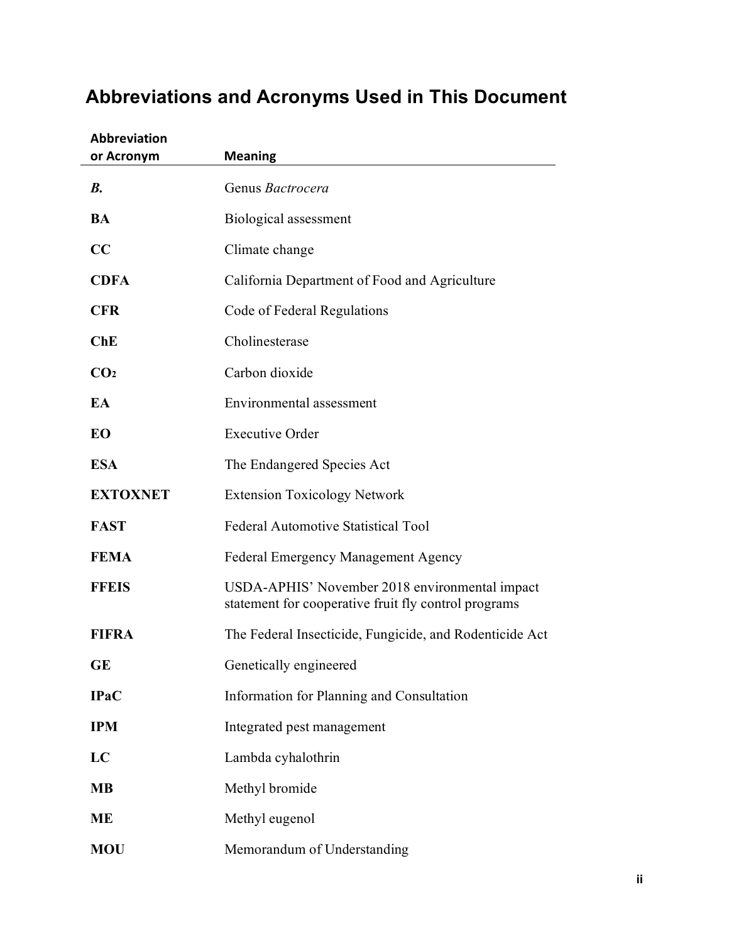| <b>Abbreviation</b><br>or Acronym | <b>Meaning</b>                                                                                         |
|-----------------------------------|--------------------------------------------------------------------------------------------------------|
| B <sub>1</sub>                    | Genus Bactrocera                                                                                       |
| <b>BA</b>                         | Biological assessment                                                                                  |
| CC                                | Climate change                                                                                         |
| <b>CDFA</b>                       | California Department of Food and Agriculture                                                          |
| <b>CFR</b>                        | Code of Federal Regulations                                                                            |
| ChE                               | Cholinesterase                                                                                         |
| CO <sub>2</sub>                   | Carbon dioxide                                                                                         |
| EA                                | Environmental assessment                                                                               |
| EO                                | <b>Executive Order</b>                                                                                 |
| <b>ESA</b>                        | The Endangered Species Act                                                                             |
| <b>EXTOXNET</b>                   | <b>Extension Toxicology Network</b>                                                                    |
| <b>FAST</b>                       | <b>Federal Automotive Statistical Tool</b>                                                             |
| <b>FEMA</b>                       | Federal Emergency Management Agency                                                                    |
| <b>FFEIS</b>                      | USDA-APHIS' November 2018 environmental impact<br>statement for cooperative fruit fly control programs |
| <b>FIFRA</b>                      | The Federal Insecticide, Fungicide, and Rodenticide Act                                                |
| <b>GE</b>                         | Genetically engineered                                                                                 |
| <b>IPaC</b>                       | Information for Planning and Consultation                                                              |
| <b>IPM</b>                        | Integrated pest management                                                                             |
| LC                                | Lambda cyhalothrin                                                                                     |
| <b>MB</b>                         | Methyl bromide                                                                                         |
| <b>ME</b>                         | Methyl eugenol                                                                                         |
| <b>MOU</b>                        | Memorandum of Understanding                                                                            |

# **Abbreviations and Acronyms Used in This Document**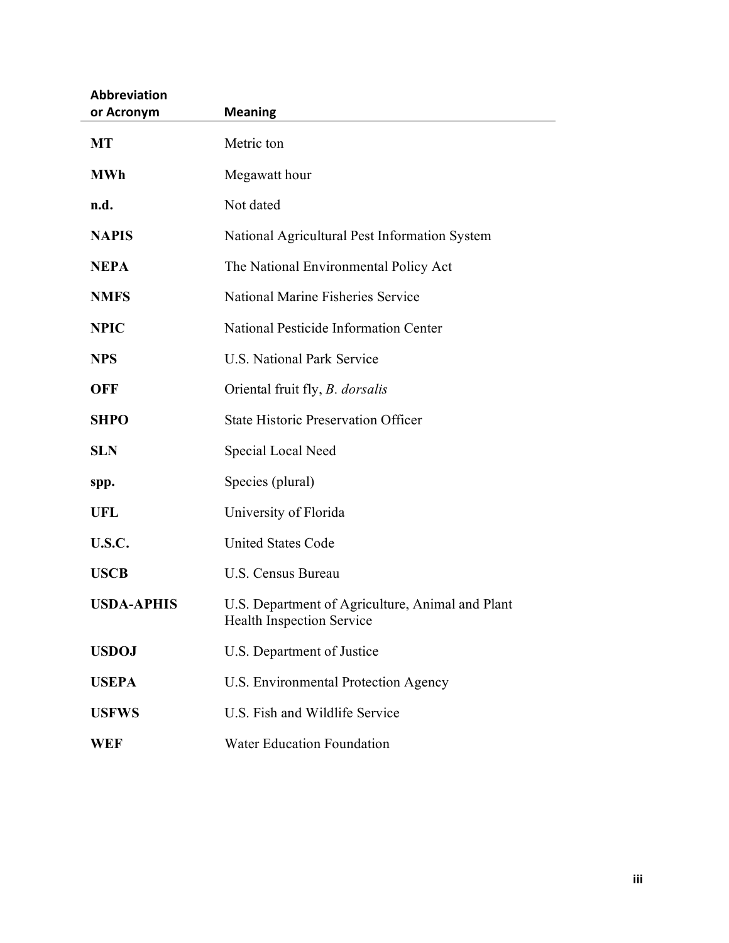| <b>Abbreviation</b> |                                                                                      |
|---------------------|--------------------------------------------------------------------------------------|
| or Acronym          | <b>Meaning</b>                                                                       |
| <b>MT</b>           | Metric ton                                                                           |
| <b>MWh</b>          | Megawatt hour                                                                        |
| n.d.                | Not dated                                                                            |
| <b>NAPIS</b>        | National Agricultural Pest Information System                                        |
| <b>NEPA</b>         | The National Environmental Policy Act                                                |
| <b>NMFS</b>         | <b>National Marine Fisheries Service</b>                                             |
| <b>NPIC</b>         | National Pesticide Information Center                                                |
| <b>NPS</b>          | <b>U.S. National Park Service</b>                                                    |
| <b>OFF</b>          | Oriental fruit fly, <i>B. dorsalis</i>                                               |
| <b>SHPO</b>         | <b>State Historic Preservation Officer</b>                                           |
| <b>SLN</b>          | Special Local Need                                                                   |
| spp.                | Species (plural)                                                                     |
| UFL                 | University of Florida                                                                |
| U.S.C.              | <b>United States Code</b>                                                            |
| <b>USCB</b>         | U.S. Census Bureau                                                                   |
| <b>USDA-APHIS</b>   | U.S. Department of Agriculture, Animal and Plant<br><b>Health Inspection Service</b> |
| <b>USDOJ</b>        | U.S. Department of Justice                                                           |
| <b>USEPA</b>        | U.S. Environmental Protection Agency                                                 |
| <b>USFWS</b>        | U.S. Fish and Wildlife Service                                                       |
| WEF                 | <b>Water Education Foundation</b>                                                    |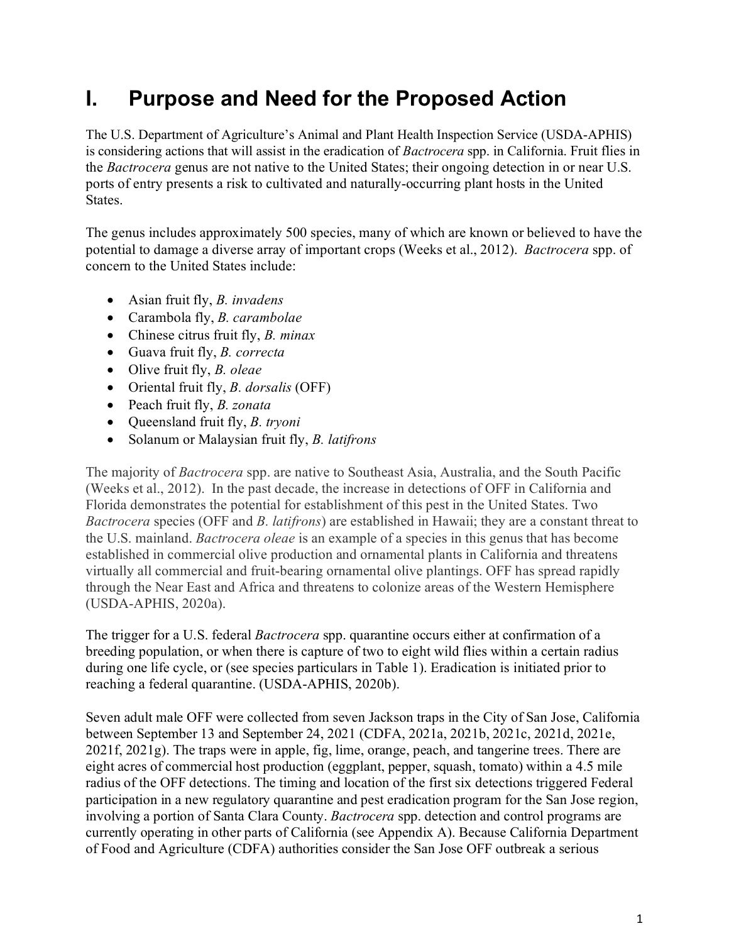# <span id="page-4-0"></span>**I. Purpose and Need for the Proposed Action**

The U.S. Department of Agriculture's Animal and Plant Health Inspection Service (USDA-APHIS) is considering actions that will assist in the eradication of *Bactrocera* spp. in California. Fruit flies in the *Bactrocera* genus are not native to the United States; their ongoing detection in or near U.S. ports of entry presents a risk to cultivated and naturally-occurring plant hosts in the United States.

The genus includes approximately 500 species, many of which are known or believed to have the potential to damage a diverse array of important crops (Weeks et al., 2012). *Bactrocera* spp. of concern to the United States include:

- Asian fruit fly, *B. invadens*
- Carambola fly, *B. carambolae*
- Chinese citrus fruit fly, *B. minax*
- Guava fruit fly, *B. correcta*
- Olive fruit fly, *B. oleae*
- Oriental fruit fly, *B. dorsalis* (OFF)
- Peach fruit fly, *B. zonata*
- Queensland fruit fly, *B. tryoni*
- Solanum or Malaysian fruit fly, *B. latifrons*

The majority of *Bactrocera* spp. are native to Southeast Asia, Australia, and the South Pacific (Weeks et al., 2012). In the past decade, the increase in detections of OFF in California and Florida demonstrates the potential for establishment of this pest in the United States. Two *Bactrocera* species (OFF and *B. latifrons*) are established in Hawaii; they are a constant threat to the U.S. mainland. *Bactrocera oleae* is an example of a species in this genus that has become established in commercial olive production and ornamental plants in California and threatens virtually all commercial and fruit-bearing ornamental olive plantings. OFF has spread rapidly through the Near East and Africa and threatens to colonize areas of the Western Hemisphere (USDA-APHIS, 2020a).

The trigger for a U.S. federal *Bactrocera* spp. quarantine occurs either at confirmation of a breeding population, or when there is capture of two to eight wild flies within a certain radius during one life cycle, or (see species particulars in [Table 1\)](#page-5-0). Eradication is initiated prior to reaching a federal quarantine. (USDA-APHIS, 2020b).

Seven adult male OFF were collected from seven Jackson traps in the City of San Jose, California between September 13 and September 24, 2021 (CDFA, 2021a, 2021b, 2021c, 2021d, 2021e, 2021f, 2021g). The traps were in apple, fig, lime, orange, peach, and tangerine trees. There are eight acres of commercial host production (eggplant, pepper, squash, tomato) within a 4.5 mile radius of the OFF detections. The timing and location of the first six detections triggered Federal participation in a new regulatory quarantine and pest eradication program for the San Jose region, involving a portion of Santa Clara County. *Bactrocera* spp. detection and control programs are currently operating in other parts of California (see Appendix A). Because California Department of Food and Agriculture (CDFA) authorities consider the San Jose OFF outbreak a serious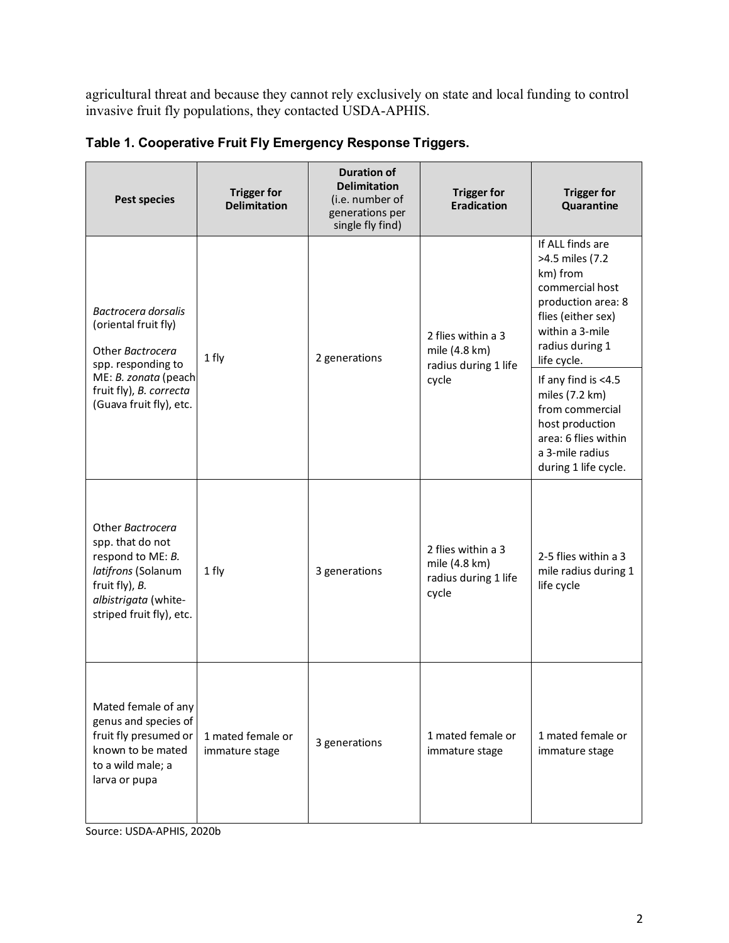agricultural threat and because they cannot rely exclusively on state and local funding to control invasive fruit fly populations, they contacted USDA-APHIS.

| <b>Pest species</b>                                                                                                                                   | <b>Trigger for</b><br><b>Delimitation</b> | <b>Duration of</b><br><b>Delimitation</b><br>(i.e. number of<br>generations per<br>single fly find) | <b>Trigger for</b><br><b>Eradication</b>                             | <b>Trigger for</b><br>Quarantine                                                                                                                                    |
|-------------------------------------------------------------------------------------------------------------------------------------------------------|-------------------------------------------|-----------------------------------------------------------------------------------------------------|----------------------------------------------------------------------|---------------------------------------------------------------------------------------------------------------------------------------------------------------------|
| Bactrocera dorsalis<br>(oriental fruit fly)<br>Other Bactrocera<br>spp. responding to                                                                 | 1 fly                                     | 2 generations                                                                                       | 2 flies within a 3<br>mile (4.8 km)<br>radius during 1 life<br>cycle | If ALL finds are<br>>4.5 miles (7.2<br>km) from<br>commercial host<br>production area: 8<br>flies (either sex)<br>within a 3-mile<br>radius during 1<br>life cycle. |
| ME: B. zonata (peach<br>fruit fly), B. correcta<br>(Guava fruit fly), etc.                                                                            |                                           |                                                                                                     |                                                                      | If any find is <4.5<br>miles (7.2 km)<br>from commercial<br>host production<br>area: 6 flies within<br>a 3-mile radius<br>during 1 life cycle.                      |
| Other Bactrocera<br>spp. that do not<br>respond to ME: B.<br>latifrons (Solanum<br>fruit fly), B.<br>albistrigata (white-<br>striped fruit fly), etc. | 1 fly                                     | 3 generations                                                                                       | 2 flies within a 3<br>mile (4.8 km)<br>radius during 1 life<br>cycle | 2-5 flies within a 3<br>mile radius during 1<br>life cycle                                                                                                          |
| Mated female of any<br>genus and species of<br>fruit fly presumed or<br>known to be mated<br>to a wild male; a<br>larva or pupa                       | 1 mated female or<br>immature stage       | 3 generations                                                                                       | 1 mated female or<br>immature stage                                  | 1 mated female or<br>immature stage                                                                                                                                 |

<span id="page-5-0"></span>**Table 1. Cooperative Fruit Fly Emergency Response Triggers.**

Source: USDA-APHIS, 2020b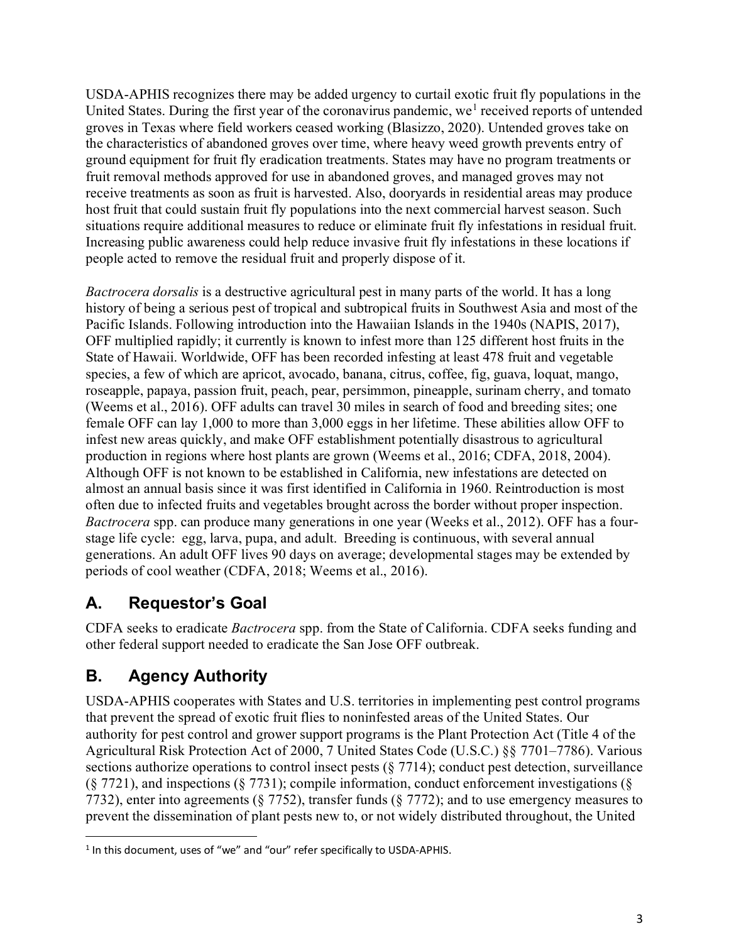USDA-APHIS recognizes there may be added urgency to curtail exotic fruit fly populations in the United States. During the first year of the coronavirus pandemic, we<sup>[1](#page-6-2)</sup> received reports of untended groves in Texas where field workers ceased working (Blasizzo, 2020). Untended groves take on the characteristics of abandoned groves over time, where heavy weed growth prevents entry of ground equipment for fruit fly eradication treatments. States may have no program treatments or fruit removal methods approved for use in abandoned groves, and managed groves may not receive treatments as soon as fruit is harvested. Also, dooryards in residential areas may produce host fruit that could sustain fruit fly populations into the next commercial harvest season. Such situations require additional measures to reduce or eliminate fruit fly infestations in residual fruit. Increasing public awareness could help reduce invasive fruit fly infestations in these locations if people acted to remove the residual fruit and properly dispose of it.

*Bactrocera dorsalis* is a destructive agricultural pest in many parts of the world. It has a long history of being a serious pest of tropical and subtropical fruits in Southwest Asia and most of the Pacific Islands. Following introduction into the Hawaiian Islands in the 1940s (NAPIS, 2017), OFF multiplied rapidly; it currently is known to infest more than 125 different host fruits in the State of Hawaii. Worldwide, OFF has been recorded infesting at least 478 fruit and vegetable species, a few of which are apricot, avocado, banana, citrus, coffee, fig, guava, loquat, mango, roseapple, papaya, passion fruit, peach, pear, persimmon, pineapple, surinam cherry, and tomato (Weems et al., 2016). OFF adults can travel 30 miles in search of food and breeding sites; one female OFF can lay 1,000 to more than 3,000 eggs in her lifetime. These abilities allow OFF to infest new areas quickly, and make OFF establishment potentially disastrous to agricultural production in regions where host plants are grown (Weems et al., 2016; CDFA, 2018, 2004). Although OFF is not known to be established in California, new infestations are detected on almost an annual basis since it was first identified in California in 1960. Reintroduction is most often due to infected fruits and vegetables brought across the border without proper inspection. *Bactrocera* spp. can produce many generations in one year (Weeks et al., 2012). OFF has a fourstage life cycle: egg, larva, pupa, and adult. Breeding is continuous, with several annual generations. An adult OFF lives 90 days on average; developmental stages may be extended by periods of cool weather (CDFA, 2018; Weems et al., 2016).

### <span id="page-6-0"></span>**A. Requestor's Goal**

CDFA seeks to eradicate *Bactrocera* spp. from the State of California. CDFA seeks funding and other federal support needed to eradicate the San Jose OFF outbreak.

## <span id="page-6-1"></span>**B. Agency Authority**

USDA-APHIS cooperates with States and U.S. territories in implementing pest control programs that prevent the spread of exotic fruit flies to noninfested areas of the United States. Our authority for pest control and grower support programs is the Plant Protection Act (Title 4 of the Agricultural Risk Protection Act of 2000, 7 United States Code (U.S.C.) §§ 7701–7786). Various sections authorize operations to control insect pests (§ 7714); conduct pest detection, surveillance  $(\S 7721)$ , and inspections  $(\S 7731)$ ; compile information, conduct enforcement investigations  $(\S$ 7732), enter into agreements (§ 7752), transfer funds (§ 7772); and to use emergency measures to prevent the dissemination of plant pests new to, or not widely distributed throughout, the United

<span id="page-6-2"></span><sup>&</sup>lt;sup>1</sup> In this document, uses of "we" and "our" refer specifically to USDA-APHIS.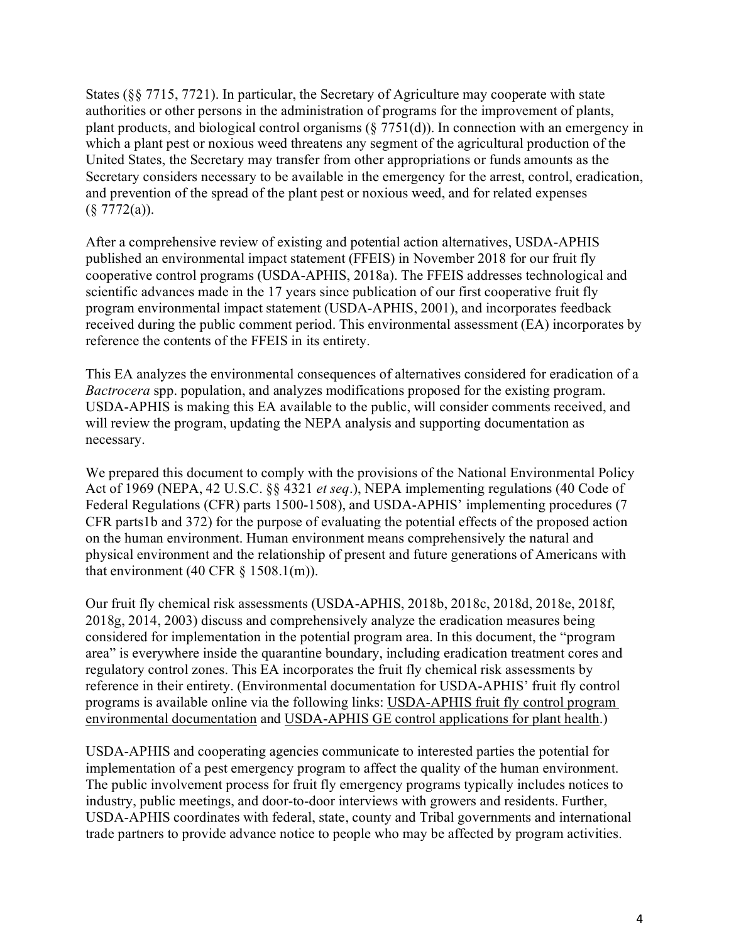States (§§ 7715, 7721). In particular, the Secretary of Agriculture may cooperate with state authorities or other persons in the administration of programs for the improvement of plants, plant products, and biological control organisms (§ 7751(d)). In connection with an emergency in which a plant pest or noxious weed threatens any segment of the agricultural production of the United States, the Secretary may transfer from other appropriations or funds amounts as the Secretary considers necessary to be available in the emergency for the arrest, control, eradication, and prevention of the spread of the plant pest or noxious weed, and for related expenses  $(\S 7772(a)).$ 

After a comprehensive review of existing and potential action alternatives, USDA-APHIS published an environmental impact statement (FFEIS) in November 2018 for our fruit fly cooperative control programs (USDA-APHIS, 2018a). The FFEIS addresses technological and scientific advances made in the 17 years since publication of our first cooperative fruit fly program environmental impact statement (USDA-APHIS, 2001), and incorporates feedback received during the public comment period. This environmental assessment (EA) incorporates by reference the contents of the FFEIS in its entirety.

This EA analyzes the environmental consequences of alternatives considered for eradication of a *Bactrocera* spp. population, and analyzes modifications proposed for the existing program. USDA-APHIS is making this EA available to the public, will consider comments received, and will review the program, updating the NEPA analysis and supporting documentation as necessary.

We prepared this document to comply with the provisions of the National Environmental Policy Act of 1969 (NEPA, 42 U.S.C. §§ 4321 *et seq*.), NEPA implementing regulations (40 Code of Federal Regulations (CFR) parts 1500-1508), and USDA-APHIS' implementing procedures (7 CFR parts1b and 372) for the purpose of evaluating the potential effects of the proposed action on the human environment. Human environment means comprehensively the natural and physical environment and the relationship of present and future generations of Americans with that environment (40 CFR  $\S$  1508.1(m)).

Our fruit fly chemical risk assessments (USDA-APHIS, 2018b, 2018c, 2018d, 2018e, 2018f, 2018g, 2014, 2003) discuss and comprehensively analyze the eradication measures being considered for implementation in the potential program area. In this document, the "program area" is everywhere inside the quarantine boundary, including eradication treatment cores and regulatory control zones. This EA incorporates the fruit fly chemical risk assessments by reference in their entirety. (Environmental documentation for USDA-APHIS' fruit fly control programs is available online via the following links: USDA-APHIS [fruit fly control program](https://www.aphis.usda.gov/aphis/ourfocus/planthealth/plant-pest-and-disease-programs/ea/ct_fruitfly)  [environmental documentation](https://www.aphis.usda.gov/aphis/ourfocus/planthealth/plant-pest-and-disease-programs/ea/ct_fruitfly) and USDA-APHIS [GE control applications for plant health.](http://www.aphis.usda.gov/plant_health/ea/downloads/eis-gen-pbw-ff.pdf))

USDA-APHIS and cooperating agencies communicate to interested parties the potential for implementation of a pest emergency program to affect the quality of the human environment. The public involvement process for fruit fly emergency programs typically includes notices to industry, public meetings, and door-to-door interviews with growers and residents. Further, USDA-APHIS coordinates with federal, state, county and Tribal governments and international trade partners to provide advance notice to people who may be affected by program activities.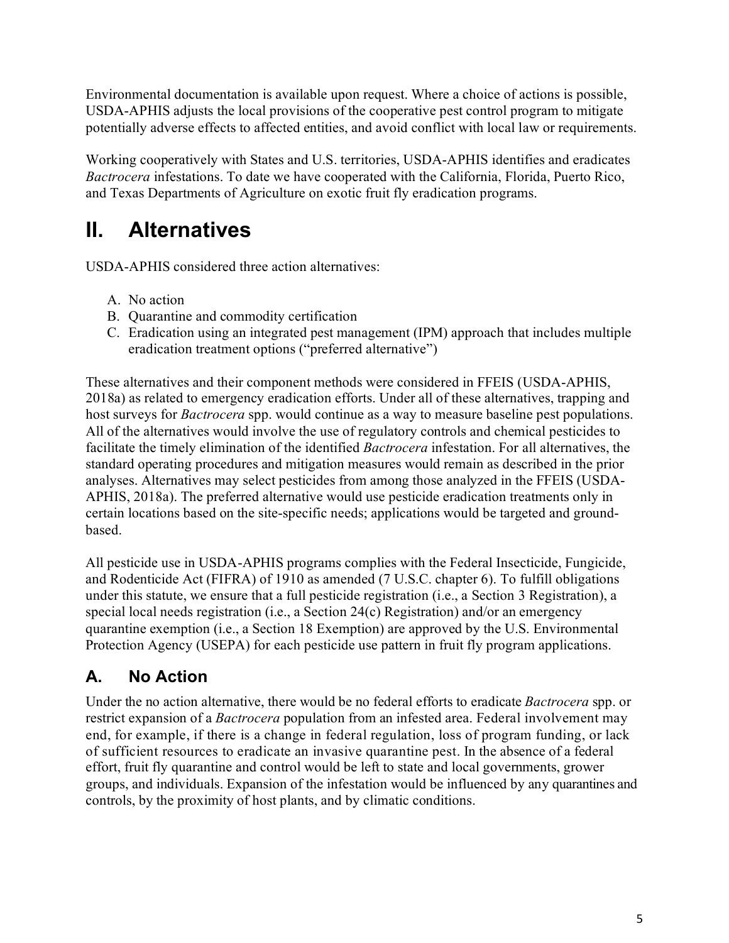Environmental documentation is available upon request. Where a choice of actions is possible, USDA-APHIS adjusts the local provisions of the cooperative pest control program to mitigate potentially adverse effects to affected entities, and avoid conflict with local law or requirements.

Working cooperatively with States and U.S. territories, USDA-APHIS identifies and eradicates *Bactrocera* infestations. To date we have cooperated with the California, Florida, Puerto Rico, and Texas Departments of Agriculture on exotic fruit fly eradication programs.

# <span id="page-8-0"></span>**II. Alternatives**

USDA-APHIS considered three action alternatives:

- A. No action
- B. Quarantine and commodity certification
- C. Eradication using an integrated pest management (IPM) approach that includes multiple eradication treatment options ("preferred alternative")

These alternatives and their component methods were considered in FFEIS (USDA-APHIS, 2018a) as related to emergency eradication efforts. Under all of these alternatives, trapping and host surveys for *Bactrocera* spp. would continue as a way to measure baseline pest populations. All of the alternatives would involve the use of regulatory controls and chemical pesticides to facilitate the timely elimination of the identified *Bactrocera* infestation. For all alternatives, the standard operating procedures and mitigation measures would remain as described in the prior analyses. Alternatives may select pesticides from among those analyzed in the FFEIS (USDA-APHIS, 2018a). The preferred alternative would use pesticide eradication treatments only in certain locations based on the site-specific needs; applications would be targeted and groundbased.

All pesticide use in USDA-APHIS programs complies with the Federal Insecticide, Fungicide, and Rodenticide Act (FIFRA) of 1910 as amended (7 U.S.C. chapter 6). To fulfill obligations under this statute, we ensure that a full pesticide registration (i.e., a Section 3 Registration), a special local needs registration (i.e., a Section 24(c) Registration) and/or an emergency quarantine exemption (i.e., a Section 18 Exemption) are approved by the U.S. Environmental Protection Agency (USEPA) for each pesticide use pattern in fruit fly program applications.

## <span id="page-8-1"></span>**A. No Action**

Under the no action alternative, there would be no federal efforts to eradicate *Bactrocera* spp. or restrict expansion of a *Bactrocera* population from an infested area. Federal involvement may end, for example, if there is a change in federal regulation, loss of program funding, or lack of sufficient resources to eradicate an invasive quarantine pest. In the absence of a federal effort, fruit fly quarantine and control would be left to state and local governments, grower groups, and individuals. Expansion of the infestation would be influenced by any quarantines and controls, by the proximity of host plants, and by climatic conditions.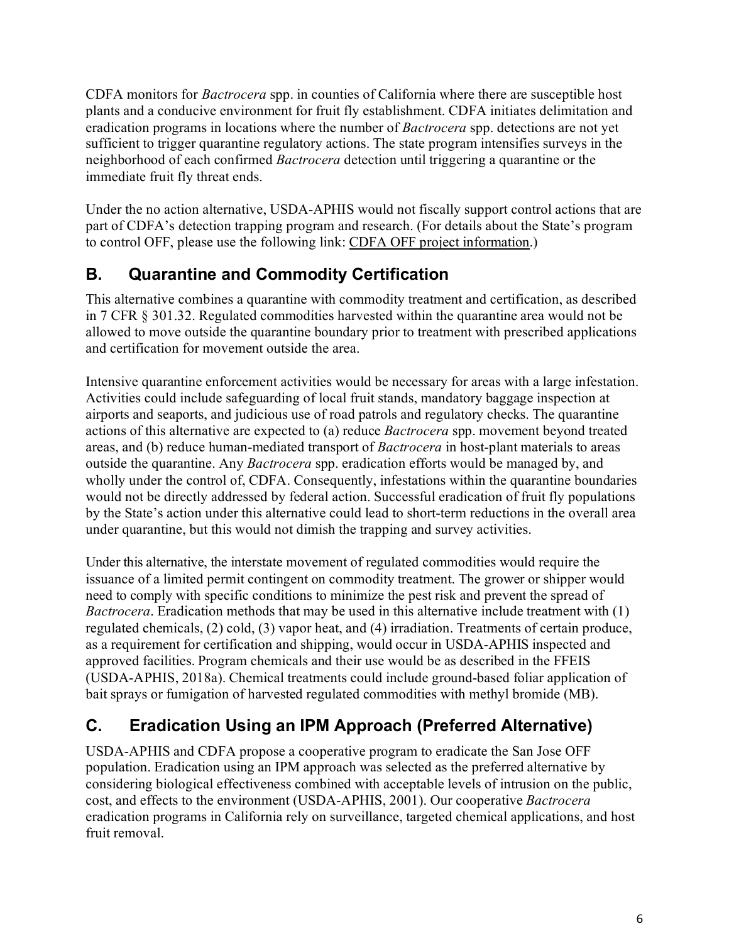CDFA monitors for *Bactrocera* spp. in counties of California where there are susceptible host plants and a conducive environment for fruit fly establishment. CDFA initiates delimitation and eradication programs in locations where the number of *Bactrocera* spp. detections are not yet sufficient to trigger quarantine regulatory actions. The state program intensifies surveys in the neighborhood of each confirmed *Bactrocera* detection until triggering a quarantine or the immediate fruit fly threat ends.

Under the no action alternative, USDA-APHIS would not fiscally support control actions that are part of CDFA's detection trapping program and research. (For details about the State's program to control OFF, please use the following link: [CDFA OFF project information.](http://www.cdfa.ca.gov/plant/pdep/treatment/oriental_ff.html))

## <span id="page-9-0"></span>**B. Quarantine and Commodity Certification**

This alternative combines a quarantine with commodity treatment and certification, as described in 7 CFR § 301.32. Regulated commodities harvested within the quarantine area would not be allowed to move outside the quarantine boundary prior to treatment with prescribed applications and certification for movement outside the area.

Intensive quarantine enforcement activities would be necessary for areas with a large infestation. Activities could include safeguarding of local fruit stands, mandatory baggage inspection at airports and seaports, and judicious use of road patrols and regulatory checks. The quarantine actions of this alternative are expected to (a) reduce *Bactrocera* spp. movement beyond treated areas, and (b) reduce human-mediated transport of *Bactrocera* in host-plant materials to areas outside the quarantine. Any *Bactrocera* spp. eradication efforts would be managed by, and wholly under the control of, CDFA. Consequently, infestations within the quarantine boundaries would not be directly addressed by federal action. Successful eradication of fruit fly populations by the State's action under this alternative could lead to short-term reductions in the overall area under quarantine, but this would not dimish the trapping and survey activities.

Under this alternative, the interstate movement of regulated commodities would require the issuance of a limited permit contingent on commodity treatment. The grower or shipper would need to comply with specific conditions to minimize the pest risk and prevent the spread of *Bactrocera*. Eradication methods that may be used in this alternative include treatment with (1) regulated chemicals, (2) cold, (3) vapor heat, and (4) irradiation. Treatments of certain produce, as a requirement for certification and shipping, would occur in USDA-APHIS inspected and approved facilities. Program chemicals and their use would be as described in the FFEIS (USDA-APHIS, 2018a). Chemical treatments could include ground-based foliar application of bait sprays or fumigation of harvested regulated commodities with methyl bromide (MB).

## <span id="page-9-1"></span>**C. Eradication Using an IPM Approach (Preferred Alternative)**

USDA-APHIS and CDFA propose a cooperative program to eradicate the San Jose OFF population. Eradication using an IPM approach was selected as the preferred alternative by considering biological effectiveness combined with acceptable levels of intrusion on the public, cost, and effects to the environment (USDA-APHIS, 2001). Our cooperative *Bactrocera* eradication programs in California rely on surveillance, targeted chemical applications, and host fruit removal.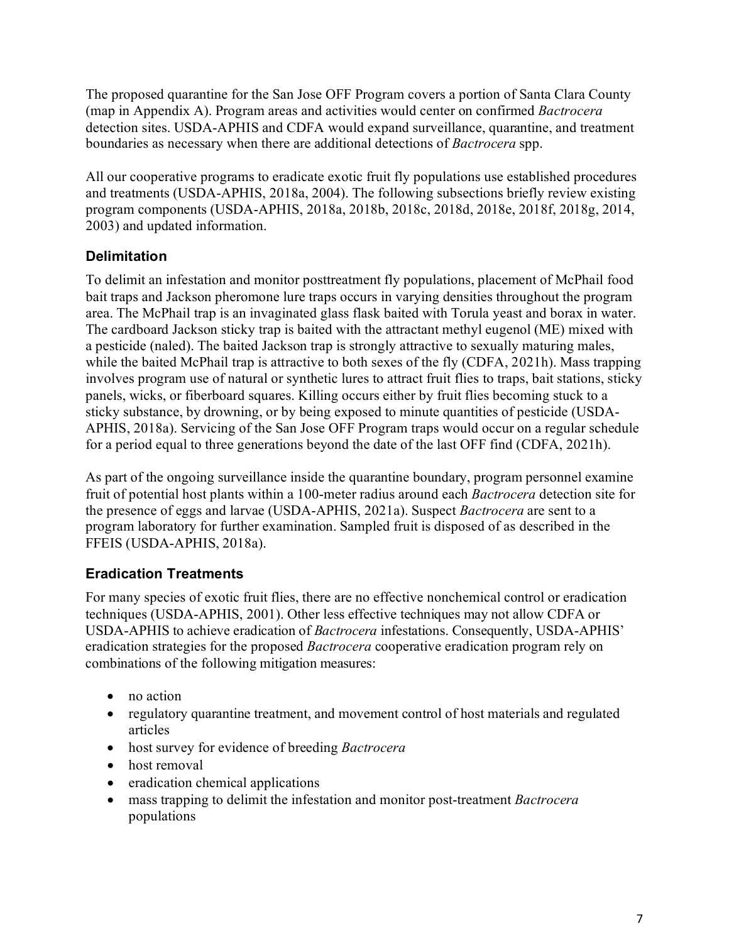The proposed quarantine for the San Jose OFF Program covers a portion of Santa Clara County (map in Appendix A). Program areas and activities would center on confirmed *Bactrocera*  detection sites. USDA-APHIS and CDFA would expand surveillance, quarantine, and treatment boundaries as necessary when there are additional detections of *Bactrocera* spp.

All our cooperative programs to eradicate exotic fruit fly populations use established procedures and treatments (USDA-APHIS, 2018a, 2004). The following subsections briefly review existing program components (USDA-APHIS, 2018a, 2018b, 2018c, 2018d, 2018e, 2018f, 2018g, 2014, 2003) and updated information.

### <span id="page-10-0"></span>**Delimitation**

To delimit an infestation and monitor posttreatment fly populations, placement of McPhail food bait traps and Jackson pheromone lure traps occurs in varying densities throughout the program area. The McPhail trap is an invaginated glass flask baited with Torula yeast and borax in water. The cardboard Jackson sticky trap is baited with the attractant methyl eugenol (ME) mixed with a pesticide (naled). The baited Jackson trap is strongly attractive to sexually maturing males, while the baited McPhail trap is attractive to both sexes of the fly (CDFA, 2021h). Mass trapping involves program use of natural or synthetic lures to attract fruit flies to traps, bait stations, sticky panels, wicks, or fiberboard squares. Killing occurs either by fruit flies becoming stuck to a sticky substance, by drowning, or by being exposed to minute quantities of pesticide (USDA-APHIS, 2018a). Servicing of the San Jose OFF Program traps would occur on a regular schedule for a period equal to three generations beyond the date of the last OFF find (CDFA, 2021h).

As part of the ongoing surveillance inside the quarantine boundary, program personnel examine fruit of potential host plants within a 100-meter radius around each *Bactrocera* detection site for the presence of eggs and larvae (USDA-APHIS, 2021a). Suspect *Bactrocera* are sent to a program laboratory for further examination. Sampled fruit is disposed of as described in the FFEIS (USDA-APHIS, 2018a).

### <span id="page-10-1"></span>**Eradication Treatments**

For many species of exotic fruit flies, there are no effective nonchemical control or eradication techniques (USDA-APHIS, 2001). Other less effective techniques may not allow CDFA or USDA-APHIS to achieve eradication of *Bactrocera* infestations. Consequently, USDA-APHIS' eradication strategies for the proposed *Bactrocera* cooperative eradication program rely on combinations of the following mitigation measures:

- no action
- regulatory quarantine treatment, and movement control of host materials and regulated articles
- host survey for evidence of breeding *Bactrocera*
- host removal
- eradication chemical applications
- mass trapping to delimit the infestation and monitor post-treatment *Bactrocera* populations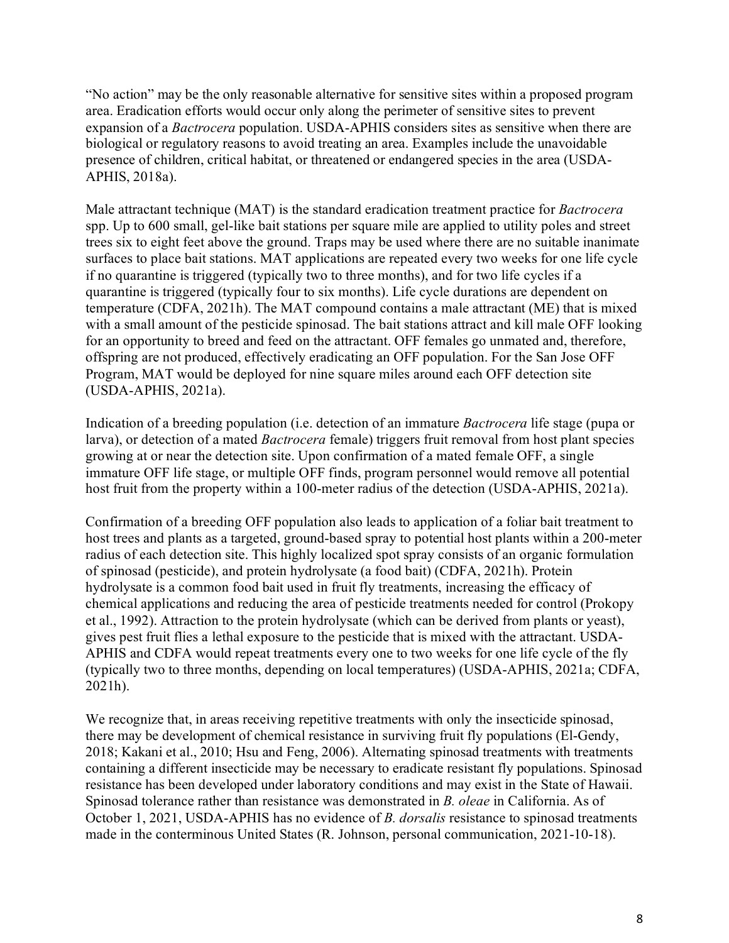"No action" may be the only reasonable alternative for sensitive sites within a proposed program area. Eradication efforts would occur only along the perimeter of sensitive sites to prevent expansion of a *Bactrocera* population. USDA-APHIS considers sites as sensitive when there are biological or regulatory reasons to avoid treating an area. Examples include the unavoidable presence of children, critical habitat, or threatened or endangered species in the area (USDA-APHIS, 2018a).

Male attractant technique (MAT) is the standard eradication treatment practice for *Bactrocera* spp. Up to 600 small, gel-like bait stations per square mile are applied to utility poles and street trees six to eight feet above the ground. Traps may be used where there are no suitable inanimate surfaces to place bait stations. MAT applications are repeated every two weeks for one life cycle if no quarantine is triggered (typically two to three months), and for two life cycles if a quarantine is triggered (typically four to six months). Life cycle durations are dependent on temperature (CDFA, 2021h). The MAT compound contains a male attractant (ME) that is mixed with a small amount of the pesticide spinosad. The bait stations attract and kill male OFF looking for an opportunity to breed and feed on the attractant. OFF females go unmated and, therefore, offspring are not produced, effectively eradicating an OFF population. For the San Jose OFF Program, MAT would be deployed for nine square miles around each OFF detection site (USDA-APHIS, 2021a).

Indication of a breeding population (i.e. detection of an immature *Bactrocera* life stage (pupa or larva), or detection of a mated *Bactrocera* female) triggers fruit removal from host plant species growing at or near the detection site. Upon confirmation of a mated female OFF, a single immature OFF life stage, or multiple OFF finds, program personnel would remove all potential host fruit from the property within a 100-meter radius of the detection (USDA-APHIS, 2021a).

Confirmation of a breeding OFF population also leads to application of a foliar bait treatment to host trees and plants as a targeted, ground-based spray to potential host plants within a 200-meter radius of each detection site. This highly localized spot spray consists of an organic formulation of spinosad (pesticide), and protein hydrolysate (a food bait) (CDFA, 2021h). Protein hydrolysate is a common food bait used in fruit fly treatments, increasing the efficacy of chemical applications and reducing the area of pesticide treatments needed for control (Prokopy et al., 1992). Attraction to the protein hydrolysate (which can be derived from plants or yeast), gives pest fruit flies a lethal exposure to the pesticide that is mixed with the attractant. USDA-APHIS and CDFA would repeat treatments every one to two weeks for one life cycle of the fly (typically two to three months, depending on local temperatures) (USDA-APHIS, 2021a; CDFA, 2021h).

We recognize that, in areas receiving repetitive treatments with only the insecticide spinosad, there may be development of chemical resistance in surviving fruit fly populations (El-Gendy, 2018; Kakani et al., 2010; Hsu and Feng, 2006). Alternating spinosad treatments with treatments containing a different insecticide may be necessary to eradicate resistant fly populations. Spinosad resistance has been developed under laboratory conditions and may exist in the State of Hawaii. Spinosad tolerance rather than resistance was demonstrated in *B. oleae* in California. As of October 1, 2021, USDA-APHIS has no evidence of *B. dorsalis* resistance to spinosad treatments made in the conterminous United States (R. Johnson, personal communication, 2021-10-18).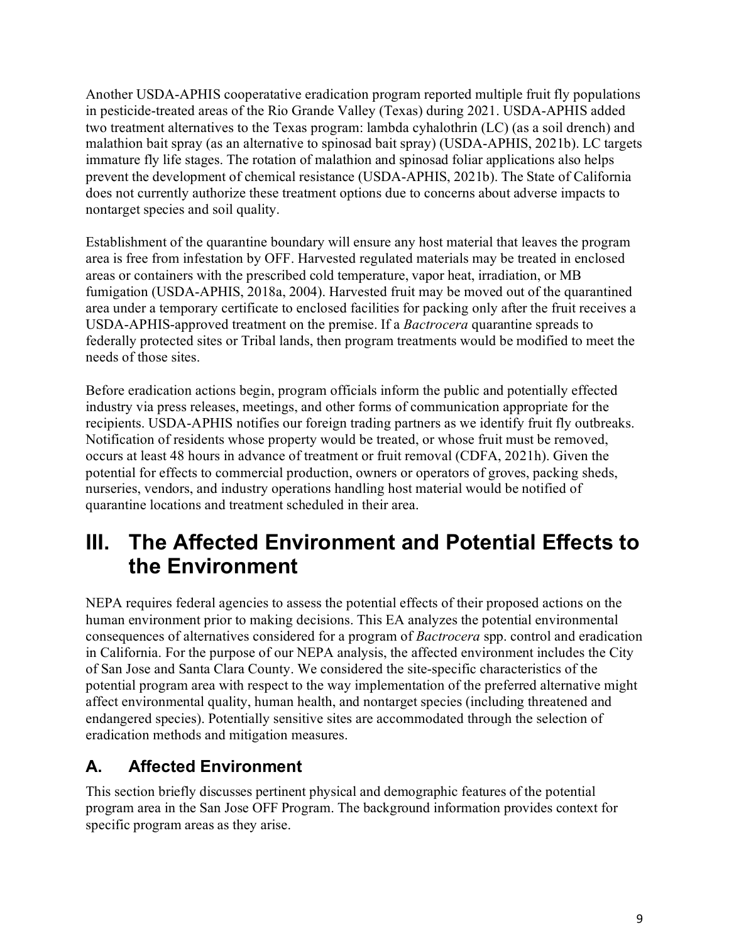Another USDA-APHIS cooperatative eradication program reported multiple fruit fly populations in pesticide-treated areas of the Rio Grande Valley (Texas) during 2021. USDA-APHIS added two treatment alternatives to the Texas program: lambda cyhalothrin (LC) (as a soil drench) and malathion bait spray (as an alternative to spinosad bait spray) (USDA-APHIS, 2021b). LC targets immature fly life stages. The rotation of malathion and spinosad foliar applications also helps prevent the development of chemical resistance (USDA-APHIS, 2021b). The State of California does not currently authorize these treatment options due to concerns about adverse impacts to nontarget species and soil quality.

Establishment of the quarantine boundary will ensure any host material that leaves the program area is free from infestation by OFF. Harvested regulated materials may be treated in enclosed areas or containers with the prescribed cold temperature, vapor heat, irradiation, or MB fumigation (USDA-APHIS, 2018a, 2004). Harvested fruit may be moved out of the quarantined area under a temporary certificate to enclosed facilities for packing only after the fruit receives a USDA-APHIS-approved treatment on the premise. If a *Bactrocera* quarantine spreads to federally protected sites or Tribal lands, then program treatments would be modified to meet the needs of those sites.

Before eradication actions begin, program officials inform the public and potentially effected industry via press releases, meetings, and other forms of communication appropriate for the recipients. USDA-APHIS notifies our foreign trading partners as we identify fruit fly outbreaks. Notification of residents whose property would be treated, or whose fruit must be removed, occurs at least 48 hours in advance of treatment or fruit removal (CDFA, 2021h). Given the potential for effects to commercial production, owners or operators of groves, packing sheds, nurseries, vendors, and industry operations handling host material would be notified of quarantine locations and treatment scheduled in their area.

# <span id="page-12-0"></span>**III. The Affected Environment and Potential Effects to the Environment**

NEPA requires federal agencies to assess the potential effects of their proposed actions on the human environment prior to making decisions. This EA analyzes the potential environmental consequences of alternatives considered for a program of *Bactrocera* spp. control and eradication in California. For the purpose of our NEPA analysis, the affected environment includes the City of San Jose and Santa Clara County. We considered the site-specific characteristics of the potential program area with respect to the way implementation of the preferred alternative might affect environmental quality, human health, and nontarget species (including threatened and endangered species). Potentially sensitive sites are accommodated through the selection of eradication methods and mitigation measures.

### <span id="page-12-1"></span>**A. Affected Environment**

This section briefly discusses pertinent physical and demographic features of the potential program area in the San Jose OFF Program. The background information provides context for specific program areas as they arise.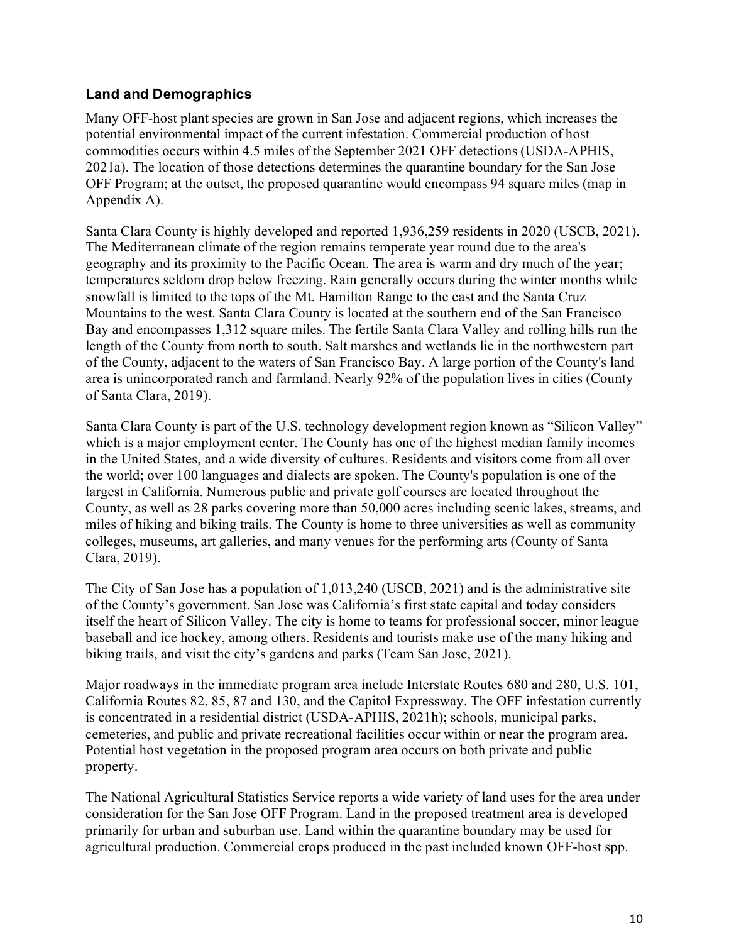### <span id="page-13-0"></span>**Land and Demographics**

Many OFF-host plant species are grown in San Jose and adjacent regions, which increases the potential environmental impact of the current infestation. Commercial production of host commodities occurs within 4.5 miles of the September 2021 OFF detections (USDA-APHIS, 2021a). The location of those detections determines the quarantine boundary for the San Jose OFF Program; at the outset, the proposed quarantine would encompass 94 square miles (map in Appendix A).

Santa Clara County is highly developed and reported 1,936,259 residents in 2020 (USCB, 2021). The Mediterranean climate of the region remains temperate year round due to the area's geography and its proximity to the Pacific Ocean. The area is warm and dry much of the year; temperatures seldom drop below freezing. Rain generally occurs during the winter months while snowfall is limited to the tops of the Mt. Hamilton Range to the east and the Santa Cruz Mountains to the west. Santa Clara County is located at the southern end of the San Francisco Bay and encompasses 1,312 square miles. The fertile Santa Clara Valley and rolling hills run the length of the County from north to south. Salt marshes and wetlands lie in the northwestern part of the County, adjacent to the waters of San Francisco Bay. A large portion of the County's land area is unincorporated ranch and farmland. Nearly 92% of the population lives in cities (County of Santa Clara, 2019).

Santa Clara County is part of the U.S. technology development region known as "Silicon Valley" which is a major employment center. The County has one of the highest median family incomes in the United States, and a wide diversity of cultures. Residents and visitors come from all over the world; over 100 languages and dialects are spoken. The County's population is one of the largest in California. Numerous public and private golf courses are located throughout the County, as well as 28 parks covering more than 50,000 acres including scenic lakes, streams, and miles of hiking and biking trails. The County is home to three universities as well as community colleges, museums, art galleries, and many venues for the performing arts (County of Santa Clara, 2019).

The City of San Jose has a population of 1,013,240 (USCB, 2021) and is the administrative site of the County's government. San Jose was California's first state capital and today considers itself the heart of Silicon Valley. The city is home to teams for professional soccer, minor league baseball and ice hockey, among others. Residents and tourists make use of the many hiking and biking trails, and visit the city's gardens and parks (Team San Jose, 2021).

Major roadways in the immediate program area include Interstate Routes 680 and 280, U.S. 101, California Routes 82, 85, 87 and 130, and the Capitol Expressway. The OFF infestation currently is concentrated in a residential district (USDA-APHIS, 2021h); schools, municipal parks, cemeteries, and public and private recreational facilities occur within or near the program area. Potential host vegetation in the proposed program area occurs on both private and public property.

The National Agricultural Statistics Service reports a wide variety of land uses for the area under consideration for the San Jose OFF Program. Land in the proposed treatment area is developed primarily for urban and suburban use. Land within the quarantine boundary may be used for agricultural production. Commercial crops produced in the past included known OFF-host spp.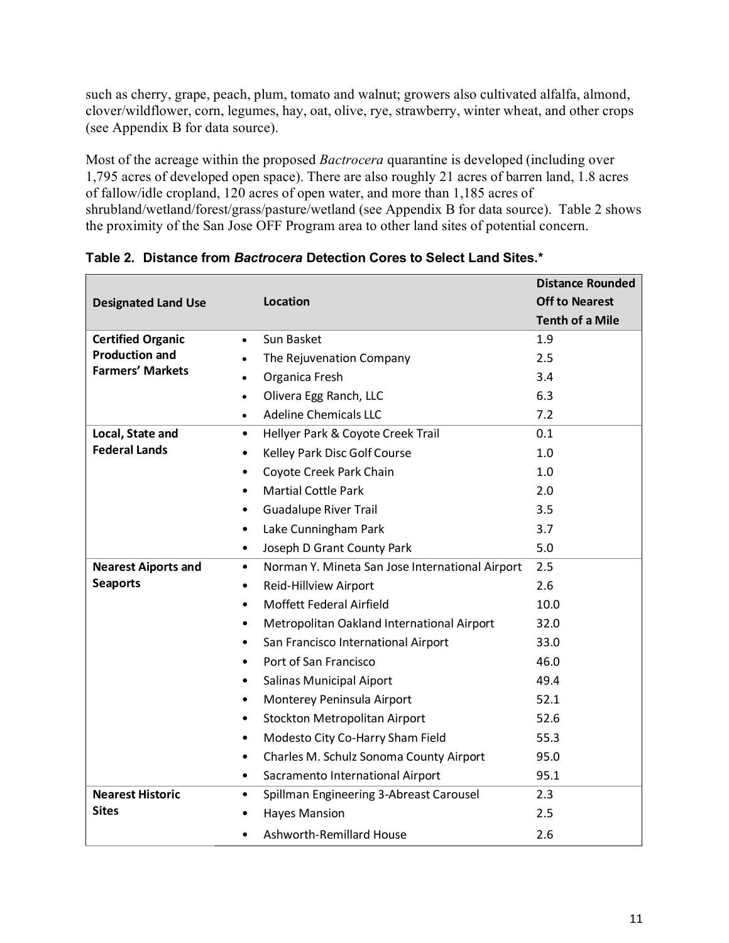such as cherry, grape, peach, plum, tomato and walnut; growers also cultivated alfalfa, almond, clover/wildflower, corn, legumes, hay, oat, olive, rye, strawberry, winter wheat, and other crops (see Appendix B for data source).

Most of the acreage within the proposed *Bactrocera* quarantine is developed (including over 1,795 acres of developed open space). There are also roughly 21 acres of barren land, 1.8 acres of fallow/idle cropland, 120 acres of open water, and more than 1,185 acres of shrubland/wetland/forest/grass/pasture/wetland (see Appendix B for data source). [Table 2](#page-14-0) shows the proximity of the San Jose OFF Program area to other land sites of potential concern.

|                            |                                                              |                                            | <b>Distance Rounded</b> |
|----------------------------|--------------------------------------------------------------|--------------------------------------------|-------------------------|
| <b>Designated Land Use</b> |                                                              | Location                                   | <b>Off to Nearest</b>   |
|                            |                                                              |                                            | <b>Tenth of a Mile</b>  |
| <b>Certified Organic</b>   | $\bullet$                                                    | Sun Basket                                 | 1.9                     |
| <b>Production and</b>      |                                                              | The Rejuvenation Company                   | 2.5                     |
| <b>Farmers' Markets</b>    | $\bullet$                                                    | Organica Fresh                             | 3.4                     |
|                            | $\bullet$                                                    | Olivera Egg Ranch, LLC                     | 6.3                     |
|                            | $\bullet$                                                    | <b>Adeline Chemicals LLC</b>               | 7.2                     |
| Local, State and           | $\bullet$                                                    | Hellyer Park & Coyote Creek Trail          | 0.1                     |
| <b>Federal Lands</b>       | $\bullet$                                                    | Kelley Park Disc Golf Course               | 1.0                     |
|                            | $\bullet$                                                    | Coyote Creek Park Chain                    | 1.0                     |
|                            | $\bullet$                                                    | <b>Martial Cottle Park</b>                 | 2.0                     |
|                            | $\bullet$                                                    | <b>Guadalupe River Trail</b>               | 3.5                     |
|                            | $\bullet$                                                    | Lake Cunningham Park                       | 3.7                     |
|                            | $\bullet$                                                    | Joseph D Grant County Park                 | 5.0                     |
| <b>Nearest Aiports and</b> | Norman Y. Mineta San Jose International Airport<br>$\bullet$ |                                            | 2.5                     |
| <b>Seaports</b>            | $\bullet$                                                    | Reid-Hillview Airport                      | 2.6                     |
|                            | $\bullet$                                                    | Moffett Federal Airfield                   | 10.0                    |
|                            | $\bullet$                                                    | Metropolitan Oakland International Airport | 32.0                    |
|                            | $\bullet$                                                    | San Francisco International Airport        | 33.0                    |
|                            | $\bullet$                                                    | Port of San Francisco                      | 46.0                    |
|                            | $\bullet$                                                    | Salinas Municipal Aiport                   | 49.4                    |
|                            | $\bullet$                                                    | Monterey Peninsula Airport                 | 52.1                    |
|                            | $\bullet$                                                    | Stockton Metropolitan Airport              | 52.6                    |
|                            | $\bullet$                                                    | Modesto City Co-Harry Sham Field           | 55.3                    |
|                            | $\bullet$                                                    | Charles M. Schulz Sonoma County Airport    | 95.0                    |
|                            | $\bullet$                                                    | Sacramento International Airport           | 95.1                    |
| <b>Nearest Historic</b>    | $\bullet$                                                    | Spillman Engineering 3-Abreast Carousel    | 2.3                     |
| <b>Sites</b>               |                                                              | <b>Hayes Mansion</b>                       | 2.5                     |
|                            |                                                              | Ashworth-Remillard House                   | 2.6                     |

<span id="page-14-0"></span>**Table 2. Distance from** *Bactrocera* **Detection Cores to Select Land Sites.\***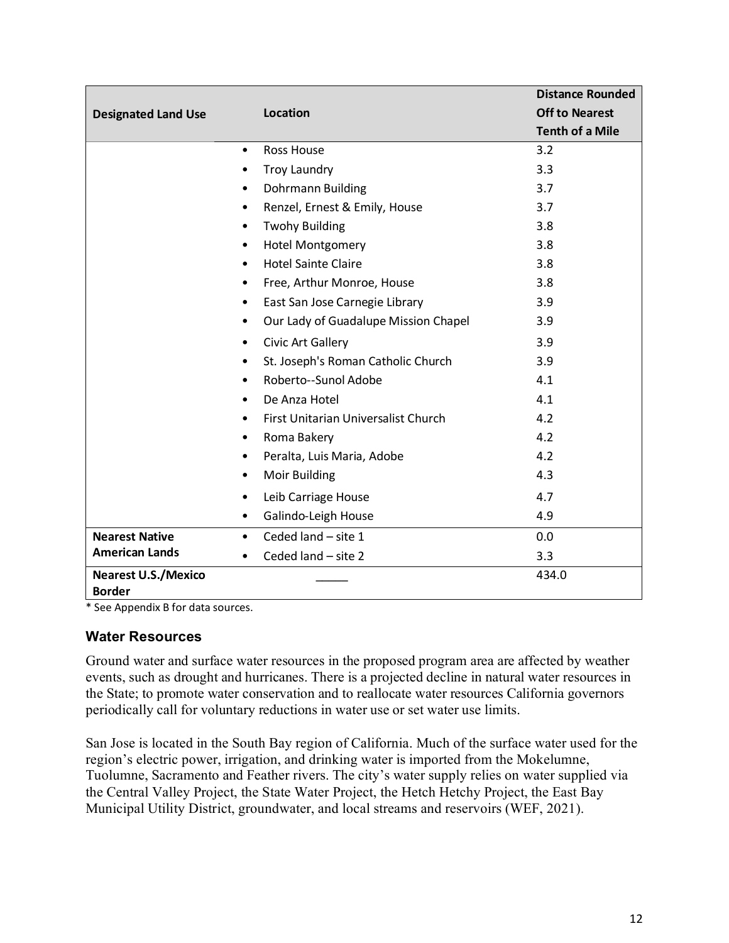|                                             |                                                   | <b>Distance Rounded</b> |
|---------------------------------------------|---------------------------------------------------|-------------------------|
| <b>Designated Land Use</b>                  | <b>Location</b>                                   | <b>Off to Nearest</b>   |
|                                             |                                                   | <b>Tenth of a Mile</b>  |
|                                             | <b>Ross House</b><br>$\bullet$                    | 3.2                     |
|                                             | <b>Troy Laundry</b><br>٠                          | 3.3                     |
|                                             | Dohrmann Building<br>$\bullet$                    | 3.7                     |
|                                             | Renzel, Ernest & Emily, House<br>$\bullet$        | 3.7                     |
|                                             | <b>Twohy Building</b><br>$\bullet$                | 3.8                     |
|                                             | <b>Hotel Montgomery</b><br>$\bullet$              | 3.8                     |
|                                             | <b>Hotel Sainte Claire</b><br>$\bullet$           | 3.8                     |
|                                             | Free, Arthur Monroe, House<br>$\bullet$           | 3.8                     |
|                                             | East San Jose Carnegie Library<br>$\bullet$       | 3.9                     |
|                                             | Our Lady of Guadalupe Mission Chapel<br>$\bullet$ | 3.9                     |
|                                             | Civic Art Gallery<br>٠                            | 3.9                     |
|                                             | St. Joseph's Roman Catholic Church<br>٠           | 3.9                     |
|                                             | Roberto--Sunol Adobe<br>$\bullet$                 | 4.1                     |
|                                             | De Anza Hotel<br>$\bullet$                        | 4.1                     |
|                                             | First Unitarian Universalist Church<br>$\bullet$  | 4.2                     |
|                                             | Roma Bakery<br>$\bullet$                          | 4.2                     |
|                                             | Peralta, Luis Maria, Adobe<br>٠                   | 4.2                     |
|                                             | Moir Building<br>$\bullet$                        | 4.3                     |
|                                             | Leib Carriage House<br>$\bullet$                  | 4.7                     |
|                                             | Galindo-Leigh House<br>$\bullet$                  | 4.9                     |
| <b>Nearest Native</b>                       | Ceded land - site 1<br>$\bullet$                  | 0.0                     |
| <b>American Lands</b>                       | Ceded land - site 2<br>$\bullet$                  | 3.3                     |
| <b>Nearest U.S./Mexico</b><br><b>Border</b> |                                                   | 434.0                   |

<span id="page-15-0"></span>\* See Appendix B for data sources.

#### **Water Resources**

Ground water and surface water resources in the proposed program area are affected by weather events, such as drought and hurricanes. There is a projected decline in natural water resources in the State; to promote water conservation and to reallocate water resources California governors periodically call for voluntary reductions in water use or set water use limits.

San Jose is located in the South Bay region of California. Much of the surface water used for the region's electric power, irrigation, and drinking water is imported from the Mokelumne, Tuolumne, Sacramento and Feather rivers. The city's water supply relies on water supplied via the Central Valley Project, the State Water Project, the Hetch Hetchy Project, the East Bay Municipal Utility District, groundwater, and local streams and reservoirs (WEF, 2021).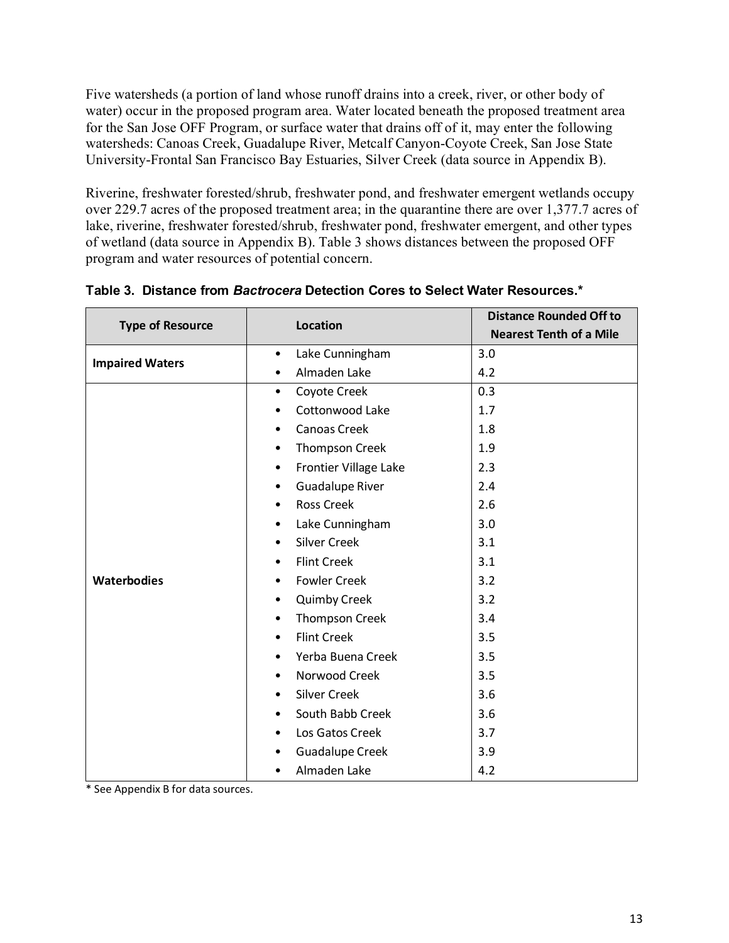Five watersheds (a portion of land whose runoff drains into a creek, river, or other body of water) occur in the proposed program area. Water located beneath the proposed treatment area for the San Jose OFF Program, or surface water that drains off of it, may enter the following watersheds: Canoas Creek, Guadalupe River, Metcalf Canyon-Coyote Creek, San Jose State University-Frontal San Francisco Bay Estuaries, Silver Creek (data source in Appendix B).

Riverine, freshwater forested/shrub, freshwater pond, and freshwater emergent wetlands occupy over 229.7 acres of the proposed treatment area; in the quarantine there are over 1,377.7 acres of lake, riverine, freshwater forested/shrub, freshwater pond, freshwater emergent, and other types of wetland (data source in Appendix B). [Table 3](#page-16-0) shows distances between the proposed OFF program and water resources of potential concern.

| <b>Type of Resource</b> | <b>Location</b>                    | <b>Distance Rounded Off to</b> |
|-------------------------|------------------------------------|--------------------------------|
|                         |                                    | <b>Nearest Tenth of a Mile</b> |
| <b>Impaired Waters</b>  | Lake Cunningham<br>$\bullet$       | 3.0                            |
|                         | Almaden Lake<br>$\bullet$          | 4.2                            |
|                         | Coyote Creek<br>$\bullet$          | 0.3                            |
|                         | Cottonwood Lake<br>$\bullet$       | 1.7                            |
|                         | <b>Canoas Creek</b><br>$\bullet$   | 1.8                            |
|                         | Thompson Creek<br>٠                | 1.9                            |
|                         | Frontier Village Lake<br>٠         | 2.3                            |
|                         | <b>Guadalupe River</b><br>٠        | 2.4                            |
|                         | <b>Ross Creek</b><br>٠             | 2.6                            |
|                         | Lake Cunningham<br>٠               | 3.0                            |
|                         | <b>Silver Creek</b><br>$\bullet$   | 3.1                            |
|                         | <b>Flint Creek</b><br>$\bullet$    | 3.1                            |
| <b>Waterbodies</b>      | <b>Fowler Creek</b><br>$\bullet$   | 3.2                            |
|                         | <b>Quimby Creek</b><br>$\bullet$   | 3.2                            |
|                         | <b>Thompson Creek</b><br>$\bullet$ | 3.4                            |
|                         | <b>Flint Creek</b><br>$\bullet$    | 3.5                            |
|                         | Yerba Buena Creek<br>$\bullet$     | 3.5                            |
|                         | Norwood Creek<br>$\bullet$         | 3.5                            |
|                         | <b>Silver Creek</b><br>$\bullet$   | 3.6                            |
|                         | South Babb Creek<br>$\bullet$      | 3.6                            |
|                         | Los Gatos Creek<br>$\bullet$       | 3.7                            |
|                         | <b>Guadalupe Creek</b><br>٠        | 3.9                            |
|                         | Almaden Lake<br>٠                  | 4.2                            |

<span id="page-16-0"></span>**Table 3. Distance from** *Bactrocera* **Detection Cores to Select Water Resources.\***

\* See Appendix B for data sources.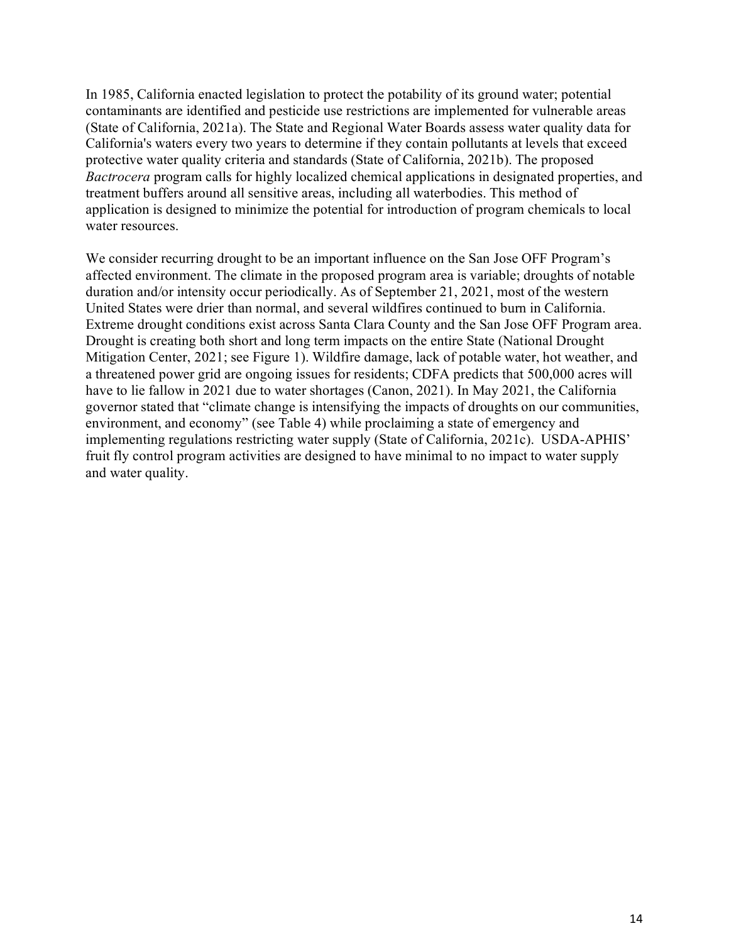In 1985, California enacted legislation to protect the potability of its ground water; potential contaminants are identified and pesticide use restrictions are implemented for vulnerable areas (State of California, 2021a). The State and Regional Water Boards assess water quality data for California's waters every two years to determine if they contain pollutants at levels that exceed protective water quality criteria and standards (State of California, 2021b). The proposed *Bactrocera* program calls for highly localized chemical applications in designated properties, and treatment buffers around all sensitive areas, including all waterbodies. This method of application is designed to minimize the potential for introduction of program chemicals to local water resources.

<span id="page-17-0"></span>We consider recurring drought to be an important influence on the San Jose OFF Program's affected environment. The climate in the proposed program area is variable; droughts of notable duration and/or intensity occur periodically. As of September 21, 2021, most of the western United States were drier than normal, and several wildfires continued to burn in California. Extreme drought conditions exist across Santa Clara County and the San Jose OFF Program area. Drought is creating both short and long term impacts on the entire State (National Drought Mitigation Center, 2021; see Figure 1). Wildfire damage, lack of potable water, hot weather, and a threatened power grid are ongoing issues for residents; CDFA predicts that 500,000 acres will have to lie fallow in 2021 due to water shortages (Canon, 2021). In May 2021, the California governor stated that "climate change is intensifying the impacts of droughts on our communities, environment, and economy" (see [Table 4\)](#page-18-0) while proclaiming a state of emergency and implementing regulations restricting water supply (State of California, 2021c). USDA-APHIS' fruit fly control program activities are designed to have minimal to no impact to water supply and water quality.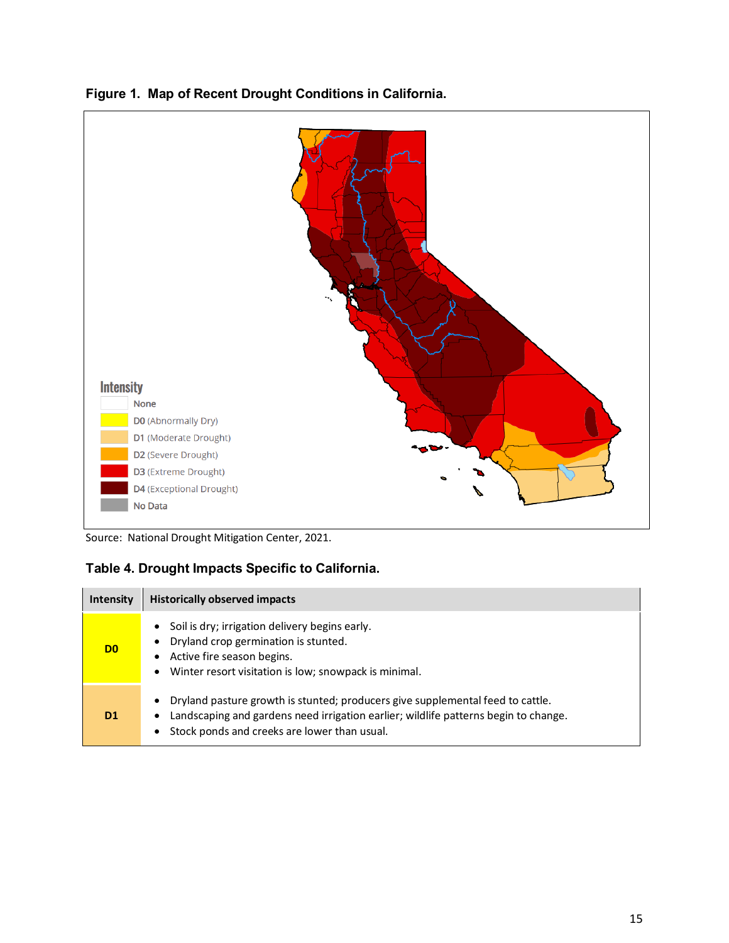

### **Figure 1. Map of Recent Drought Conditions in California.**

Source: National Drought Mitigation Center, 2021.

### <span id="page-18-0"></span>**Table 4. Drought Impacts Specific to California.**

| <b>Intensity</b> | <b>Historically observed impacts</b>                                                                                                                                                                                                         |
|------------------|----------------------------------------------------------------------------------------------------------------------------------------------------------------------------------------------------------------------------------------------|
| D0               | Soil is dry; irrigation delivery begins early.<br>$\bullet$<br>Dryland crop germination is stunted.<br>Active fire season begins.<br>$\bullet$<br>Winter resort visitation is low; snowpack is minimal.<br>$\bullet$                         |
| D1               | Dryland pasture growth is stunted; producers give supplemental feed to cattle.<br>٠<br>Landscaping and gardens need irrigation earlier; wildlife patterns begin to change.<br>٠<br>Stock ponds and creeks are lower than usual.<br>$\bullet$ |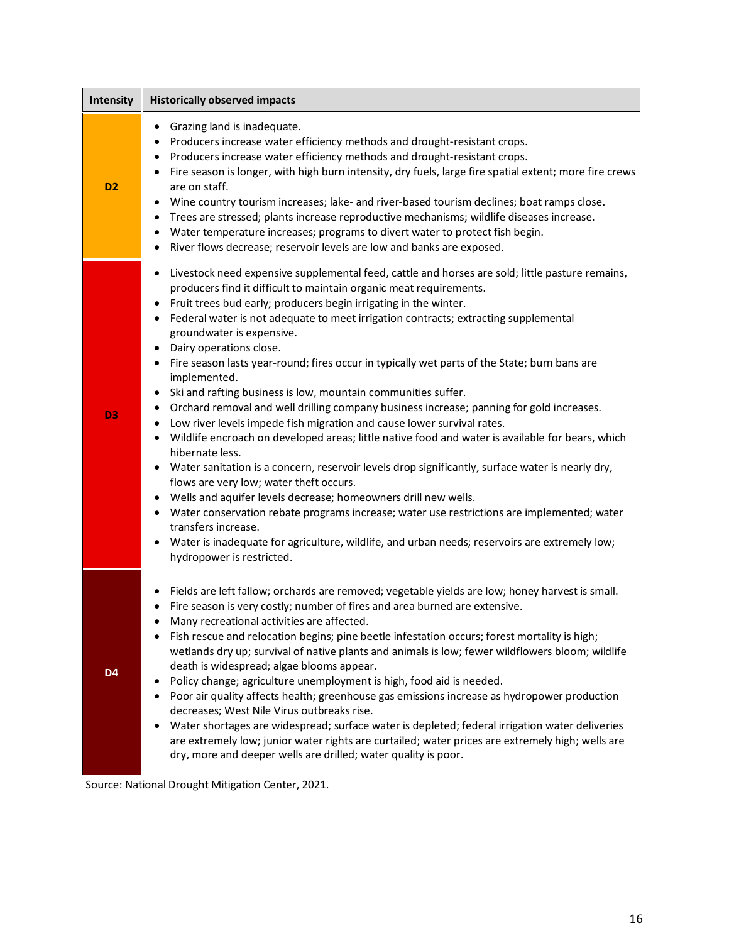| Intensity      | <b>Historically observed impacts</b>                                                                                                                                                                                                                                                                                                                                                                                                                                                                                                                                                                                                                                                                                                                                                                                                                                                                                                                                                                                                                                                                                                                                                                                                                                                                                                                                                                                                                                                        |
|----------------|---------------------------------------------------------------------------------------------------------------------------------------------------------------------------------------------------------------------------------------------------------------------------------------------------------------------------------------------------------------------------------------------------------------------------------------------------------------------------------------------------------------------------------------------------------------------------------------------------------------------------------------------------------------------------------------------------------------------------------------------------------------------------------------------------------------------------------------------------------------------------------------------------------------------------------------------------------------------------------------------------------------------------------------------------------------------------------------------------------------------------------------------------------------------------------------------------------------------------------------------------------------------------------------------------------------------------------------------------------------------------------------------------------------------------------------------------------------------------------------------|
| D <sub>2</sub> | Grazing land is inadequate.<br>$\bullet$<br>Producers increase water efficiency methods and drought-resistant crops.<br>٠<br>Producers increase water efficiency methods and drought-resistant crops.<br>٠<br>Fire season is longer, with high burn intensity, dry fuels, large fire spatial extent; more fire crews<br>٠<br>are on staff.<br>Wine country tourism increases; lake- and river-based tourism declines; boat ramps close.<br>$\bullet$<br>Trees are stressed; plants increase reproductive mechanisms; wildlife diseases increase.<br>٠<br>Water temperature increases; programs to divert water to protect fish begin.<br>٠<br>River flows decrease; reservoir levels are low and banks are exposed.<br>$\bullet$                                                                                                                                                                                                                                                                                                                                                                                                                                                                                                                                                                                                                                                                                                                                                            |
| D3             | Livestock need expensive supplemental feed, cattle and horses are sold; little pasture remains,<br>$\bullet$<br>producers find it difficult to maintain organic meat requirements.<br>Fruit trees bud early; producers begin irrigating in the winter.<br>$\bullet$<br>Federal water is not adequate to meet irrigation contracts; extracting supplemental<br>$\bullet$<br>groundwater is expensive.<br>Dairy operations close.<br>$\bullet$<br>Fire season lasts year-round; fires occur in typically wet parts of the State; burn bans are<br>٠<br>implemented.<br>Ski and rafting business is low, mountain communities suffer.<br>$\bullet$<br>Orchard removal and well drilling company business increase; panning for gold increases.<br>$\bullet$<br>Low river levels impede fish migration and cause lower survival rates.<br>$\bullet$<br>Wildlife encroach on developed areas; little native food and water is available for bears, which<br>$\bullet$<br>hibernate less.<br>Water sanitation is a concern, reservoir levels drop significantly, surface water is nearly dry,<br>$\bullet$<br>flows are very low; water theft occurs.<br>Wells and aquifer levels decrease; homeowners drill new wells.<br>٠<br>Water conservation rebate programs increase; water use restrictions are implemented; water<br>٠<br>transfers increase.<br>Water is inadequate for agriculture, wildlife, and urban needs; reservoirs are extremely low;<br>$\bullet$<br>hydropower is restricted. |
| D <sub>4</sub> | Fields are left fallow; orchards are removed; vegetable yields are low; honey harvest is small.<br>$\bullet$<br>Fire season is very costly; number of fires and area burned are extensive.<br>Many recreational activities are affected.<br>Fish rescue and relocation begins; pine beetle infestation occurs; forest mortality is high;<br>٠<br>wetlands dry up; survival of native plants and animals is low; fewer wildflowers bloom; wildlife<br>death is widespread; algae blooms appear.<br>Policy change; agriculture unemployment is high, food aid is needed.<br>$\bullet$<br>Poor air quality affects health; greenhouse gas emissions increase as hydropower production<br>٠<br>decreases; West Nile Virus outbreaks rise.<br>Water shortages are widespread; surface water is depleted; federal irrigation water deliveries<br>$\bullet$<br>are extremely low; junior water rights are curtailed; water prices are extremely high; wells are<br>dry, more and deeper wells are drilled; water quality is poor.                                                                                                                                                                                                                                                                                                                                                                                                                                                                  |

Source: National Drought Mitigation Center, 2021.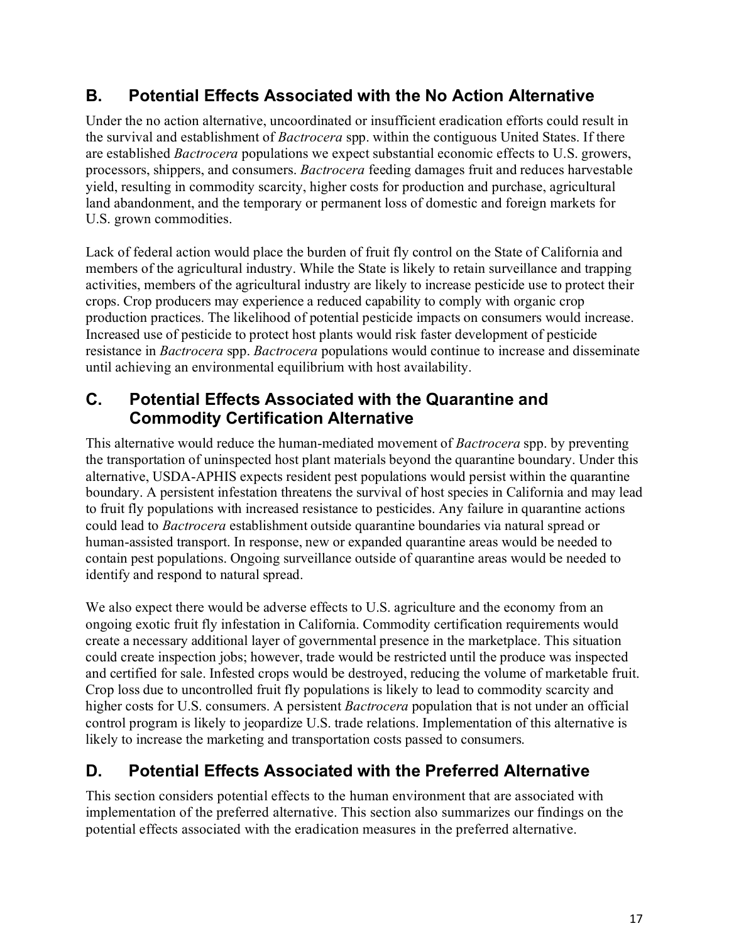### <span id="page-20-0"></span>**B. Potential Effects Associated with the No Action Alternative**

Under the no action alternative, uncoordinated or insufficient eradication efforts could result in the survival and establishment of *Bactrocera* spp. within the contiguous United States. If there are established *Bactrocera* populations we expect substantial economic effects to U.S. growers, processors, shippers, and consumers. *Bactrocera* feeding damages fruit and reduces harvestable yield, resulting in commodity scarcity, higher costs for production and purchase, agricultural land abandonment, and the temporary or permanent loss of domestic and foreign markets for U.S. grown commodities.

Lack of federal action would place the burden of fruit fly control on the State of California and members of the agricultural industry. While the State is likely to retain surveillance and trapping activities, members of the agricultural industry are likely to increase pesticide use to protect their crops. Crop producers may experience a reduced capability to comply with organic crop production practices. The likelihood of potential pesticide impacts on consumers would increase. Increased use of pesticide to protect host plants would risk faster development of pesticide resistance in *Bactrocera* spp. *Bactrocera* populations would continue to increase and disseminate until achieving an environmental equilibrium with host availability.

### <span id="page-20-1"></span>**C. Potential Effects Associated with the Quarantine and Commodity Certification Alternative**

This alternative would reduce the human-mediated movement of *Bactrocera* spp. by preventing the transportation of uninspected host plant materials beyond the quarantine boundary. Under this alternative, USDA-APHIS expects resident pest populations would persist within the quarantine boundary. A persistent infestation threatens the survival of host species in California and may lead to fruit fly populations with increased resistance to pesticides. Any failure in quarantine actions could lead to *Bactrocera* establishment outside quarantine boundaries via natural spread or human-assisted transport. In response, new or expanded quarantine areas would be needed to contain pest populations. Ongoing surveillance outside of quarantine areas would be needed to identify and respond to natural spread.

We also expect there would be adverse effects to U.S. agriculture and the economy from an ongoing exotic fruit fly infestation in California. Commodity certification requirements would create a necessary additional layer of governmental presence in the marketplace. This situation could create inspection jobs; however, trade would be restricted until the produce was inspected and certified for sale. Infested crops would be destroyed, reducing the volume of marketable fruit. Crop loss due to uncontrolled fruit fly populations is likely to lead to commodity scarcity and higher costs for U.S. consumers. A persistent *Bactrocera* population that is not under an official control program is likely to jeopardize U.S. trade relations. Implementation of this alternative is likely to increase the marketing and transportation costs passed to consumers.

### <span id="page-20-2"></span>**D. Potential Effects Associated with the Preferred Alternative**

This section considers potential effects to the human environment that are associated with implementation of the preferred alternative. This section also summarizes our findings on the potential effects associated with the eradication measures in the preferred alternative.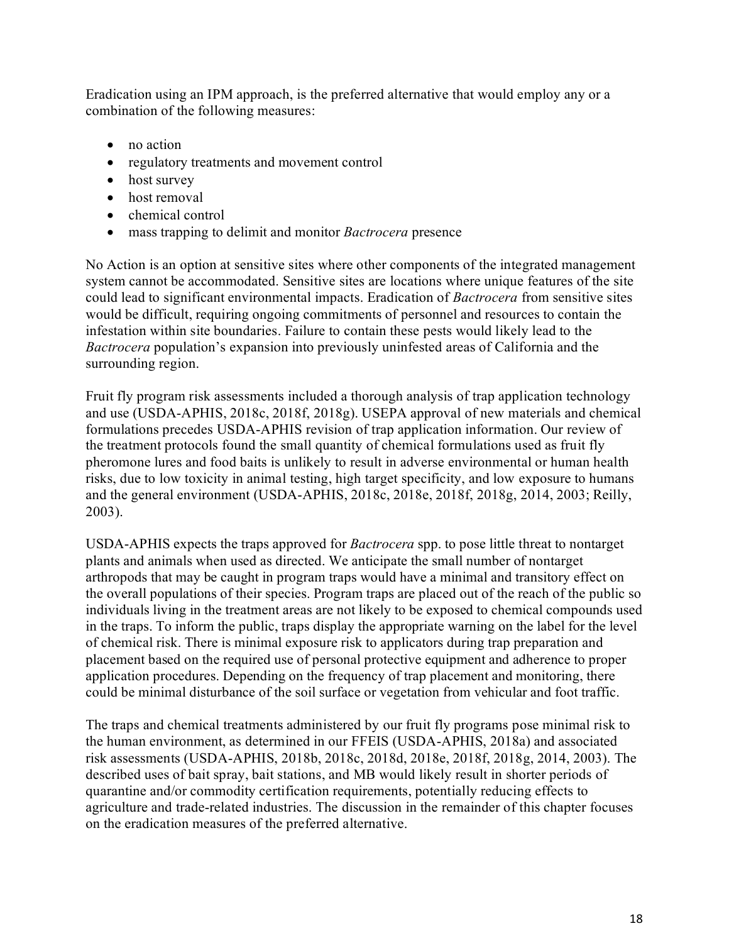Eradication using an IPM approach, is the preferred alternative that would employ any or a combination of the following measures:

- no action
- regulatory treatments and movement control
- host survey
- host removal
- chemical control
- mass trapping to delimit and monitor *Bactrocera* presence

No Action is an option at sensitive sites where other components of the integrated management system cannot be accommodated. Sensitive sites are locations where unique features of the site could lead to significant environmental impacts. Eradication of *Bactrocera* from sensitive sites would be difficult, requiring ongoing commitments of personnel and resources to contain the infestation within site boundaries. Failure to contain these pests would likely lead to the *Bactrocera* population's expansion into previously uninfested areas of California and the surrounding region.

Fruit fly program risk assessments included a thorough analysis of trap application technology and use (USDA-APHIS, 2018c, 2018f, 2018g). USEPA approval of new materials and chemical formulations precedes USDA-APHIS revision of trap application information. Our review of the treatment protocols found the small quantity of chemical formulations used as fruit fly pheromone lures and food baits is unlikely to result in adverse environmental or human health risks, due to low toxicity in animal testing, high target specificity, and low exposure to humans and the general environment (USDA-APHIS, 2018c, 2018e, 2018f, 2018g, 2014, 2003; Reilly, 2003).

USDA-APHIS expects the traps approved for *Bactrocera* spp. to pose little threat to nontarget plants and animals when used as directed. We anticipate the small number of nontarget arthropods that may be caught in program traps would have a minimal and transitory effect on the overall populations of their species. Program traps are placed out of the reach of the public so individuals living in the treatment areas are not likely to be exposed to chemical compounds used in the traps. To inform the public, traps display the appropriate warning on the label for the level of chemical risk. There is minimal exposure risk to applicators during trap preparation and placement based on the required use of personal protective equipment and adherence to proper application procedures. Depending on the frequency of trap placement and monitoring, there could be minimal disturbance of the soil surface or vegetation from vehicular and foot traffic.

The traps and chemical treatments administered by our fruit fly programs pose minimal risk to the human environment, as determined in our FFEIS (USDA-APHIS, 2018a) and associated risk assessments (USDA-APHIS, 2018b, 2018c, 2018d, 2018e, 2018f, 2018g, 2014, 2003). The described uses of bait spray, bait stations, and MB would likely result in shorter periods of quarantine and/or commodity certification requirements, potentially reducing effects to agriculture and trade-related industries. The discussion in the remainder of this chapter focuses on the eradication measures of the preferred alternative.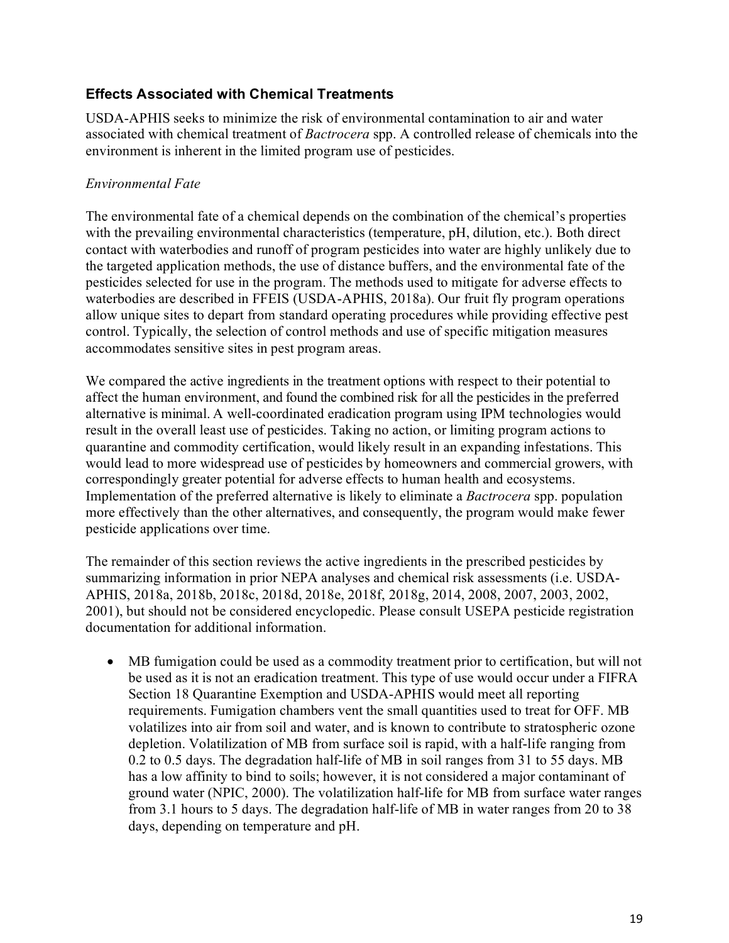### <span id="page-22-0"></span>**Effects Associated with Chemical Treatments**

USDA-APHIS seeks to minimize the risk of environmental contamination to air and water associated with chemical treatment of *Bactrocera* spp. A controlled release of chemicals into the environment is inherent in the limited program use of pesticides.

### *Environmental Fate*

The environmental fate of a chemical depends on the combination of the chemical's properties with the prevailing environmental characteristics (temperature, pH, dilution, etc.). Both direct contact with waterbodies and runoff of program pesticides into water are highly unlikely due to the targeted application methods, the use of distance buffers, and the environmental fate of the pesticides selected for use in the program. The methods used to mitigate for adverse effects to waterbodies are described in FFEIS (USDA-APHIS, 2018a). Our fruit fly program operations allow unique sites to depart from standard operating procedures while providing effective pest control. Typically, the selection of control methods and use of specific mitigation measures accommodates sensitive sites in pest program areas.

We compared the active ingredients in the treatment options with respect to their potential to affect the human environment, and found the combined risk for all the pesticides in the preferred alternative is minimal. A well-coordinated eradication program using IPM technologies would result in the overall least use of pesticides. Taking no action, or limiting program actions to quarantine and commodity certification, would likely result in an expanding infestations. This would lead to more widespread use of pesticides by homeowners and commercial growers, with correspondingly greater potential for adverse effects to human health and ecosystems. Implementation of the preferred alternative is likely to eliminate a *Bactrocera* spp. population more effectively than the other alternatives, and consequently, the program would make fewer pesticide applications over time.

The remainder of this section reviews the active ingredients in the prescribed pesticides by summarizing information in prior NEPA analyses and chemical risk assessments (i.e. USDA-APHIS, 2018a, 2018b, 2018c, 2018d, 2018e, 2018f, 2018g, 2014, 2008, 2007, 2003, 2002, 2001), but should not be considered encyclopedic. Please consult USEPA pesticide registration documentation for additional information.

• MB fumigation could be used as a commodity treatment prior to certification, but will not be used as it is not an eradication treatment. This type of use would occur under a FIFRA Section 18 Quarantine Exemption and USDA-APHIS would meet all reporting requirements. Fumigation chambers vent the small quantities used to treat for OFF. MB volatilizes into air from soil and water, and is known to contribute to stratospheric ozone depletion. Volatilization of MB from surface soil is rapid, with a half-life ranging from 0.2 to 0.5 days. The degradation half-life of MB in soil ranges from 31 to 55 days. MB has a low affinity to bind to soils; however, it is not considered a major contaminant of ground water (NPIC, 2000). The volatilization half-life for MB from surface water ranges from 3.1 hours to 5 days. The degradation half-life of MB in water ranges from 20 to 38 days, depending on temperature and pH.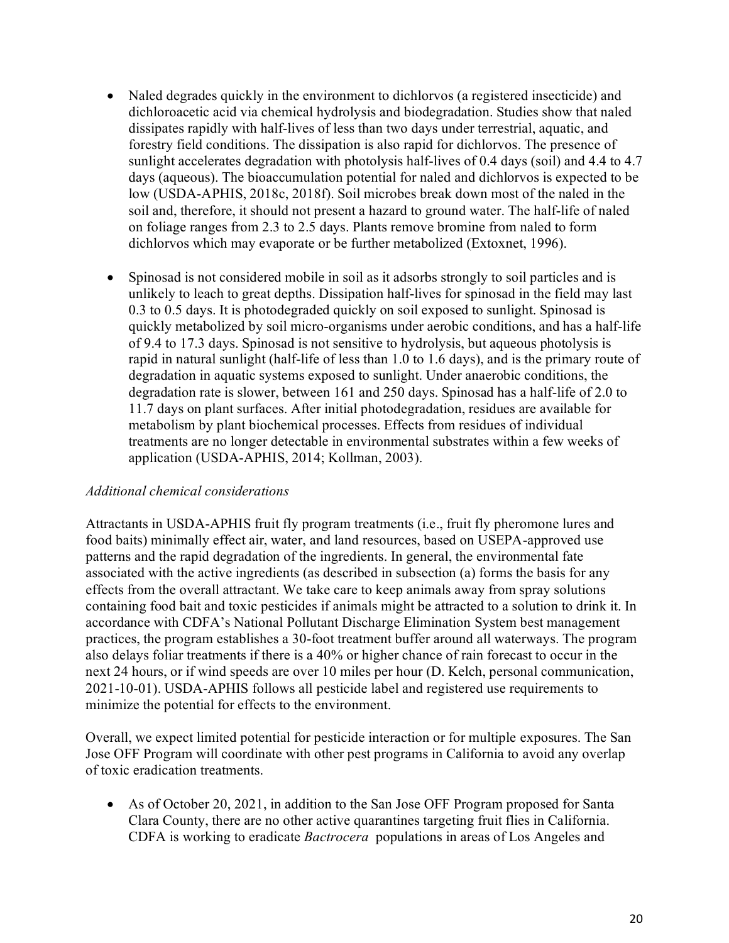- Naled degrades quickly in the environment to dichlorvos (a registered insecticide) and dichloroacetic acid via chemical hydrolysis and biodegradation. Studies show that naled dissipates rapidly with half-lives of less than two days under terrestrial, aquatic, and forestry field conditions. The dissipation is also rapid for dichlorvos. The presence of sunlight accelerates degradation with photolysis half-lives of 0.4 days (soil) and 4.4 to 4.7 days (aqueous). The bioaccumulation potential for naled and dichlorvos is expected to be low (USDA-APHIS, 2018c, 2018f). Soil microbes break down most of the naled in the soil and, therefore, it should not present a hazard to ground water. The half-life of naled on foliage ranges from 2.3 to 2.5 days. Plants remove bromine from naled to form dichlorvos which may evaporate or be further metabolized (Extoxnet, 1996).
- Spinosad is not considered mobile in soil as it adsorbs strongly to soil particles and is unlikely to leach to great depths. Dissipation half-lives for spinosad in the field may last 0.3 to 0.5 days. It is photodegraded quickly on soil exposed to sunlight. Spinosad is quickly metabolized by soil micro-organisms under aerobic conditions, and has a half-life of 9.4 to 17.3 days. Spinosad is not sensitive to hydrolysis, but aqueous photolysis is rapid in natural sunlight (half-life of less than 1.0 to 1.6 days), and is the primary route of degradation in aquatic systems exposed to sunlight. Under anaerobic conditions, the degradation rate is slower, between 161 and 250 days. Spinosad has a half-life of 2.0 to 11.7 days on plant surfaces. After initial photodegradation, residues are available for metabolism by plant biochemical processes. Effects from residues of individual treatments are no longer detectable in environmental substrates within a few weeks of application (USDA-APHIS, 2014; Kollman, 2003).

### *Additional chemical considerations*

Attractants in USDA-APHIS fruit fly program treatments (i.e., fruit fly pheromone lures and food baits) minimally effect air, water, and land resources, based on USEPA-approved use patterns and the rapid degradation of the ingredients. In general, the environmental fate associated with the active ingredients (as described in subsection (a) forms the basis for any effects from the overall attractant. We take care to keep animals away from spray solutions containing food bait and toxic pesticides if animals might be attracted to a solution to drink it. In accordance with CDFA's National Pollutant Discharge Elimination System best management practices, the program establishes a 30-foot treatment buffer around all waterways. The program also delays foliar treatments if there is a 40% or higher chance of rain forecast to occur in the next 24 hours, or if wind speeds are over 10 miles per hour (D. Kelch, personal communication, 2021-10-01). USDA-APHIS follows all pesticide label and registered use requirements to minimize the potential for effects to the environment.

Overall, we expect limited potential for pesticide interaction or for multiple exposures. The San Jose OFF Program will coordinate with other pest programs in California to avoid any overlap of toxic eradication treatments.

• As of October 20, 2021, in addition to the San Jose OFF Program proposed for Santa Clara County, there are no other active quarantines targeting fruit flies in California. CDFA is working to eradicate *Bactrocera* populations in areas of Los Angeles and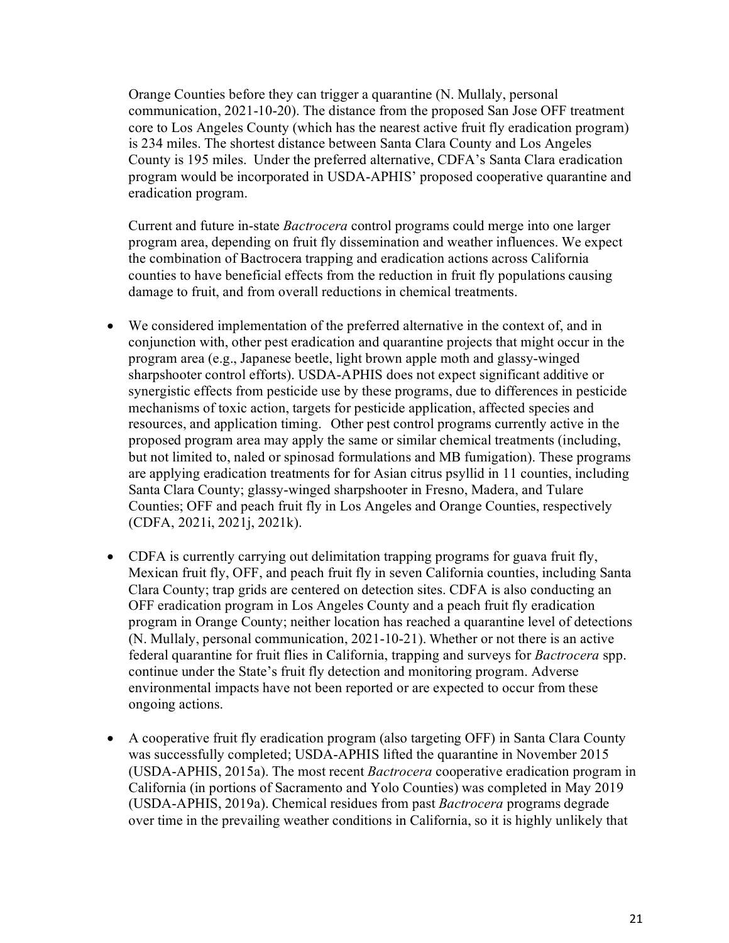Orange Counties before they can trigger a quarantine (N. Mullaly, personal communication, 2021-10-20). The distance from the proposed San Jose OFF treatment core to Los Angeles County (which has the nearest active fruit fly eradication program) is 234 miles. The shortest distance between Santa Clara County and Los Angeles County is 195 miles. Under the preferred alternative, CDFA's Santa Clara eradication program would be incorporated in USDA-APHIS' proposed cooperative quarantine and eradication program.

Current and future in-state *Bactrocera* control programs could merge into one larger program area, depending on fruit fly dissemination and weather influences. We expect the combination of Bactrocera trapping and eradication actions across California counties to have beneficial effects from the reduction in fruit fly populations causing damage to fruit, and from overall reductions in chemical treatments.

- We considered implementation of the preferred alternative in the context of, and in conjunction with, other pest eradication and quarantine projects that might occur in the program area (e.g., Japanese beetle, light brown apple moth and glassy-winged sharpshooter control efforts). USDA-APHIS does not expect significant additive or synergistic effects from pesticide use by these programs, due to differences in pesticide mechanisms of toxic action, targets for pesticide application, affected species and resources, and application timing. Other pest control programs currently active in the proposed program area may apply the same or similar chemical treatments (including, but not limited to, naled or spinosad formulations and MB fumigation). These programs are applying eradication treatments for for Asian citrus psyllid in 11 counties, including Santa Clara County; glassy-winged sharpshooter in Fresno, Madera, and Tulare Counties; OFF and peach fruit fly in Los Angeles and Orange Counties, respectively (CDFA, 2021i, 2021j, 2021k).
- CDFA is currently carrying out delimitation trapping programs for guava fruit fly, Mexican fruit fly, OFF, and peach fruit fly in seven California counties, including Santa Clara County; trap grids are centered on detection sites. CDFA is also conducting an OFF eradication program in Los Angeles County and a peach fruit fly eradication program in Orange County; neither location has reached a quarantine level of detections (N. Mullaly, personal communication, 2021-10-21). Whether or not there is an active federal quarantine for fruit flies in California, trapping and surveys for *Bactrocera* spp. continue under the State's fruit fly detection and monitoring program. Adverse environmental impacts have not been reported or are expected to occur from these ongoing actions.
- A cooperative fruit fly eradication program (also targeting OFF) in Santa Clara County was successfully completed; USDA-APHIS lifted the quarantine in November 2015 (USDA-APHIS, 2015a). The most recent *Bactrocera* cooperative eradication program in California (in portions of Sacramento and Yolo Counties) was completed in May 2019 (USDA-APHIS, 2019a). Chemical residues from past *Bactrocera* programs degrade over time in the prevailing weather conditions in California, so it is highly unlikely that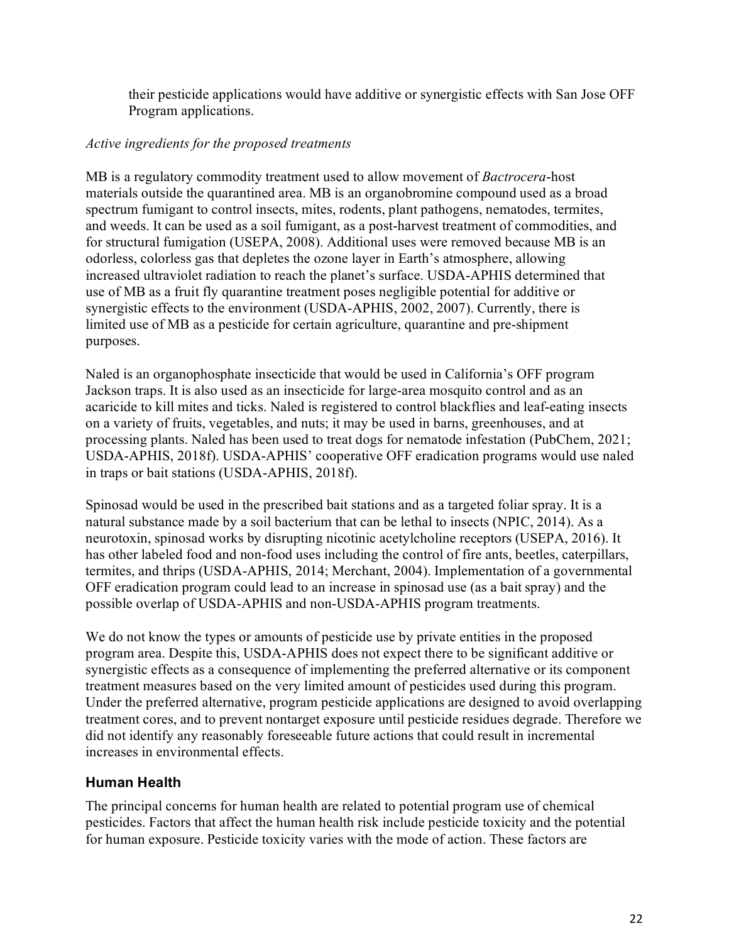their pesticide applications would have additive or synergistic effects with San Jose OFF Program applications.

### *Active ingredients for the proposed treatments*

MB is a regulatory commodity treatment used to allow movement of *Bactrocera*-host materials outside the quarantined area. MB is an organobromine compound used as a broad spectrum fumigant to control insects, mites, rodents, plant pathogens, nematodes, termites, and weeds. It can be used as a soil fumigant, as a post-harvest treatment of commodities, and for structural fumigation (USEPA, 2008). Additional uses were removed because MB is an odorless, colorless gas that depletes the ozone layer in Earth's atmosphere, allowing increased ultraviolet radiation to reach the planet's surface. USDA-APHIS determined that use of MB as a fruit fly quarantine treatment poses negligible potential for additive or synergistic effects to the environment (USDA-APHIS, 2002, 2007). Currently, there is limited use of MB as a pesticide for certain agriculture, quarantine and pre-shipment purposes.

Naled is an organophosphate insecticide that would be used in California's OFF program Jackson traps. It is also used as an insecticide for large-area mosquito control and as an acaricide to kill mites and ticks. Naled is registered to control blackflies and leaf-eating insects on a variety of fruits, vegetables, and nuts; it may be used in barns, greenhouses, and at processing plants. Naled has been used to treat dogs for nematode infestation (PubChem, 2021; USDA-APHIS, 2018f). USDA-APHIS' cooperative OFF eradication programs would use naled in traps or bait stations (USDA-APHIS, 2018f).

Spinosad would be used in the prescribed bait stations and as a targeted foliar spray. It is a natural substance made by a soil bacterium that can be lethal to insects (NPIC, 2014). As a neurotoxin, spinosad works by disrupting nicotinic acetylcholine receptors (USEPA, 2016). It has other labeled food and non-food uses including the control of fire ants, beetles, caterpillars, termites, and thrips (USDA-APHIS, 2014; Merchant, 2004). Implementation of a governmental OFF eradication program could lead to an increase in spinosad use (as a bait spray) and the possible overlap of USDA-APHIS and non-USDA-APHIS program treatments.

We do not know the types or amounts of pesticide use by private entities in the proposed program area. Despite this, USDA-APHIS does not expect there to be significant additive or synergistic effects as a consequence of implementing the preferred alternative or its component treatment measures based on the very limited amount of pesticides used during this program. Under the preferred alternative, program pesticide applications are designed to avoid overlapping treatment cores, and to prevent nontarget exposure until pesticide residues degrade. Therefore we did not identify any reasonably foreseeable future actions that could result in incremental increases in environmental effects.

### <span id="page-25-0"></span>**Human Health**

The principal concerns for human health are related to potential program use of chemical pesticides. Factors that affect the human health risk include pesticide toxicity and the potential for human exposure. Pesticide toxicity varies with the mode of action. These factors are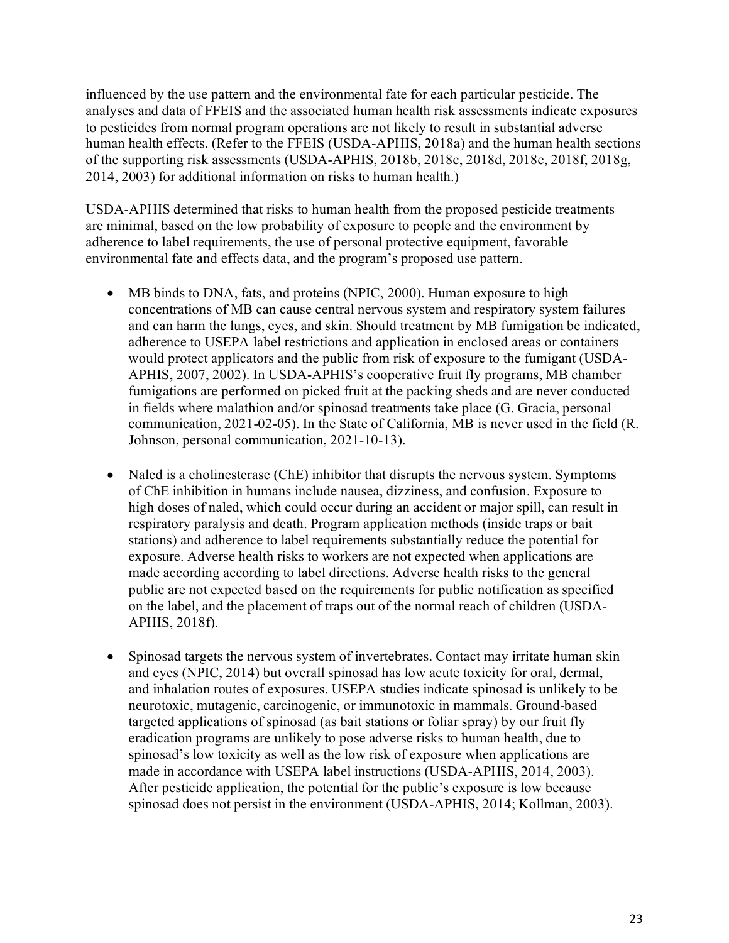influenced by the use pattern and the environmental fate for each particular pesticide. The analyses and data of FFEIS and the associated human health risk assessments indicate exposures to pesticides from normal program operations are not likely to result in substantial adverse human health effects. (Refer to the FFEIS (USDA-APHIS, 2018a) and the human health sections of the supporting risk assessments (USDA-APHIS, 2018b, 2018c, 2018d, 2018e, 2018f, 2018g, 2014, 2003) for additional information on risks to human health.)

USDA-APHIS determined that risks to human health from the proposed pesticide treatments are minimal, based on the low probability of exposure to people and the environment by adherence to label requirements, the use of personal protective equipment, favorable environmental fate and effects data, and the program's proposed use pattern.

- MB binds to DNA, fats, and proteins (NPIC, 2000). Human exposure to high concentrations of MB can cause central nervous system and respiratory system failures and can harm the lungs, eyes, and skin. Should treatment by MB fumigation be indicated, adherence to USEPA label restrictions and application in enclosed areas or containers would protect applicators and the public from risk of exposure to the fumigant (USDA-APHIS, 2007, 2002). In USDA-APHIS's cooperative fruit fly programs, MB chamber fumigations are performed on picked fruit at the packing sheds and are never conducted in fields where malathion and/or spinosad treatments take place (G. Gracia, personal communication, 2021-02-05). In the State of California, MB is never used in the field (R. Johnson, personal communication, 2021-10-13).
- Naled is a cholinesterase (ChE) inhibitor that disrupts the nervous system. Symptoms of ChE inhibition in humans include nausea, dizziness, and confusion. Exposure to high doses of naled, which could occur during an accident or major spill, can result in respiratory paralysis and death. Program application methods (inside traps or bait stations) and adherence to label requirements substantially reduce the potential for exposure. Adverse health risks to workers are not expected when applications are made according according to label directions. Adverse health risks to the general public are not expected based on the requirements for public notification as specified on the label, and the placement of traps out of the normal reach of children (USDA-APHIS, 2018f).
- Spinosad targets the nervous system of invertebrates. Contact may irritate human skin and eyes (NPIC, 2014) but overall spinosad has low acute toxicity for oral, dermal, and inhalation routes of exposures. USEPA studies indicate spinosad is unlikely to be neurotoxic, mutagenic, carcinogenic, or immunotoxic in mammals. Ground-based targeted applications of spinosad (as bait stations or foliar spray) by our fruit fly eradication programs are unlikely to pose adverse risks to human health, due to spinosad's low toxicity as well as the low risk of exposure when applications are made in accordance with USEPA label instructions (USDA-APHIS, 2014, 2003). After pesticide application, the potential for the public's exposure is low because spinosad does not persist in the environment (USDA-APHIS, 2014; Kollman, 2003).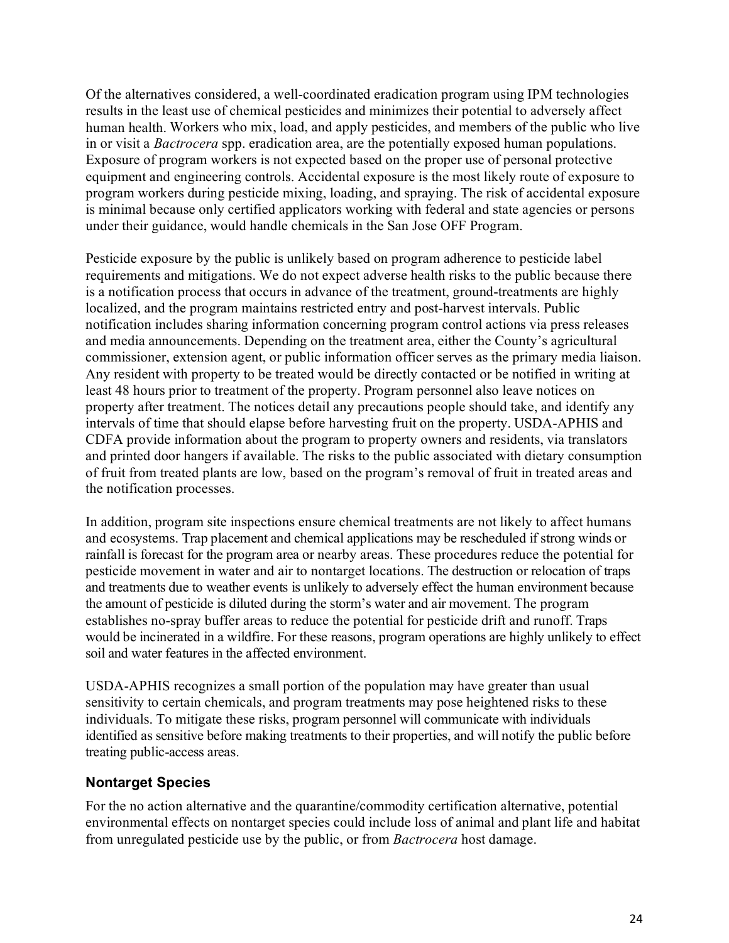Of the alternatives considered, a well-coordinated eradication program using IPM technologies results in the least use of chemical pesticides and minimizes their potential to adversely affect human health. Workers who mix, load, and apply pesticides, and members of the public who live in or visit a *Bactrocera* spp. eradication area, are the potentially exposed human populations. Exposure of program workers is not expected based on the proper use of personal protective equipment and engineering controls. Accidental exposure is the most likely route of exposure to program workers during pesticide mixing, loading, and spraying. The risk of accidental exposure is minimal because only certified applicators working with federal and state agencies or persons under their guidance, would handle chemicals in the San Jose OFF Program.

Pesticide exposure by the public is unlikely based on program adherence to pesticide label requirements and mitigations. We do not expect adverse health risks to the public because there is a notification process that occurs in advance of the treatment, ground-treatments are highly localized, and the program maintains restricted entry and post-harvest intervals. Public notification includes sharing information concerning program control actions via press releases and media announcements. Depending on the treatment area, either the County's agricultural commissioner, extension agent, or public information officer serves as the primary media liaison. Any resident with property to be treated would be directly contacted or be notified in writing at least 48 hours prior to treatment of the property. Program personnel also leave notices on property after treatment. The notices detail any precautions people should take, and identify any intervals of time that should elapse before harvesting fruit on the property. USDA-APHIS and CDFA provide information about the program to property owners and residents, via translators and printed door hangers if available. The risks to the public associated with dietary consumption of fruit from treated plants are low, based on the program's removal of fruit in treated areas and the notification processes.

In addition, program site inspections ensure chemical treatments are not likely to affect humans and ecosystems. Trap placement and chemical applications may be rescheduled if strong winds or rainfall is forecast for the program area or nearby areas. These procedures reduce the potential for pesticide movement in water and air to nontarget locations. The destruction or relocation of traps and treatments due to weather events is unlikely to adversely effect the human environment because the amount of pesticide is diluted during the storm's water and air movement. The program establishes no-spray buffer areas to reduce the potential for pesticide drift and runoff. Traps would be incinerated in a wildfire. For these reasons, program operations are highly unlikely to effect soil and water features in the affected environment.

USDA-APHIS recognizes a small portion of the population may have greater than usual sensitivity to certain chemicals, and program treatments may pose heightened risks to these individuals. To mitigate these risks, program personnel will communicate with individuals identified as sensitive before making treatments to their properties, and will notify the public before treating public-access areas.

### <span id="page-27-0"></span>**Nontarget Species**

For the no action alternative and the quarantine/commodity certification alternative, potential environmental effects on nontarget species could include loss of animal and plant life and habitat from unregulated pesticide use by the public, or from *Bactrocera* host damage.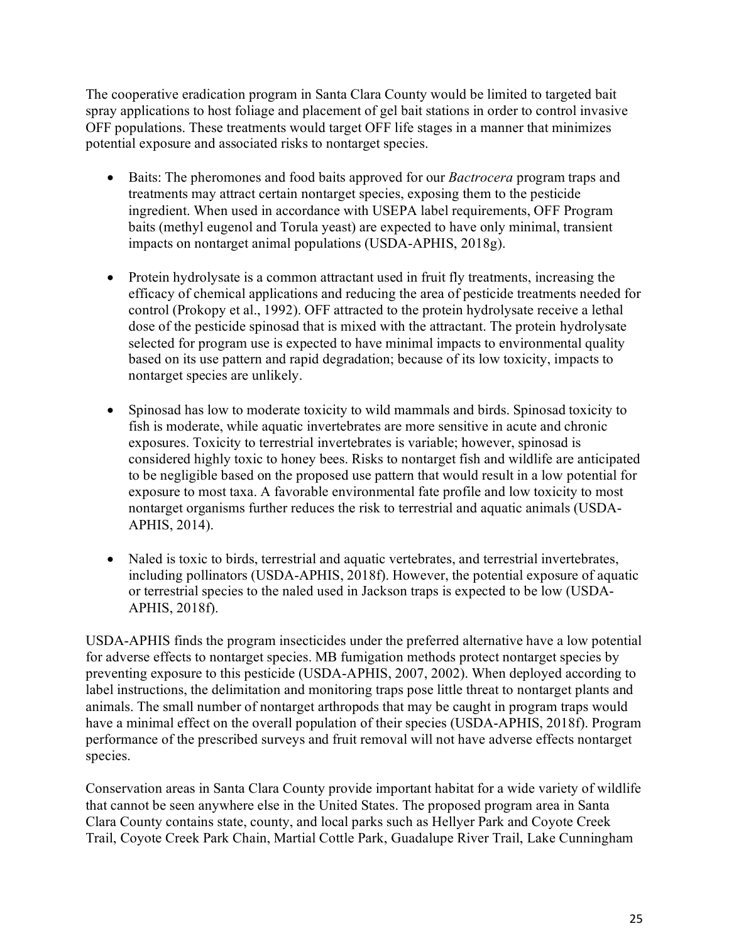The cooperative eradication program in Santa Clara County would be limited to targeted bait spray applications to host foliage and placement of gel bait stations in order to control invasive OFF populations. These treatments would target OFF life stages in a manner that minimizes potential exposure and associated risks to nontarget species.

- Baits: The pheromones and food baits approved for our *Bactrocera* program traps and treatments may attract certain nontarget species, exposing them to the pesticide ingredient. When used in accordance with USEPA label requirements, OFF Program baits (methyl eugenol and Torula yeast) are expected to have only minimal, transient impacts on nontarget animal populations (USDA-APHIS, 2018g).
- Protein hydrolysate is a common attractant used in fruit fly treatments, increasing the efficacy of chemical applications and reducing the area of pesticide treatments needed for control (Prokopy et al., 1992). OFF attracted to the protein hydrolysate receive a lethal dose of the pesticide spinosad that is mixed with the attractant. The protein hydrolysate selected for program use is expected to have minimal impacts to environmental quality based on its use pattern and rapid degradation; because of its low toxicity, impacts to nontarget species are unlikely.
- Spinosad has low to moderate toxicity to wild mammals and birds. Spinosad toxicity to fish is moderate, while aquatic invertebrates are more sensitive in acute and chronic exposures. Toxicity to terrestrial invertebrates is variable; however, spinosad is considered highly toxic to honey bees. Risks to nontarget fish and wildlife are anticipated to be negligible based on the proposed use pattern that would result in a low potential for exposure to most taxa. A favorable environmental fate profile and low toxicity to most nontarget organisms further reduces the risk to terrestrial and aquatic animals (USDA-APHIS, 2014).
- Naled is toxic to birds, terrestrial and aquatic vertebrates, and terrestrial invertebrates, including pollinators (USDA-APHIS, 2018f). However, the potential exposure of aquatic or terrestrial species to the naled used in Jackson traps is expected to be low (USDA-APHIS, 2018f).

USDA-APHIS finds the program insecticides under the preferred alternative have a low potential for adverse effects to nontarget species. MB fumigation methods protect nontarget species by preventing exposure to this pesticide (USDA-APHIS, 2007, 2002). When deployed according to label instructions, the delimitation and monitoring traps pose little threat to nontarget plants and animals. The small number of nontarget arthropods that may be caught in program traps would have a minimal effect on the overall population of their species (USDA-APHIS, 2018f). Program performance of the prescribed surveys and fruit removal will not have adverse effects nontarget species.

Conservation areas in Santa Clara County provide important habitat for a wide variety of wildlife that cannot be seen anywhere else in the United States. The proposed program area in Santa Clara County contains state, county, and local parks such as Hellyer Park and Coyote Creek Trail, Coyote Creek Park Chain, Martial Cottle Park, Guadalupe River Trail, Lake Cunningham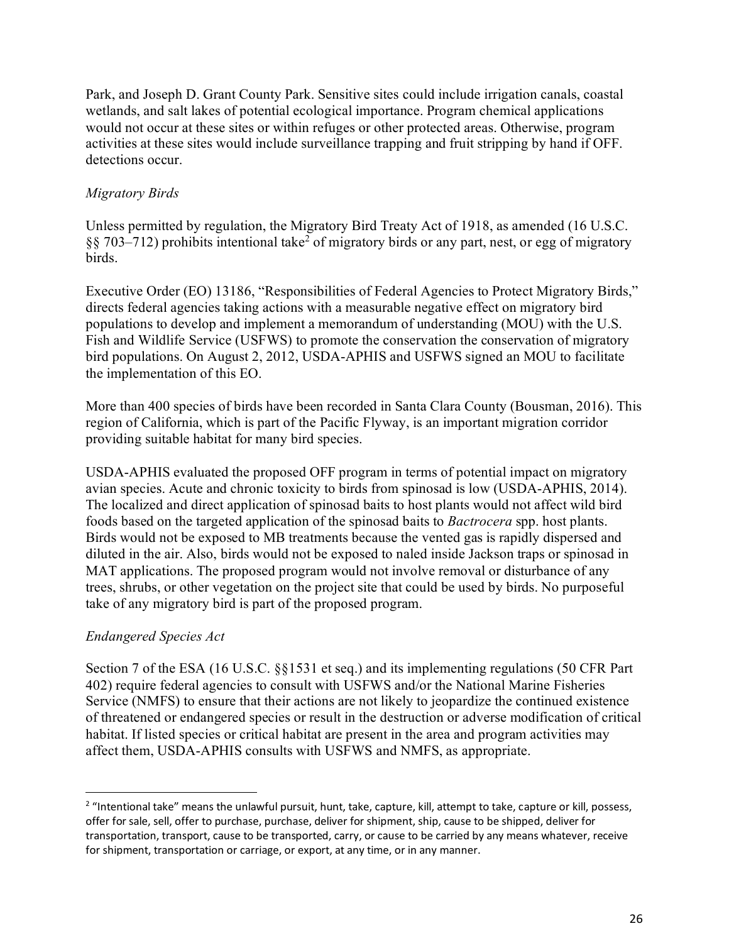Park, and Joseph D. Grant County Park. Sensitive sites could include irrigation canals, coastal wetlands, and salt lakes of potential ecological importance. Program chemical applications would not occur at these sites or within refuges or other protected areas. Otherwise, program activities at these sites would include surveillance trapping and fruit stripping by hand if OFF. detections occur.

### *Migratory Birds*

Unless permitted by regulation, the Migratory Bird Treaty Act of 1918, as amended (16 U.S.C. §§ 703–712) prohibits intentional take<sup>2</sup> of migratory birds or any part, nest, or egg of migratory birds.

Executive Order (EO) 13186, "Responsibilities of Federal Agencies to Protect Migratory Birds," directs federal agencies taking actions with a measurable negative effect on migratory bird populations to develop and implement a memorandum of understanding (MOU) with the U.S. Fish and Wildlife Service (USFWS) to promote the conservation the conservation of migratory bird populations. On August 2, 2012, USDA-APHIS and USFWS signed an MOU to facilitate the implementation of this EO.

More than 400 species of birds have been recorded in Santa Clara County (Bousman, 2016). This region of California, which is part of the Pacific Flyway, is an important migration corridor providing suitable habitat for many bird species.

USDA-APHIS evaluated the proposed OFF program in terms of potential impact on migratory avian species. Acute and chronic toxicity to birds from spinosad is low (USDA-APHIS, 2014). The localized and direct application of spinosad baits to host plants would not affect wild bird foods based on the targeted application of the spinosad baits to *Bactrocera* spp. host plants. Birds would not be exposed to MB treatments because the vented gas is rapidly dispersed and diluted in the air. Also, birds would not be exposed to naled inside Jackson traps or spinosad in MAT applications. The proposed program would not involve removal or disturbance of any trees, shrubs, or other vegetation on the project site that could be used by birds. No purposeful take of any migratory bird is part of the proposed program.

### *Endangered Species Act*

Section 7 of the ESA (16 U.S.C. §§1531 et seq.) and its implementing regulations (50 CFR Part 402) require federal agencies to consult with USFWS and/or the National Marine Fisheries Service (NMFS) to ensure that their actions are not likely to jeopardize the continued existence of threatened or endangered species or result in the destruction or adverse modification of critical habitat. If listed species or critical habitat are present in the area and program activities may affect them, USDA-APHIS consults with USFWS and NMFS, as appropriate.

<span id="page-29-0"></span><sup>&</sup>lt;sup>2</sup> "Intentional take" means the unlawful pursuit, hunt, take, capture, kill, attempt to take, capture or kill, possess, offer for sale, sell, offer to purchase, purchase, deliver for shipment, ship, cause to be shipped, deliver for transportation, transport, cause to be transported, carry, or cause to be carried by any means whatever, receive for shipment, transportation or carriage, or export, at any time, or in any manner.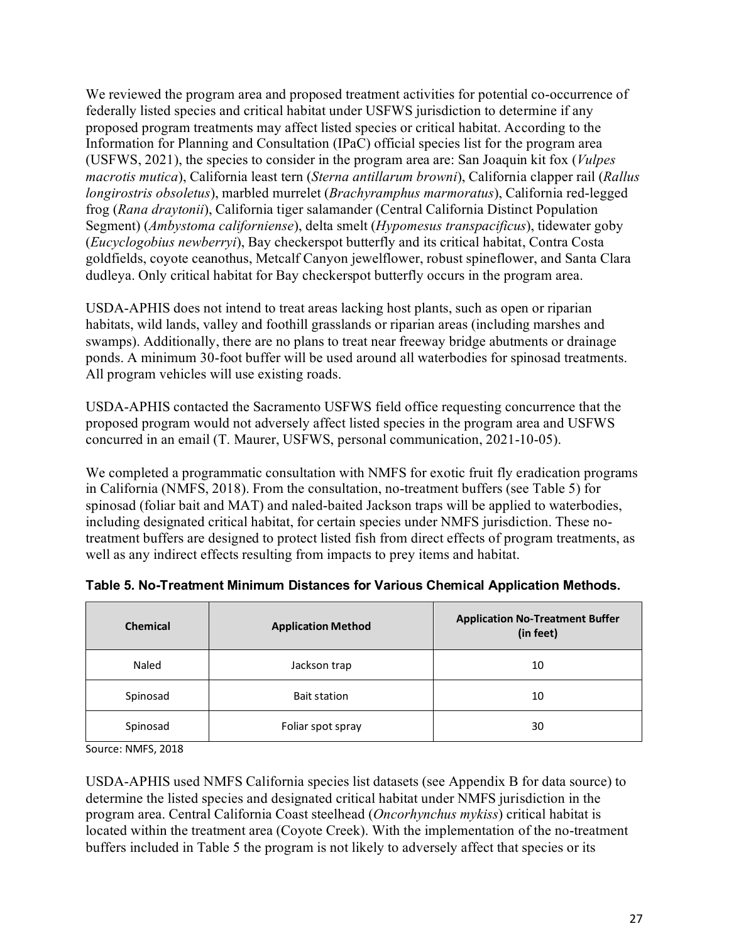We reviewed the program area and proposed treatment activities for potential co-occurrence of federally listed species and critical habitat under USFWS jurisdiction to determine if any proposed program treatments may affect listed species or critical habitat. According to the Information for Planning and Consultation (IPaC) official species list for the program area (USFWS, 2021), the species to consider in the program area are: San Joaquin kit fox (*Vulpes macrotis mutica*), California least tern (*Sterna antillarum browni*), California clapper rail (*Rallus longirostris obsoletus*), marbled murrelet (*Brachyramphus marmoratus*), California red-legged frog (*Rana draytonii*), California tiger salamander (Central California Distinct Population Segment) (*Ambystoma californiense*), delta smelt (*Hypomesus transpacificus*), tidewater goby (*Eucyclogobius newberryi*), Bay checkerspot butterfly and its critical habitat, Contra Costa goldfields, coyote ceanothus, Metcalf Canyon jewelflower, robust spineflower, and Santa Clara dudleya. Only critical habitat for Bay checkerspot butterfly occurs in the program area.

USDA-APHIS does not intend to treat areas lacking host plants, such as open or riparian habitats, wild lands, valley and foothill grasslands or riparian areas (including marshes and swamps). Additionally, there are no plans to treat near freeway bridge abutments or drainage ponds. A minimum 30-foot buffer will be used around all waterbodies for spinosad treatments. All program vehicles will use existing roads.

USDA-APHIS contacted the Sacramento USFWS field office requesting concurrence that the proposed program would not adversely affect listed species in the program area and USFWS concurred in an email (T. Maurer, USFWS, personal communication, 2021-10-05).

We completed a programmatic consultation with NMFS for exotic fruit fly eradication programs in California (NMFS, 2018). From the consultation, no-treatment buffers (see [Table 5\)](#page-30-0) for spinosad (foliar bait and MAT) and naled-baited Jackson traps will be applied to waterbodies, including designated critical habitat, for certain species under NMFS jurisdiction. These notreatment buffers are designed to protect listed fish from direct effects of program treatments, as well as any indirect effects resulting from impacts to prey items and habitat.

| <b>Chemical</b> | <b>Application Method</b> | <b>Application No-Treatment Buffer</b><br>(in feet) |
|-----------------|---------------------------|-----------------------------------------------------|
| Naled           | Jackson trap              | 10                                                  |
| Spinosad        | Bait station              | 10                                                  |
| Spinosad        | Foliar spot spray         | 30                                                  |

<span id="page-30-0"></span>**Table 5. No-Treatment Minimum Distances for Various Chemical Application Methods.**

Source: NMFS, 2018

USDA-APHIS used NMFS California species list datasets (see Appendix B for data source) to determine the listed species and designated critical habitat under NMFS jurisdiction in the program area. Central California Coast steelhead (*Oncorhynchus mykiss*) critical habitat is located within the treatment area (Coyote Creek). With the implementation of the no-treatment buffers included in [Table 5](#page-30-0) the program is not likely to adversely affect that species or its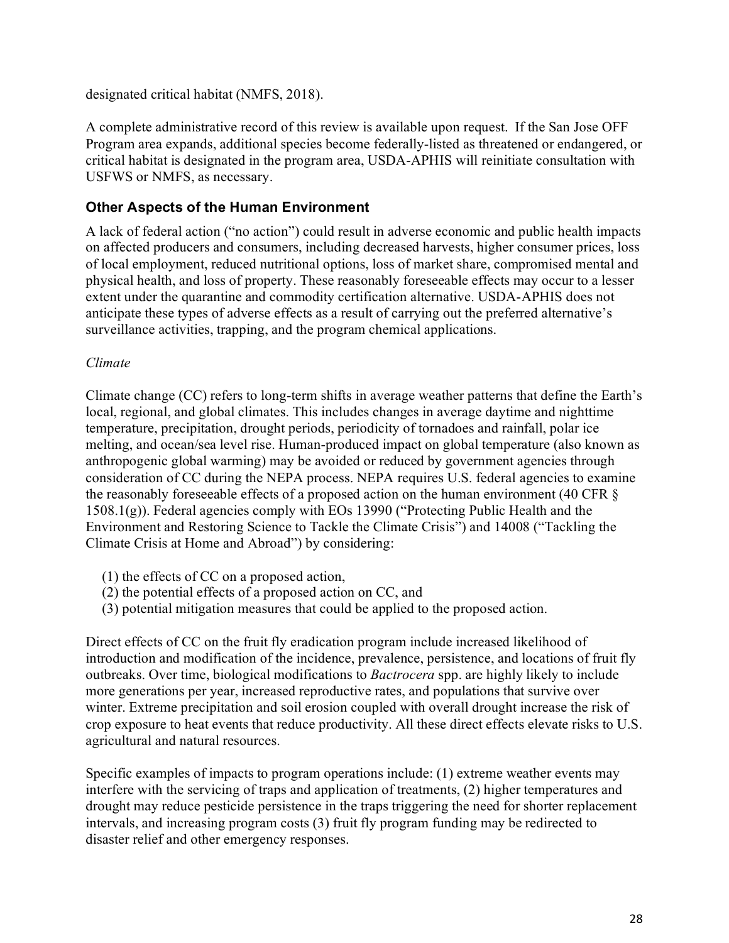designated critical habitat (NMFS, 2018).

A complete administrative record of this review is available upon request. If the San Jose OFF Program area expands, additional species become federally-listed as threatened or endangered, or critical habitat is designated in the program area, USDA-APHIS will reinitiate consultation with USFWS or NMFS, as necessary.

### <span id="page-31-0"></span>**Other Aspects of the Human Environment**

A lack of federal action ("no action") could result in adverse economic and public health impacts on affected producers and consumers, including decreased harvests, higher consumer prices, loss of local employment, reduced nutritional options, loss of market share, compromised mental and physical health, and loss of property. These reasonably foreseeable effects may occur to a lesser extent under the quarantine and commodity certification alternative. USDA-APHIS does not anticipate these types of adverse effects as a result of carrying out the preferred alternative's surveillance activities, trapping, and the program chemical applications.

#### *Climate*

Climate change (CC) refers to long-term shifts in average weather patterns that define the Earth's local, regional, and global climates. This includes changes in average daytime and nighttime temperature, precipitation, drought periods, periodicity of tornadoes and rainfall, polar ice melting, and ocean/sea level rise. Human-produced impact on global temperature (also known as anthropogenic global warming) may be avoided or reduced by government agencies through consideration of CC during the NEPA process. NEPA requires U.S. federal agencies to examine the reasonably foreseeable effects of a proposed action on the human environment (40 CFR § 1508.1(g)). Federal agencies comply with EOs 13990 ("Protecting Public Health and the Environment and Restoring Science to Tackle the Climate Crisis") and 14008 ("Tackling the Climate Crisis at Home and Abroad") by considering:

- (1) the effects of CC on a proposed action,
- (2) the potential effects of a proposed action on CC, and
- (3) potential mitigation measures that could be applied to the proposed action.

Direct effects of CC on the fruit fly eradication program include increased likelihood of introduction and modification of the incidence, prevalence, persistence, and locations of fruit fly outbreaks. Over time, biological modifications to *Bactrocera* spp. are highly likely to include more generations per year, increased reproductive rates, and populations that survive over winter. Extreme precipitation and soil erosion coupled with overall drought increase the risk of crop exposure to heat events that reduce productivity. All these direct effects elevate risks to U.S. agricultural and natural resources.

Specific examples of impacts to program operations include: (1) extreme weather events may interfere with the servicing of traps and application of treatments, (2) higher temperatures and drought may reduce pesticide persistence in the traps triggering the need for shorter replacement intervals, and increasing program costs (3) fruit fly program funding may be redirected to disaster relief and other emergency responses.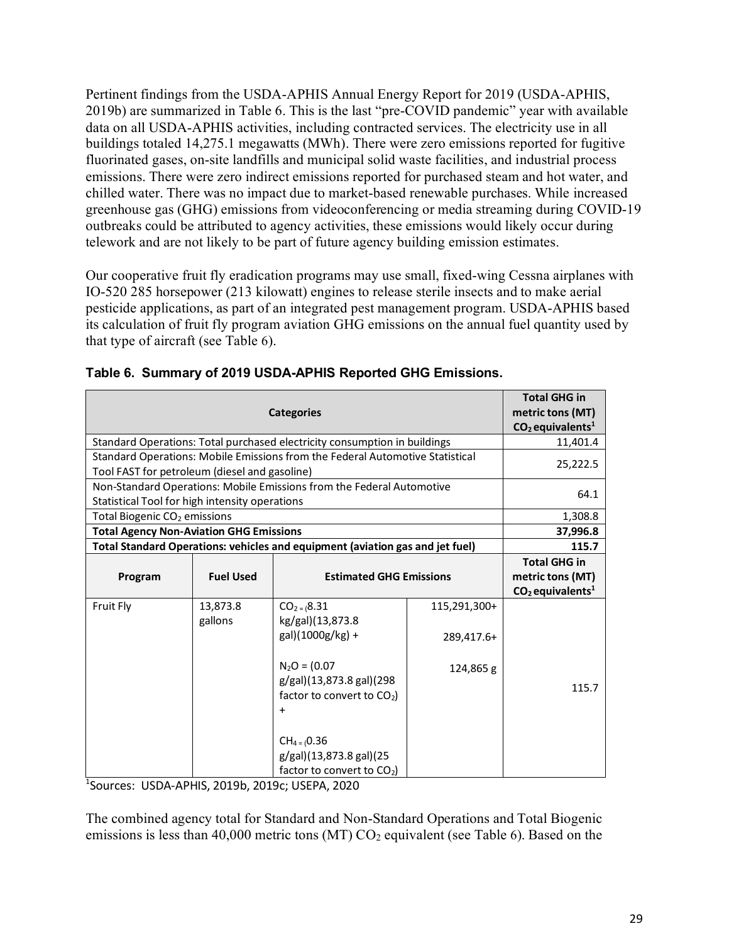Pertinent findings from the USDA-APHIS Annual Energy Report for 2019 (USDA-APHIS, 2019b) are summarized in [Table 6.](#page-32-0) This is the last "pre-COVID pandemic" year with available data on all USDA-APHIS activities, including contracted services. The electricity use in all buildings totaled 14,275.1 megawatts (MWh). There were zero emissions reported for fugitive fluorinated gases, on-site landfills and municipal solid waste facilities, and industrial process emissions. There were zero indirect emissions reported for purchased steam and hot water, and chilled water. There was no impact due to market-based renewable purchases. While increased greenhouse gas (GHG) emissions from videoconferencing or media streaming during COVID-19 outbreaks could be attributed to agency activities, these emissions would likely occur during telework and are not likely to be part of future agency building emission estimates.

Our cooperative fruit fly eradication programs may use small, fixed-wing Cessna airplanes with IO-520 285 horsepower (213 kilowatt) engines to release sterile insects and to make aerial pesticide applications, as part of an integrated pest management program. USDA-APHIS based its calculation of fruit fly program aviation GHG emissions on the annual fuel quantity used by that type of aircraft (see [Table](#page-32-0) [6\)](#page-32-0).

| <b>Categories</b>                                                                                                              |                     |                                                                                                                                                                                                                                            |                                         | <b>Total GHG in</b><br>metric tons (MT)                                   |
|--------------------------------------------------------------------------------------------------------------------------------|---------------------|--------------------------------------------------------------------------------------------------------------------------------------------------------------------------------------------------------------------------------------------|-----------------------------------------|---------------------------------------------------------------------------|
| Standard Operations: Total purchased electricity consumption in buildings                                                      |                     |                                                                                                                                                                                                                                            |                                         | $CO2$ equivalents <sup>1</sup><br>11,401.4                                |
| Standard Operations: Mobile Emissions from the Federal Automotive Statistical<br>Tool FAST for petroleum (diesel and gasoline) |                     |                                                                                                                                                                                                                                            |                                         | 25,222.5                                                                  |
| Non-Standard Operations: Mobile Emissions from the Federal Automotive<br>Statistical Tool for high intensity operations        |                     |                                                                                                                                                                                                                                            |                                         | 64.1                                                                      |
| Total Biogenic CO <sub>2</sub> emissions                                                                                       |                     |                                                                                                                                                                                                                                            |                                         | 1,308.8                                                                   |
| <b>Total Agency Non-Aviation GHG Emissions</b>                                                                                 |                     |                                                                                                                                                                                                                                            |                                         | 37,996.8                                                                  |
| Total Standard Operations: vehicles and equipment (aviation gas and jet fuel)                                                  |                     |                                                                                                                                                                                                                                            |                                         | 115.7                                                                     |
| Program                                                                                                                        | <b>Fuel Used</b>    | <b>Estimated GHG Emissions</b>                                                                                                                                                                                                             |                                         | <b>Total GHG in</b><br>metric tons (MT)<br>$CO2$ equivalents <sup>1</sup> |
| Fruit Fly                                                                                                                      | 13,873.8<br>gallons | $CO2 = (8.31)$<br>kg/gal)(13,873.8<br>gal)(1000g/kg) +<br>$N_2O = (0.07)$<br>g/gal)(13,873.8 gal)(298<br>factor to convert to CO <sub>2</sub> )<br>$\ddot{}$<br>$CH_4 = (0.36)$<br>g/gal)(13,873.8 gal)(25<br>factor to convert to $CO2$ ) | 115,291,300+<br>289,417.6+<br>124,865 g | 115.7                                                                     |

<span id="page-32-0"></span>

1 Sources: USDA-APHIS, 2019b, 2019c; USEPA, 2020

The combined agency total for Standard and Non-Standard Operations and Total Biogenic emissions is less than 40,000 metric tons (MT)  $CO<sub>2</sub>$  equivalent (see [Table](#page-32-0) [6\)](#page-32-0). Based on the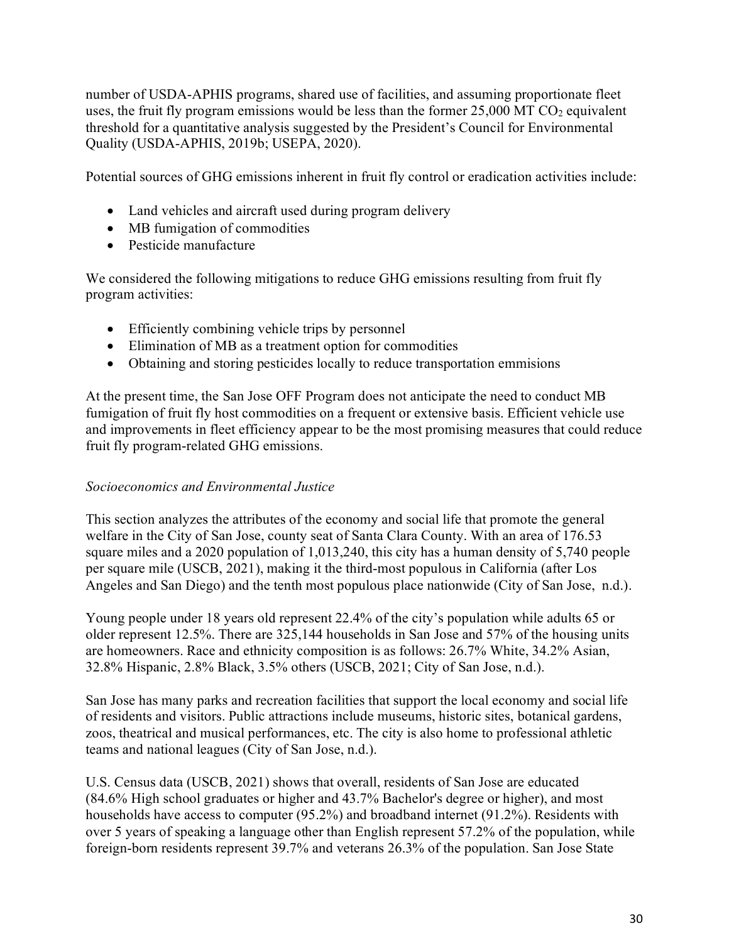number of USDA-APHIS programs, shared use of facilities, and assuming proportionate fleet uses, the fruit fly program emissions would be less than the former  $25,000$  MT CO<sub>2</sub> equivalent threshold for a quantitative analysis suggested by the President's Council for Environmental Quality (USDA-APHIS, 2019b; USEPA, 2020).

Potential sources of GHG emissions inherent in fruit fly control or eradication activities include:

- Land vehicles and aircraft used during program delivery
- MB fumigation of commodities
- Pesticide manufacture

We considered the following mitigations to reduce GHG emissions resulting from fruit fly program activities:

- Efficiently combining vehicle trips by personnel
- Elimination of MB as a treatment option for commodities
- Obtaining and storing pesticides locally to reduce transportation emmisions

At the present time, the San Jose OFF Program does not anticipate the need to conduct MB fumigation of fruit fly host commodities on a frequent or extensive basis. Efficient vehicle use and improvements in fleet efficiency appear to be the most promising measures that could reduce fruit fly program-related GHG emissions.

### *Socioeconomics and Environmental Justice*

This section analyzes the attributes of the economy and social life that promote the general welfare in the City of San Jose, county seat of Santa Clara County. With an area of 176.53 square miles and a 2020 population of 1,013,240, this city has a human density of 5,740 people per square mile (USCB, 2021), making it the third-most populous in California (after Los Angeles and San Diego) and the tenth most populous place nationwide (City of San Jose, n.d.).

Young people under 18 years old represent 22.4% of the city's population while adults 65 or older represent 12.5%. There are 325,144 households in San Jose and 57% of the housing units are homeowners. Race and ethnicity composition is as follows: 26.7% White, 34.2% Asian, 32.8% Hispanic, 2.8% Black, 3.5% others (USCB, 2021; City of San Jose, n.d.).

San Jose has many parks and recreation facilities that support the local economy and social life of residents and visitors. Public attractions include museums, historic sites, botanical gardens, zoos, theatrical and musical performances, etc. The city is also home to professional athletic teams and national leagues (City of San Jose, n.d.).

U.S. Census data (USCB, 2021) shows that overall, residents of San Jose are educated (84.6% High school graduates or higher and 43.7% Bachelor's degree or higher), and most households have access to computer (95.2%) and broadband internet (91.2%). Residents with over 5 years of speaking a language other than English represent 57.2% of the population, while foreign-born residents represent 39.7% and veterans 26.3% of the population. San Jose State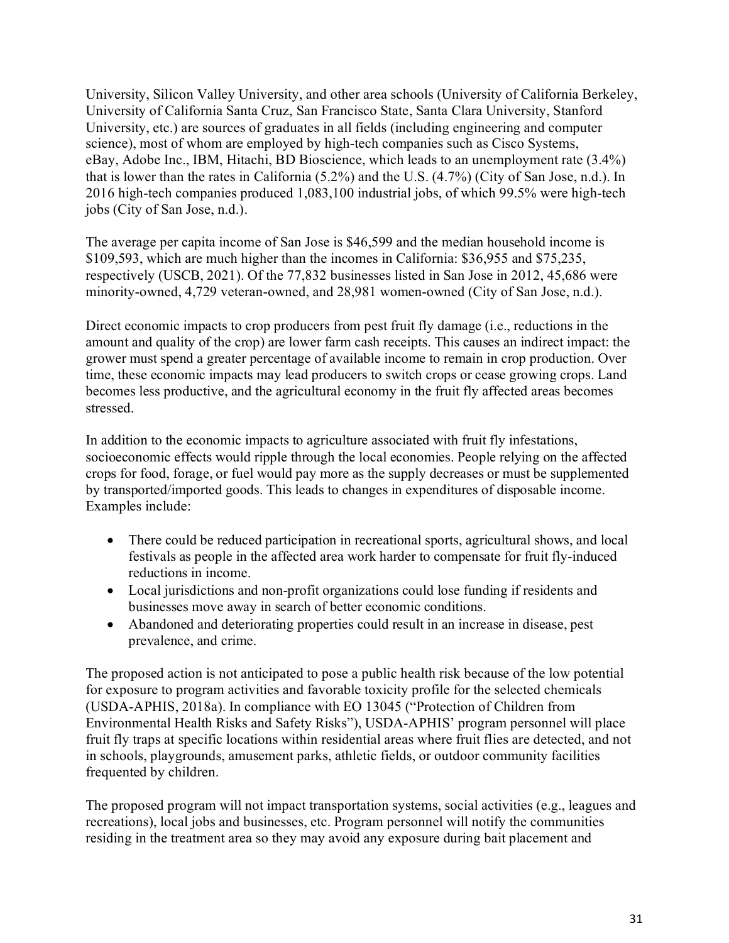University, Silicon Valley University, and other area schools (University of California Berkeley, University of California Santa Cruz, San Francisco State, Santa Clara University, Stanford University, etc.) are sources of graduates in all fields (including engineering and computer science), most of whom are employed by high-tech companies such as Cisco Systems, eBay, Adobe Inc., IBM, Hitachi, BD Bioscience, which leads to an unemployment rate (3.4%) that is lower than the rates in California (5.2%) and the U.S. (4.7%) (City of San Jose, n.d.). In 2016 high-tech companies produced 1,083,100 industrial jobs, of which 99.5% were high-tech jobs (City of San Jose, n.d.).

The average per capita income of San Jose is \$46,599 and the median household income is \$109,593, which are much higher than the incomes in California: \$36,955 and \$75,235, respectively (USCB, 2021). Of the 77,832 businesses listed in San Jose in 2012, 45,686 were minority-owned, 4,729 veteran-owned, and 28,981 women-owned (City of San Jose, n.d.).

Direct economic impacts to crop producers from pest fruit fly damage (i.e., reductions in the amount and quality of the crop) are lower farm cash receipts. This causes an indirect impact: the grower must spend a greater percentage of available income to remain in crop production. Over time, these economic impacts may lead producers to switch crops or cease growing crops. Land becomes less productive, and the agricultural economy in the fruit fly affected areas becomes stressed.

In addition to the economic impacts to agriculture associated with fruit fly infestations, socioeconomic effects would ripple through the local economies. People relying on the affected crops for food, forage, or fuel would pay more as the supply decreases or must be supplemented by transported/imported goods. This leads to changes in expenditures of disposable income. Examples include:

- There could be reduced participation in recreational sports, agricultural shows, and local festivals as people in the affected area work harder to compensate for fruit fly-induced reductions in income.
- Local jurisdictions and non-profit organizations could lose funding if residents and businesses move away in search of better economic conditions.
- Abandoned and deteriorating properties could result in an increase in disease, pest prevalence, and crime.

The proposed action is not anticipated to pose a public health risk because of the low potential for exposure to program activities and favorable toxicity profile for the selected chemicals (USDA-APHIS, 2018a). In compliance with EO 13045 ("Protection of Children from Environmental Health Risks and Safety Risks"), USDA-APHIS' program personnel will place fruit fly traps at specific locations within residential areas where fruit flies are detected, and not in schools, playgrounds, amusement parks, athletic fields, or outdoor community facilities frequented by children.

The proposed program will not impact transportation systems, social activities (e.g., leagues and recreations), local jobs and businesses, etc. Program personnel will notify the communities residing in the treatment area so they may avoid any exposure during bait placement and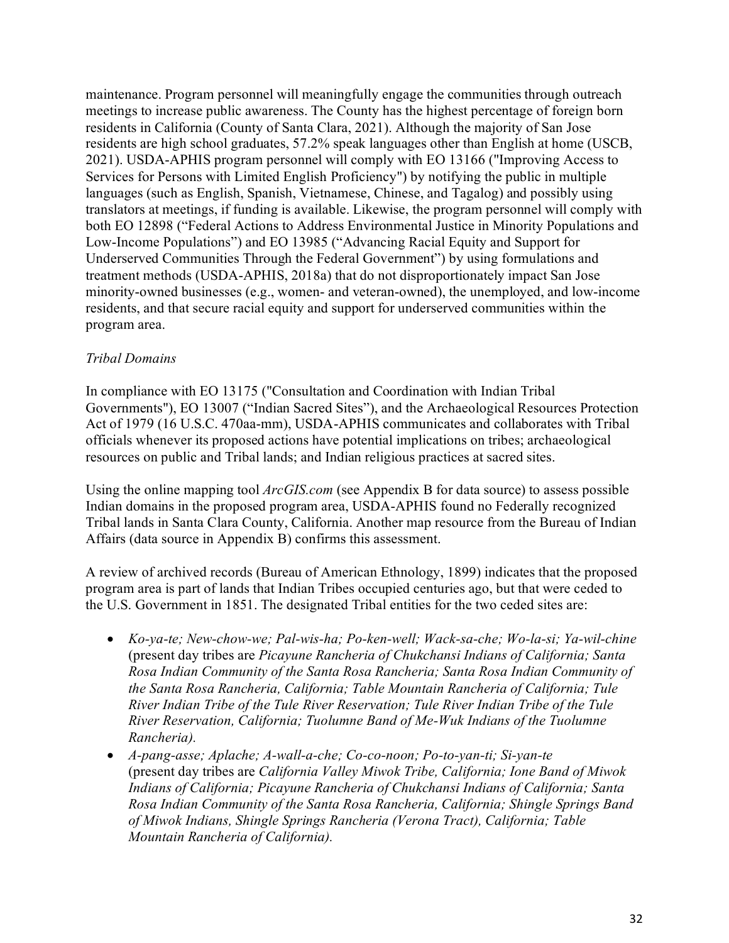maintenance. Program personnel will meaningfully engage the communities through outreach meetings to increase public awareness. The County has the highest percentage of foreign born residents in California (County of Santa Clara, 2021). Although the majority of San Jose residents are high school graduates, 57.2% speak languages other than English at home (USCB, 2021). USDA-APHIS program personnel will comply with EO 13166 ("Improving Access to Services for Persons with Limited English Proficiency") by notifying the public in multiple languages (such as English, Spanish, Vietnamese, Chinese, and Tagalog) and possibly using translators at meetings, if funding is available. Likewise, the program personnel will comply with both EO 12898 ("Federal Actions to Address Environmental Justice in Minority Populations and Low-Income Populations") and EO 13985 ("Advancing Racial Equity and Support for Underserved Communities Through the Federal Government") by using formulations and treatment methods (USDA-APHIS, 2018a) that do not disproportionately impact San Jose minority-owned businesses (e.g., women- and veteran-owned), the unemployed, and low-income residents, and that secure racial equity and support for underserved communities within the program area.

### *Tribal Domains*

In compliance with EO 13175 ("Consultation and Coordination with Indian Tribal Governments"), EO 13007 ("Indian Sacred Sites"), and the Archaeological Resources Protection Act of 1979 (16 U.S.C. 470aa-mm), USDA-APHIS communicates and collaborates with Tribal officials whenever its proposed actions have potential implications on tribes; archaeological resources on public and Tribal lands; and Indian religious practices at sacred sites.

Using the online mapping tool *ArcGIS.com* (see Appendix B for data source) to assess possible Indian domains in the proposed program area, USDA-APHIS found no Federally recognized Tribal lands in Santa Clara County, California. Another map resource from the Bureau of Indian Affairs (data source in Appendix B) confirms this assessment.

A review of archived records (Bureau of American Ethnology, 1899) indicates that the proposed program area is part of lands that Indian Tribes occupied centuries ago, but that were ceded to the U.S. Government in 1851. The designated Tribal entities for the two ceded sites are:

- *Ko-ya-te; New-chow-we; Pal-wis-ha; Po-ken-well; Wack-sa-che; Wo-la-si; Ya-wil-chine*  (present day tribes are *Picayune Rancheria of Chukchansi Indians of California; Santa Rosa Indian Community of the Santa Rosa Rancheria; Santa Rosa Indian Community of the Santa Rosa Rancheria, California; Table Mountain Rancheria of California; Tule River Indian Tribe of the Tule River Reservation; Tule River Indian Tribe of the Tule River Reservation, California; Tuolumne Band of Me-Wuk Indians of the Tuolumne Rancheria).*
- *A-pang-asse; Aplache; A-wall-a-che; Co-co-noon; Po-to-yan-ti; Si-yan-te* (present day tribes are *California Valley Miwok Tribe, California; Ione Band of Miwok Indians of California; Picayune Rancheria of Chukchansi Indians of California; Santa Rosa Indian Community of the Santa Rosa Rancheria, California; Shingle Springs Band of Miwok Indians, Shingle Springs Rancheria (Verona Tract), California; Table Mountain Rancheria of California).*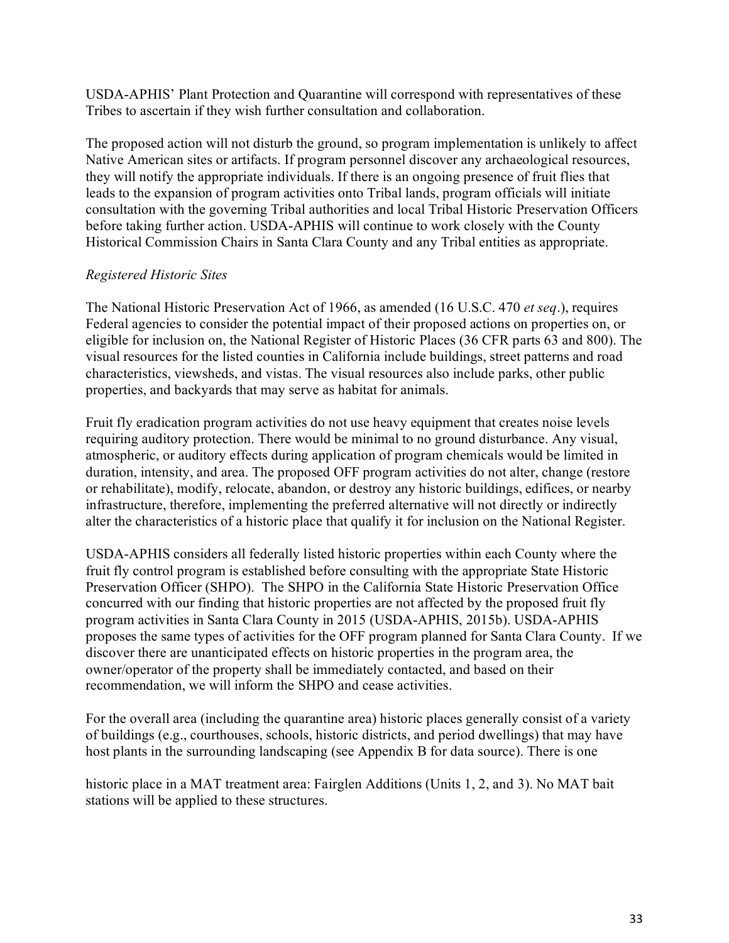USDA-APHIS' Plant Protection and Quarantine will correspond with representatives of these Tribes to ascertain if they wish further consultation and collaboration.

The proposed action will not disturb the ground, so program implementation is unlikely to affect Native American sites or artifacts. If program personnel discover any archaeological resources, they will notify the appropriate individuals. If there is an ongoing presence of fruit flies that leads to the expansion of program activities onto Tribal lands, program officials will initiate consultation with the governing Tribal authorities and local Tribal Historic Preservation Officers before taking further action. USDA-APHIS will continue to work closely with the County Historical Commission Chairs in Santa Clara County and any Tribal entities as appropriate.

### *Registered Historic Sites*

The National Historic Preservation Act of 1966, as amended (16 U.S.C. 470 *et seq*.), requires Federal agencies to consider the potential impact of their proposed actions on properties on, or eligible for inclusion on, the National Register of Historic Places (36 CFR parts 63 and 800). The visual resources for the listed counties in California include buildings, street patterns and road characteristics, viewsheds, and vistas. The visual resources also include parks, other public properties, and backyards that may serve as habitat for animals.

Fruit fly eradication program activities do not use heavy equipment that creates noise levels requiring auditory protection. There would be minimal to no ground disturbance. Any visual, atmospheric, or auditory effects during application of program chemicals would be limited in duration, intensity, and area. The proposed OFF program activities do not alter, change (restore or rehabilitate), modify, relocate, abandon, or destroy any historic buildings, edifices, or nearby infrastructure, therefore, implementing the preferred alternative will not directly or indirectly alter the characteristics of a historic place that qualify it for inclusion on the National Register.

USDA-APHIS considers all federally listed historic properties within each County where the fruit fly control program is established before consulting with the appropriate State Historic Preservation Officer (SHPO). The SHPO in the California State Historic Preservation Office concurred with our finding that historic properties are not affected by the proposed fruit fly program activities in Santa Clara County in 2015 (USDA-APHIS, 2015b). USDA-APHIS proposes the same types of activities for the OFF program planned for Santa Clara County. If we discover there are unanticipated effects on historic properties in the program area, the owner/operator of the property shall be immediately contacted, and based on their recommendation, we will inform the SHPO and cease activities.

For the overall area (including the quarantine area) historic places generally consist of a variety of buildings (e.g., courthouses, schools, historic districts, and period dwellings) that may have host plants in the surrounding landscaping (see Appendix B for data source). There is one

historic place in a MAT treatment area: Fairglen Additions (Units 1, 2, and 3). No MAT bait stations will be applied to these structures.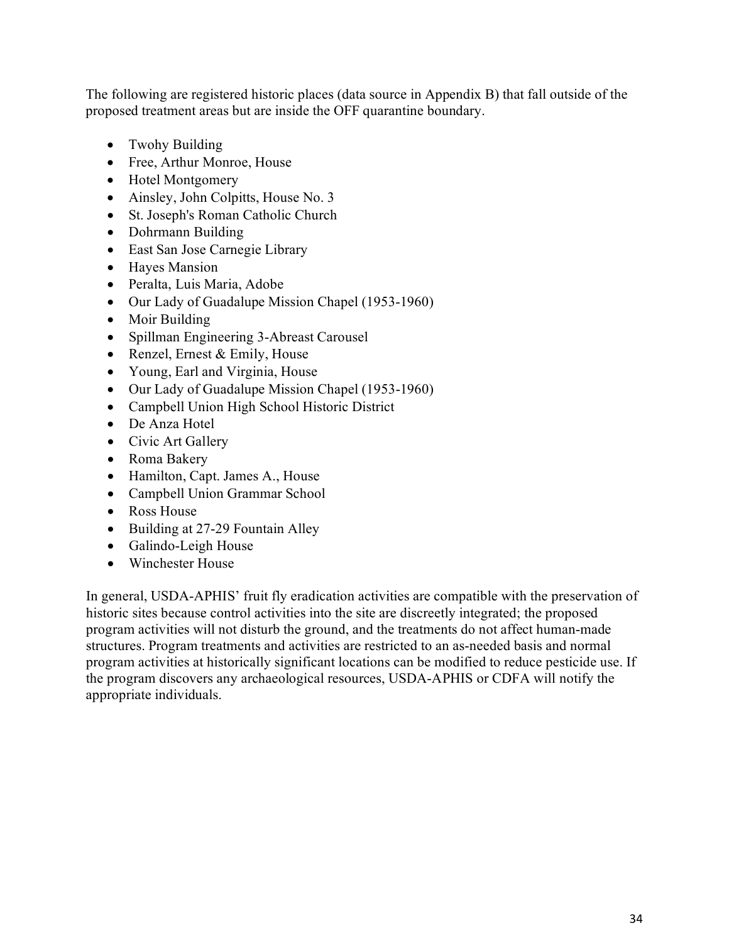The following are registered historic places (data source in Appendix B) that fall outside of the proposed treatment areas but are inside the OFF quarantine boundary.

- Twohy Building
- Free, Arthur Monroe, House
- Hotel Montgomery
- Ainsley, John Colpitts, House No. 3
- St. Joseph's Roman Catholic Church
- Dohrmann Building
- East San Jose Carnegie Library
- Hayes Mansion
- Peralta, Luis Maria, Adobe
- Our Lady of Guadalupe Mission Chapel (1953-1960)
- Moir Building
- Spillman Engineering 3-Abreast Carousel
- Renzel, Ernest & Emily, House
- Young, Earl and Virginia, House
- Our Lady of Guadalupe Mission Chapel (1953-1960)
- Campbell Union High School Historic District
- De Anza Hotel
- Civic Art Gallery
- Roma Bakery
- Hamilton, Capt. James A., House
- Campbell Union Grammar School
- Ross House
- Building at 27-29 Fountain Alley
- Galindo-Leigh House
- Winchester House

In general, USDA-APHIS' fruit fly eradication activities are compatible with the preservation of historic sites because control activities into the site are discreetly integrated; the proposed program activities will not disturb the ground, and the treatments do not affect human-made structures. Program treatments and activities are restricted to an as-needed basis and normal program activities at historically significant locations can be modified to reduce pesticide use. If the program discovers any archaeological resources, USDA-APHIS or CDFA will notify the appropriate individuals.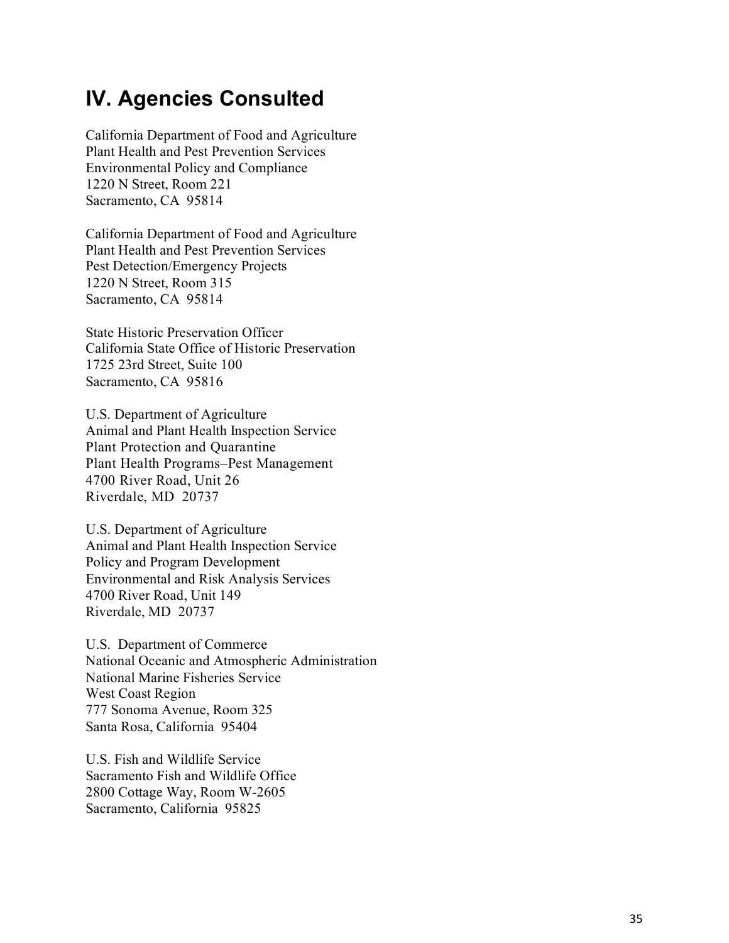## <span id="page-38-0"></span>**IV. Agencies Consulted**

California Department of Food and Agriculture Plant Health and Pest Prevention Services Environmental Policy and Compliance 1220 N Street, Room 221 Sacramento, CA 95814

California Department of Food and Agriculture Plant Health and Pest Prevention Services Pest Detection/Emergency Projects 1220 N Street, Room 315 Sacramento, CA 95814

State Historic Preservation Officer California State Office of Historic Preservation 1725 23rd Street, Suite 100 Sacramento, CA 95816

U.S. Department of Agriculture A n i m al and Pl ant Health Ins pection S ervi ce Plant Protection and Quarantine Plant Health Programs –Pest Management 4700 River Road, Unit 26 Riverdale, MD 20737

U.S. Department of Agriculture Animal and Plant Health Inspection Service Policy and Program Development Environmental and Risk Analysis Services 4700 River Road, Unit 149 Riverdale, MD 20737

U.S. Department of Commerce National Oceanic and Atmospheric Administration National Marine Fisheries Service West Coast Region 777 Sonoma Avenue, Room 325 Santa Rosa, California 95404

U.S. Fish and Wildlife Service Sacramento Fish and Wildlife Office 2800 Cottage Way, Room W -2605 Sacramento, California 95825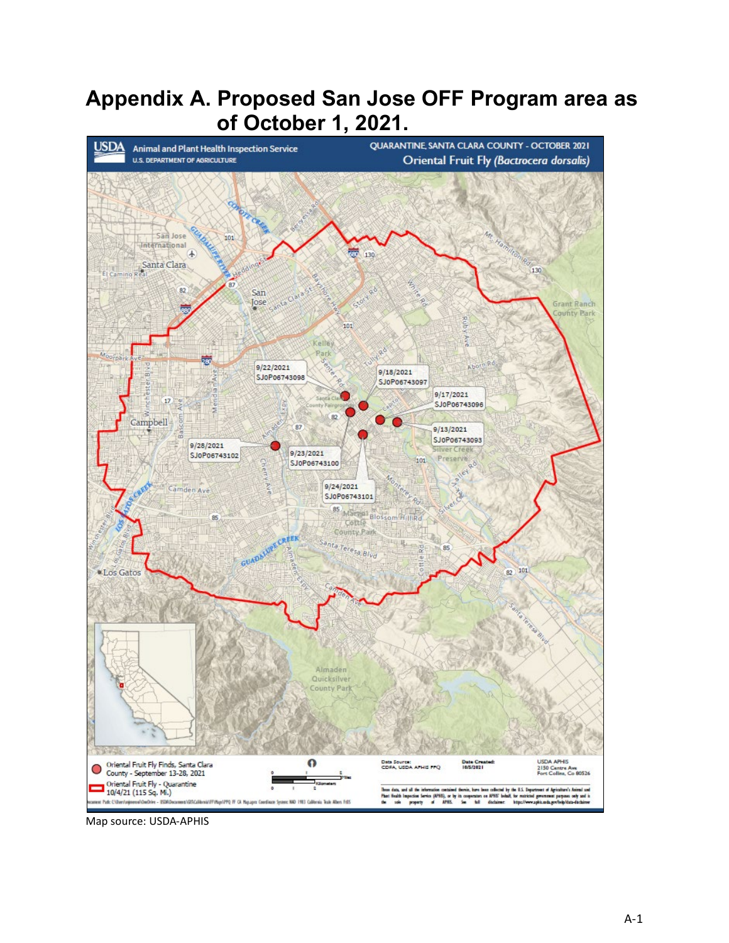# <span id="page-39-0"></span>**Appendix A. Proposed San Jose OFF Program area as of October 1, 2021.**



Map source: USDA-APHIS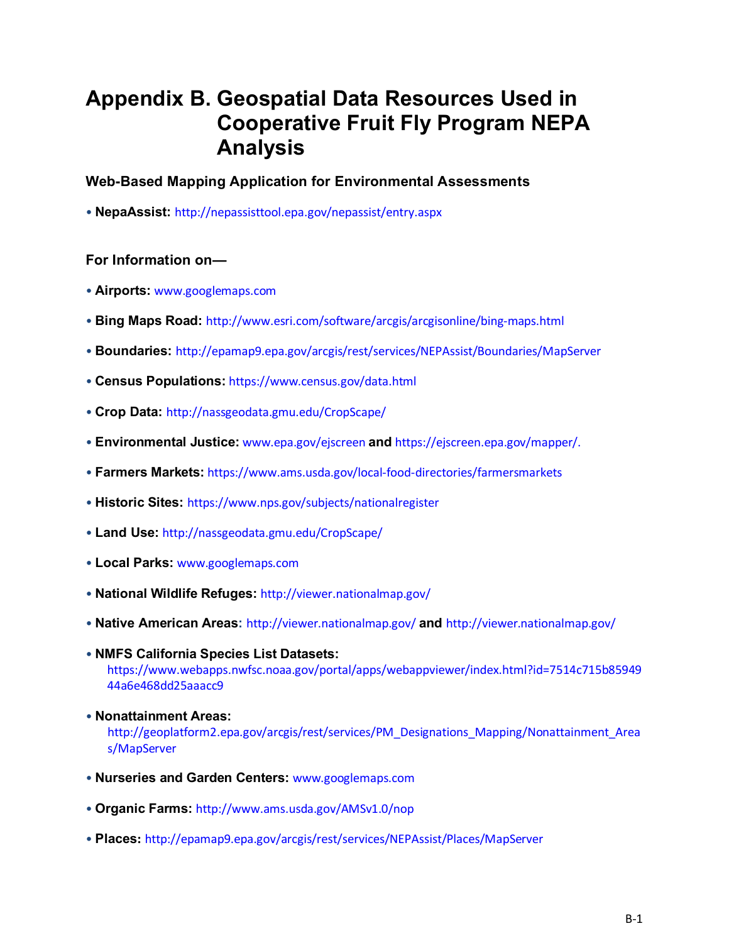# <span id="page-40-0"></span>**Appendix B. Geospatial Data Resources Used in Cooperative Fruit Fly Program NEPA Analysis**

### **Web-Based Mapping Application for Environmental Assessments**

• **NepaAssist:** http://nepassisttool.epa.gov/nepassist/entry.aspx

### **For Information on—**

- **Airports:** www.googlemaps.com
- **Bing Maps Road:** http://www.esri.com/software/arcgis/arcgisonline/bing-maps.html
- **Boundaries:** http://epamap9.epa.gov/arcgis/rest/services/NEPAssist/Boundaries/MapServer
- **Census Populations:** https://www.census.gov/data.html
- **Crop Data:** http://nassgeodata.gmu.edu/CropScape/
- **Environmental Justice:** www.epa.gov/ejscreen **and** https://ejscreen.epa.gov/mapper/.
- **Farmers Markets:** https://www.ams.usda.gov/local-food-directories/farmersmarkets
- **Historic Sites:** https://www.nps.gov/subjects/nationalregister
- **Land Use:** http://nassgeodata.gmu.edu/CropScape/
- **Local Parks:** www.googlemaps.com
- **National Wildlife Refuges:** http://viewer.nationalmap.gov/
- **Native American Areas:** http://viewer.nationalmap.gov/ **and** http://viewer.nationalmap.gov/
- **NMFS California Species List Datasets:**  https://www.webapps.nwfsc.noaa.gov/portal/apps/webappviewer/index.html?id=7514c715b85949 44a6e468dd25aaacc9
- **Nonattainment Areas:**  http://geoplatform2.epa.gov/arcgis/rest/services/PM\_Designations\_Mapping/Nonattainment\_Area s/MapServer
- **Nurseries and Garden Centers:** www.googlemaps.com
- **Organic Farms:** http://www.ams.usda.gov/AMSv1.0/nop
- **Places:** http://epamap9.epa.gov/arcgis/rest/services/NEPAssist/Places/MapServer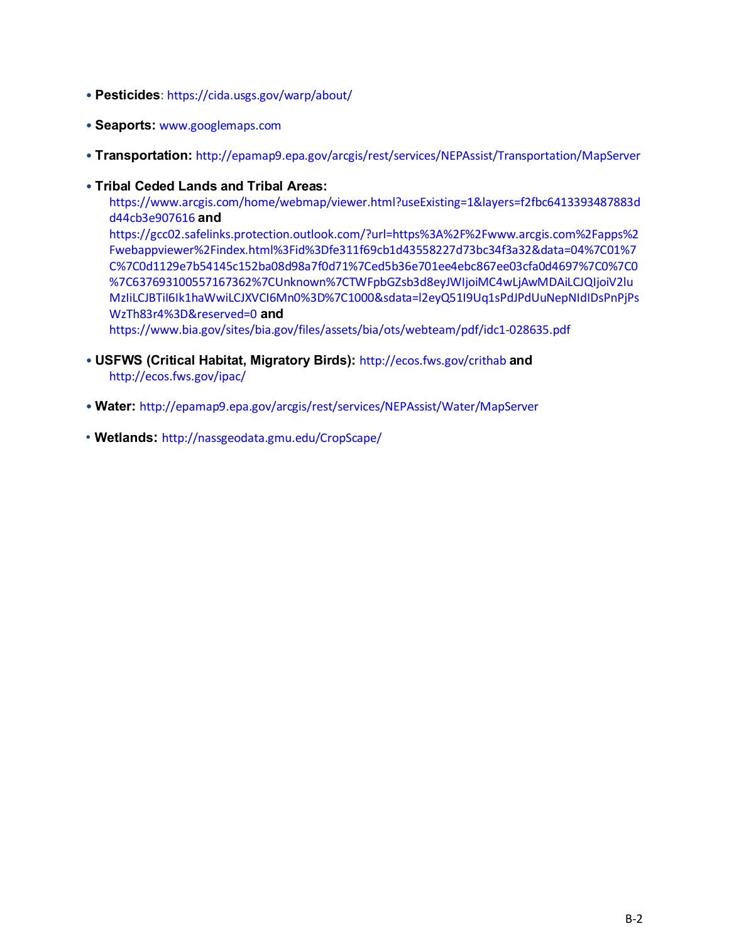- **Pesticides**: https://cida.usgs.gov/warp/about/
- **Seaports:** www.googlemaps.com
- **Transportation:** http://epamap9.epa.gov/arcgis/rest/services/NEPAssist/Transportation/MapServer
- **Tribal Ceded Lands and Tribal Areas:**

[https://www.arcgis.com/home/webmap/viewer.html?useExisting=1&layers=f2fbc6413393487883d](https://www.arcgis.com/home/webmap/viewer.html?useExisting=1&layers=f2fbc6413393487883dd44cb3e907616) [d44cb3e907616](https://www.arcgis.com/home/webmap/viewer.html?useExisting=1&layers=f2fbc6413393487883dd44cb3e907616) **and**

https://gcc02.safelinks.protection.outlook.com/?url=https%3A%2F%2Fwww.arcgis.com%2Fapps%2 Fwebappviewer%2Findex.html%3Fid%3Dfe311f69cb1d43558227d73bc34f3a32&data=04%7C01%7 C%7C0d1129e7b54145c152ba08d98a7f0d71%7Ced5b36e701ee4ebc867ee03cfa0d4697%7C0%7C0 %7C637693100557167362%7CUnknown%7CTWFpbGZsb3d8eyJWIjoiMC4wLjAwMDAiLCJQIjoiV2lu MzIiLCJBTiI6Ik1haWwiLCJXVCI6Mn0%3D%7C1000&sdata=l2eyQ51I9Uq1sPdJPdUuNepNIdIDsPnPjPs WzTh83r4%3D&reserved=0 **and**

<https://www.bia.gov/sites/bia.gov/files/assets/bia/ots/webteam/pdf/idc1-028635.pdf>

- **USFWS (Critical Habitat, Migratory Birds):** http://ecos.fws.gov/crithab **and** http://ecos.fws.gov/ipac/
- **Water:** http://epamap9.epa.gov/arcgis/rest/services/NEPAssist/Water/MapServer
- **Wetlands:** http://nassgeodata.gmu.edu/CropScape/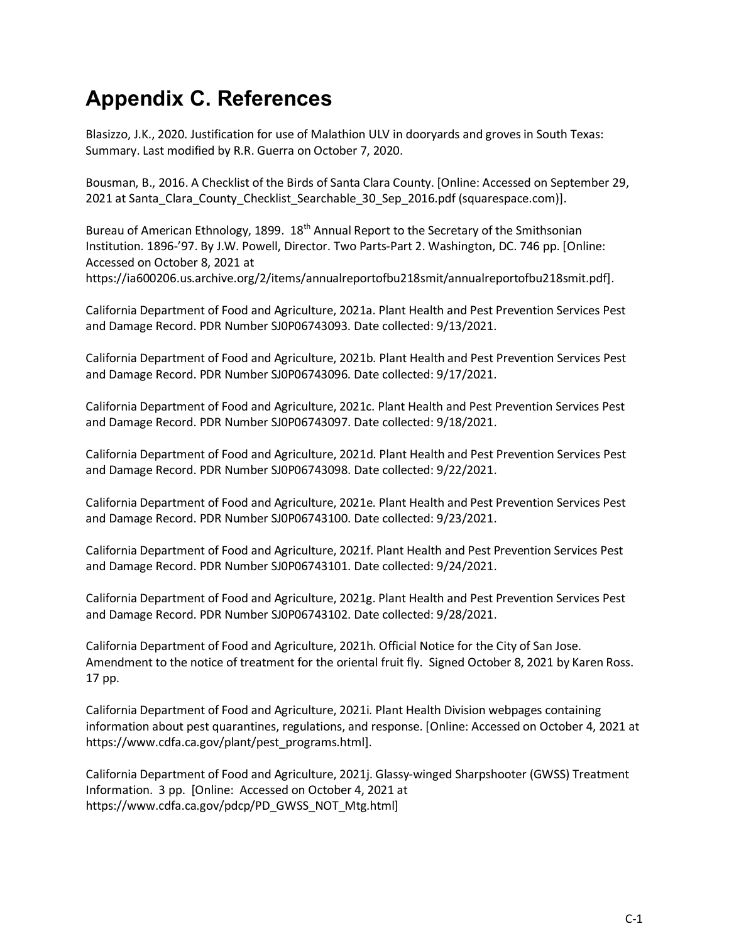# <span id="page-42-0"></span>**Appendix C. References**

Blasizzo, J.K., 2020. Justification for use of Malathion ULV in dooryards and groves in South Texas: Summary. Last modified by R.R. Guerra on October 7, 2020.

Bousman, B., 2016. A Checklist of the Birds of Santa Clara County. [Online: Accessed on September 29, 2021 at Santa Clara County Checklist Searchable 30 Sep 2016.pdf (squarespace.com)].

Bureau of American Ethnology, 1899. 18<sup>th</sup> Annual Report to the Secretary of the Smithsonian Institution. 1896-'97. By J.W. Powell, Director. Two Parts-Part 2. Washington, DC. 746 pp. [Online: Accessed on October 8, 2021 at https://ia600206.us.archive.org/2/items/annualreportofbu218smit/annualreportofbu218smit.pdf].

California Department of Food and Agriculture, 2021a. Plant Health and Pest Prevention Services Pest and Damage Record. PDR Number SJ0P06743093. Date collected: 9/13/2021.

California Department of Food and Agriculture, 2021b. Plant Health and Pest Prevention Services Pest and Damage Record. PDR Number SJ0P06743096. Date collected: 9/17/2021.

California Department of Food and Agriculture, 2021c. Plant Health and Pest Prevention Services Pest and Damage Record. PDR Number SJ0P06743097. Date collected: 9/18/2021.

California Department of Food and Agriculture, 2021d. Plant Health and Pest Prevention Services Pest and Damage Record. PDR Number SJ0P06743098. Date collected: 9/22/2021.

California Department of Food and Agriculture, 2021e. Plant Health and Pest Prevention Services Pest and Damage Record. PDR Number SJ0P06743100. Date collected: 9/23/2021.

California Department of Food and Agriculture, 2021f. Plant Health and Pest Prevention Services Pest and Damage Record. PDR Number SJ0P06743101. Date collected: 9/24/2021.

California Department of Food and Agriculture, 2021g. Plant Health and Pest Prevention Services Pest and Damage Record. PDR Number SJ0P06743102. Date collected: 9/28/2021.

California Department of Food and Agriculture, 2021h. Official Notice for the City of San Jose. Amendment to the notice of treatment for the oriental fruit fly. Signed October 8, 2021 by Karen Ross. 17 pp.

California Department of Food and Agriculture, 2021i. Plant Health Division webpages containing information about pest quarantines, regulations, and response. [Online: Accessed on October 4, 2021 at https://www.cdfa.ca.gov/plant/pest\_programs.html].

California Department of Food and Agriculture, 2021j. Glassy-winged Sharpshooter (GWSS) Treatment Information. 3 pp. [Online: Accessed on October 4, 2021 at https://www.cdfa.ca.gov/pdcp/PD\_GWSS\_NOT\_Mtg.html]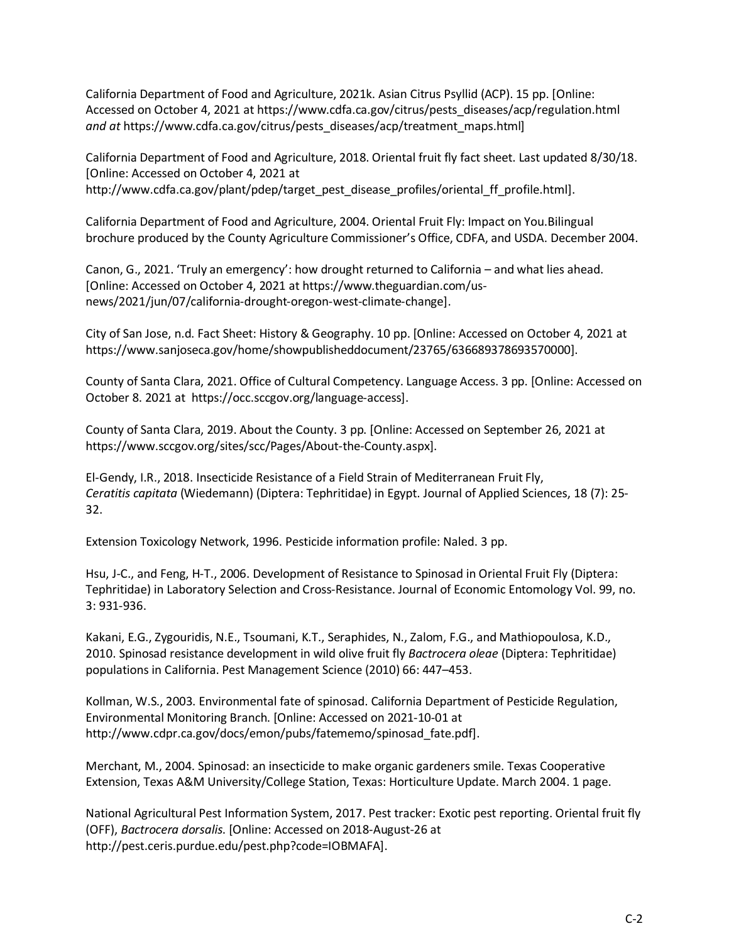California Department of Food and Agriculture, 2021k. Asian Citrus Psyllid (ACP). 15 pp. [Online: Accessed on October 4, 2021 at https://www.cdfa.ca.gov/citrus/pests\_diseases/acp/regulation.html *and at* https://www.cdfa.ca.gov/citrus/pests\_diseases/acp/treatment\_maps.html]

California Department of Food and Agriculture, 2018. Oriental fruit fly fact sheet. Last updated 8/30/18. [Online: Accessed on October 4, 2021 at http://www.cdfa.ca.gov/plant/pdep/target\_pest\_disease\_profiles/oriental\_ff\_profile.html].

California Department of Food and Agriculture, 2004. Oriental Fruit Fly: Impact on You.Bilingual brochure produced by the County Agriculture Commissioner's Office, CDFA, and USDA. December 2004.

Canon, G., 2021. 'Truly an emergency': how drought returned to California – and what lies ahead. [Online: Accessed on October 4, 2021 at https://www.theguardian.com/usnews/2021/jun/07/california-drought-oregon-west-climate-change].

City of San Jose, n.d. Fact Sheet: History & Geography. 10 pp. [Online: Accessed on October 4, 2021 at https://www.sanjoseca.gov/home/showpublisheddocument/23765/636689378693570000].

County of Santa Clara, 2021. Office of Cultural Competency. Language Access. 3 pp. [Online: Accessed on October 8. 2021 at https://occ.sccgov.org/language-access].

County of Santa Clara, 2019. About the County. 3 pp. [Online: Accessed on September 26, 2021 at https://www.sccgov.org/sites/scc/Pages/About-the-County.aspx].

El-Gendy, I.R., 2018. Insecticide Resistance of a Field Strain of Mediterranean Fruit Fly, *Ceratitis capitata* (Wiedemann) (Diptera: Tephritidae) in Egypt. Journal of Applied Sciences, 18 (7): 25- 32.

Extension Toxicology Network, 1996. Pesticide information profile: Naled. 3 pp.

Hsu, J-C., and Feng, H-T., 2006. Development of Resistance to Spinosad in Oriental Fruit Fly (Diptera: Tephritidae) in Laboratory Selection and Cross-Resistance. Journal of Economic Entomology Vol. 99, no. 3: 931-936.

Kakani, E.G., Zygouridis, N.E., Tsoumani, K.T., Seraphides, N., Zalom, F.G., and Mathiopoulosa, K.D., 2010. Spinosad resistance development in wild olive fruit fly *Bactrocera oleae* (Diptera: Tephritidae) populations in California. Pest Management Science (2010) 66: 447–453.

Kollman, W.S., 2003. Environmental fate of spinosad. California Department of Pesticide Regulation, Environmental Monitoring Branch. [Online: Accessed on 2021-10-01 at http://www.cdpr.ca.gov/docs/emon/pubs/fatememo/spinosad\_fate.pdf].

Merchant, M., 2004. Spinosad: an insecticide to make organic gardeners smile. Texas Cooperative Extension, Texas A&M University/College Station, Texas: Horticulture Update. March 2004. 1 page.

National Agricultural Pest Information System, 2017. Pest tracker: Exotic pest reporting. Oriental fruit fly (OFF), *Bactrocera dorsalis*. [Online: Accessed on 2018-August-26 at http://pest.ceris.purdue.edu/pest.php?code=IOBMAFA].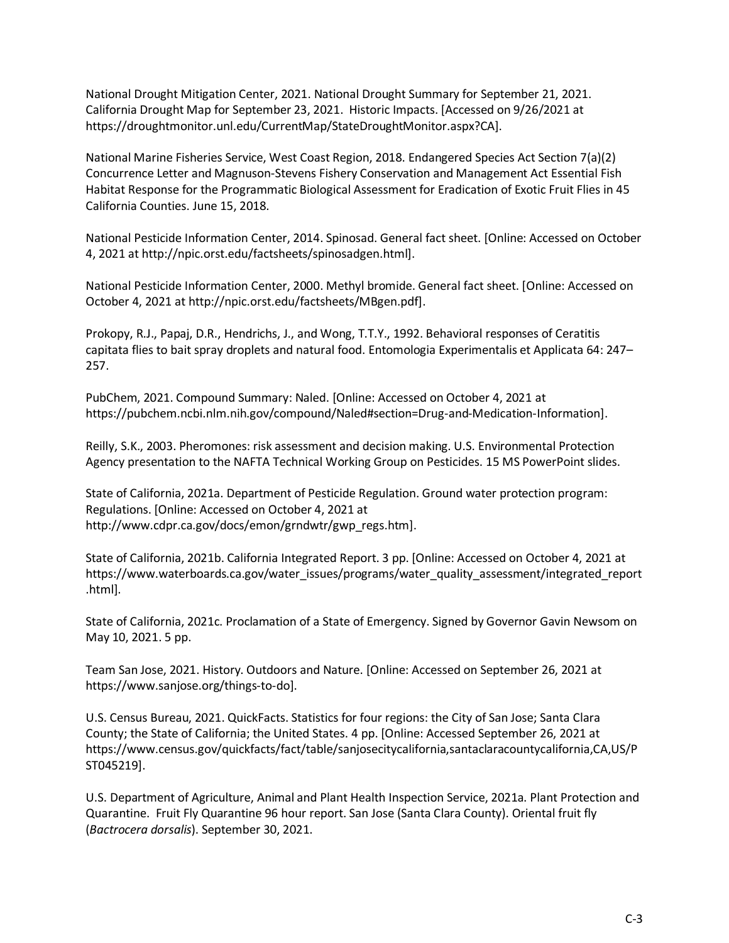National Drought Mitigation Center, 2021. National Drought Summary for September 21, 2021. California Drought Map for September 23, 2021. Historic Impacts. [Accessed on 9/26/2021 at https://droughtmonitor.unl.edu/CurrentMap/StateDroughtMonitor.aspx?CA].

National Marine Fisheries Service, West Coast Region, 2018. Endangered Species Act Section 7(a)(2) Concurrence Letter and Magnuson-Stevens Fishery Conservation and Management Act Essential Fish Habitat Response for the Programmatic Biological Assessment for Eradication of Exotic Fruit Flies in 45 California Counties. June 15, 2018.

National Pesticide Information Center, 2014. Spinosad. General fact sheet. [Online: Accessed on October 4, 2021 at http://npic.orst.edu/factsheets/spinosadgen.html].

National Pesticide Information Center, 2000. Methyl bromide. General fact sheet. [Online: Accessed on October 4, 2021 at http://npic.orst.edu/factsheets/MBgen.pdf].

Prokopy, R.J., Papaj, D.R., Hendrichs, J., and Wong, T.T.Y., 1992. Behavioral responses of Ceratitis capitata flies to bait spray droplets and natural food. Entomologia Experimentalis et Applicata 64: 247– 257.

PubChem, 2021. Compound Summary: Naled. [Online: Accessed on October 4, 2021 at https://pubchem.ncbi.nlm.nih.gov/compound/Naled#section=Drug-and-Medication-Information].

Reilly, S.K., 2003. Pheromones: risk assessment and decision making. U.S. Environmental Protection Agency presentation to the NAFTA Technical Working Group on Pesticides. 15 MS PowerPoint slides.

State of California, 2021a. Department of Pesticide Regulation. Ground water protection program: Regulations. [Online: Accessed on October 4, 2021 at http://www.cdpr.ca.gov/docs/emon/grndwtr/gwp\_regs.htm].

State of California, 2021b. California Integrated Report. 3 pp. [Online: Accessed on October 4, 2021 at https://www.waterboards.ca.gov/water\_issues/programs/water\_quality\_assessment/integrated\_report .html].

State of California, 2021c. Proclamation of a State of Emergency. Signed by Governor Gavin Newsom on May 10, 2021. 5 pp.

Team San Jose, 2021. History. Outdoors and Nature. [Online: Accessed on September 26, 2021 at https://www.sanjose.org/things-to-do].

U.S. Census Bureau, 2021. QuickFacts. Statistics for four regions: the City of San Jose; Santa Clara County; the State of California; the United States. 4 pp. [Online: Accessed September 26, 2021 at https://www.census.gov/quickfacts/fact/table/sanjosecitycalifornia,santaclaracountycalifornia,CA,US/P ST045219].

U.S. Department of Agriculture, Animal and Plant Health Inspection Service, 2021a. Plant Protection and Quarantine. Fruit Fly Quarantine 96 hour report. San Jose (Santa Clara County). Oriental fruit fly (*Bactrocera dorsalis*). September 30, 2021.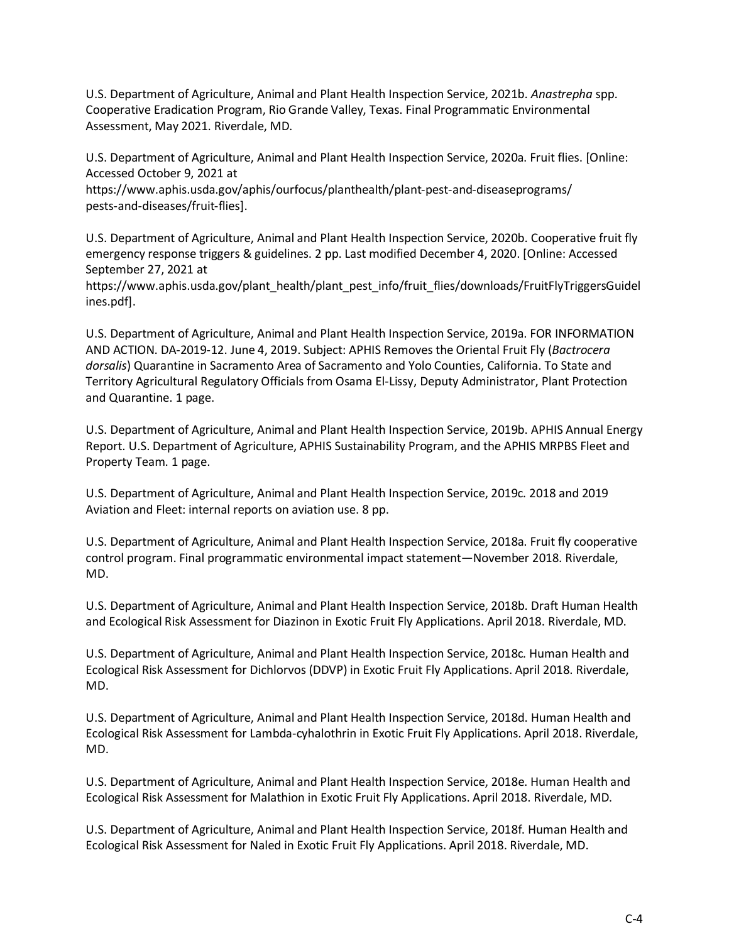U.S. Department of Agriculture, Animal and Plant Health Inspection Service, 2021b. *Anastrepha* spp. Cooperative Eradication Program, Rio Grande Valley, Texas. Final Programmatic Environmental Assessment, May 2021. Riverdale, MD.

U.S. Department of Agriculture, Animal and Plant Health Inspection Service, 2020a. Fruit flies. [Online: Accessed October 9, 2021 at

https://www.aphis.usda.gov/aphis/ourfocus/planthealth/plant-pest-and-diseaseprograms/ pests-and-diseases/fruit-flies].

U.S. Department of Agriculture, Animal and Plant Health Inspection Service, 2020b. Cooperative fruit fly emergency response triggers & guidelines. 2 pp. Last modified December 4, 2020. [Online: Accessed September 27, 2021 at

https://www.aphis.usda.gov/plant\_health/plant\_pest\_info/fruit\_flies/downloads/FruitFlyTriggersGuidel ines.pdf].

U.S. Department of Agriculture, Animal and Plant Health Inspection Service, 2019a. FOR INFORMATION AND ACTION. DA-2019-12. June 4, 2019. Subject: APHIS Removes the Oriental Fruit Fly (*Bactrocera dorsalis*) Quarantine in Sacramento Area of Sacramento and Yolo Counties, California. To State and Territory Agricultural Regulatory Officials from Osama El-Lissy, Deputy Administrator, Plant Protection and Quarantine. 1 page.

U.S. Department of Agriculture, Animal and Plant Health Inspection Service, 2019b. APHIS Annual Energy Report. U.S. Department of Agriculture, APHIS Sustainability Program, and the APHIS MRPBS Fleet and Property Team. 1 page.

U.S. Department of Agriculture, Animal and Plant Health Inspection Service, 2019c. 2018 and 2019 Aviation and Fleet: internal reports on aviation use. 8 pp.

U.S. Department of Agriculture, Animal and Plant Health Inspection Service, 2018a. Fruit fly cooperative control program. Final programmatic environmental impact statement—November 2018. Riverdale, MD.

U.S. Department of Agriculture, Animal and Plant Health Inspection Service, 2018b. Draft Human Health and Ecological Risk Assessment for Diazinon in Exotic Fruit Fly Applications. April 2018. Riverdale, MD.

U.S. Department of Agriculture, Animal and Plant Health Inspection Service, 2018c. Human Health and Ecological Risk Assessment for Dichlorvos (DDVP) in Exotic Fruit Fly Applications. April 2018. Riverdale, MD.

U.S. Department of Agriculture, Animal and Plant Health Inspection Service, 2018d. Human Health and Ecological Risk Assessment for Lambda-cyhalothrin in Exotic Fruit Fly Applications. April 2018. Riverdale, MD.

U.S. Department of Agriculture, Animal and Plant Health Inspection Service, 2018e. Human Health and Ecological Risk Assessment for Malathion in Exotic Fruit Fly Applications. April 2018. Riverdale, MD.

U.S. Department of Agriculture, Animal and Plant Health Inspection Service, 2018f. Human Health and Ecological Risk Assessment for Naled in Exotic Fruit Fly Applications. April 2018. Riverdale, MD.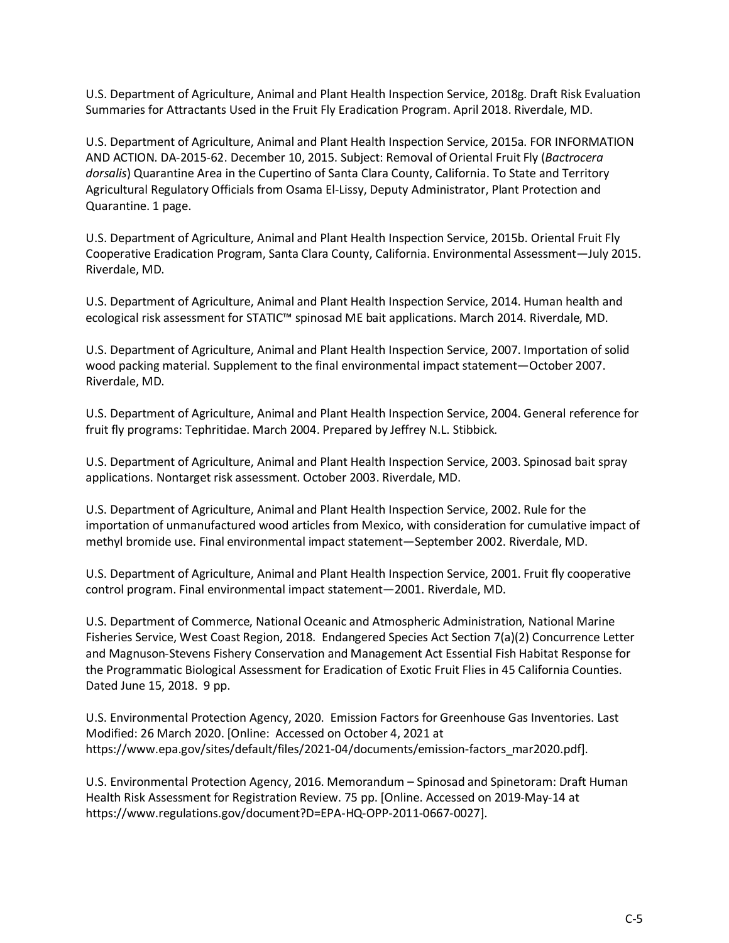U.S. Department of Agriculture, Animal and Plant Health Inspection Service, 2018g. Draft Risk Evaluation Summaries for Attractants Used in the Fruit Fly Eradication Program. April 2018. Riverdale, MD.

U.S. Department of Agriculture, Animal and Plant Health Inspection Service, 2015a. FOR INFORMATION AND ACTION. DA-2015-62. December 10, 2015. Subject: Removal of Oriental Fruit Fly (*Bactrocera dorsalis*) Quarantine Area in the Cupertino of Santa Clara County, California. To State and Territory Agricultural Regulatory Officials from Osama El-Lissy, Deputy Administrator, Plant Protection and Quarantine. 1 page.

U.S. Department of Agriculture, Animal and Plant Health Inspection Service, 2015b. Oriental Fruit Fly Cooperative Eradication Program, Santa Clara County, California. Environmental Assessment—July 2015. Riverdale, MD.

U.S. Department of Agriculture, Animal and Plant Health Inspection Service, 2014. Human health and ecological risk assessment for STATIC™ spinosad ME bait applications. March 2014. Riverdale, MD.

U.S. Department of Agriculture, Animal and Plant Health Inspection Service, 2007. Importation of solid wood packing material. Supplement to the final environmental impact statement—October 2007. Riverdale, MD.

U.S. Department of Agriculture, Animal and Plant Health Inspection Service, 2004. General reference for fruit fly programs: Tephritidae. March 2004. Prepared by Jeffrey N.L. Stibbick.

U.S. Department of Agriculture, Animal and Plant Health Inspection Service, 2003. Spinosad bait spray applications. Nontarget risk assessment. October 2003. Riverdale, MD.

U.S. Department of Agriculture, Animal and Plant Health Inspection Service, 2002. Rule for the importation of unmanufactured wood articles from Mexico, with consideration for cumulative impact of methyl bromide use. Final environmental impact statement—September 2002. Riverdale, MD.

U.S. Department of Agriculture, Animal and Plant Health Inspection Service, 2001. Fruit fly cooperative control program. Final environmental impact statement—2001. Riverdale, MD.

U.S. Department of Commerce, National Oceanic and Atmospheric Administration, National Marine Fisheries Service, West Coast Region, 2018. Endangered Species Act Section 7(a)(2) Concurrence Letter and Magnuson-Stevens Fishery Conservation and Management Act Essential Fish Habitat Response for the Programmatic Biological Assessment for Eradication of Exotic Fruit Flies in 45 California Counties. Dated June 15, 2018. 9 pp.

U.S. Environmental Protection Agency, 2020. Emission Factors for Greenhouse Gas Inventories. Last Modified: 26 March 2020. [Online: Accessed on October 4, 2021 at https://www.epa.gov/sites/default/files/2021-04/documents/emission-factors\_mar2020.pdf].

U.S. Environmental Protection Agency, 2016. Memorandum – Spinosad and Spinetoram: Draft Human Health Risk Assessment for Registration Review. 75 pp. [Online. Accessed on 2019-May-14 at https://www.regulations.gov/document?D=EPA-HQ-OPP-2011-0667-0027].